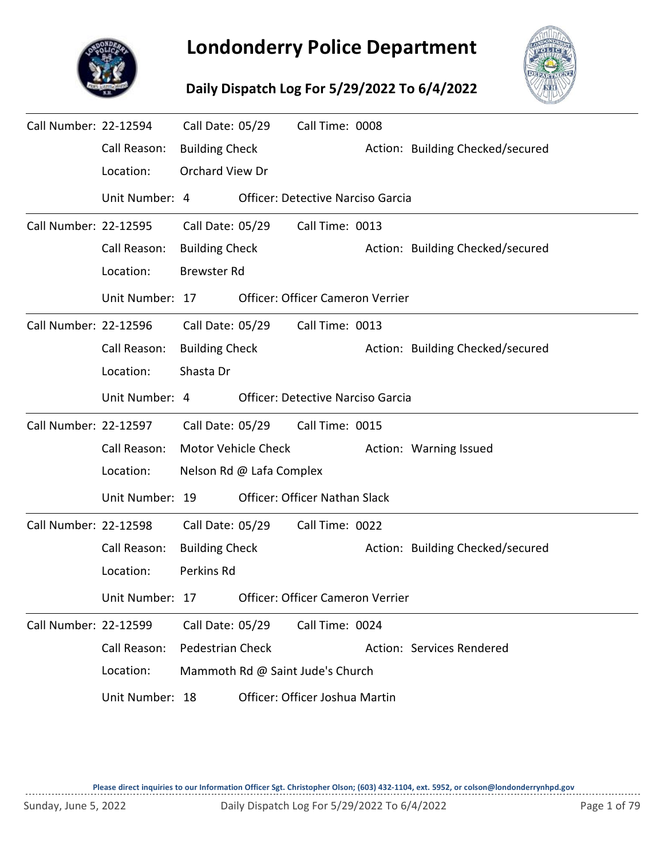

## **Londonderry Police Department**

## **Daily Dispatch Log For 5/29/2022 To 6/4/2022**



| Call Number: 22-12594 |                 | Call Date: 05/29        |                            | Call Time: 0008                          |                                  |
|-----------------------|-----------------|-------------------------|----------------------------|------------------------------------------|----------------------------------|
|                       | Call Reason:    | <b>Building Check</b>   |                            |                                          | Action: Building Checked/secured |
|                       | Location:       | Orchard View Dr         |                            |                                          |                                  |
|                       | Unit Number: 4  |                         |                            | <b>Officer: Detective Narciso Garcia</b> |                                  |
| Call Number: 22-12595 |                 | Call Date: 05/29        |                            | Call Time: 0013                          |                                  |
|                       | Call Reason:    | <b>Building Check</b>   |                            |                                          | Action: Building Checked/secured |
|                       | Location:       | <b>Brewster Rd</b>      |                            |                                          |                                  |
|                       | Unit Number: 17 |                         |                            | <b>Officer: Officer Cameron Verrier</b>  |                                  |
| Call Number: 22-12596 |                 | Call Date: 05/29        |                            | Call Time: 0013                          |                                  |
|                       | Call Reason:    | <b>Building Check</b>   |                            |                                          | Action: Building Checked/secured |
|                       | Location:       | Shasta Dr               |                            |                                          |                                  |
|                       | Unit Number: 4  |                         |                            | <b>Officer: Detective Narciso Garcia</b> |                                  |
| Call Number: 22-12597 |                 | Call Date: 05/29        |                            | Call Time: 0015                          |                                  |
|                       | Call Reason:    |                         | <b>Motor Vehicle Check</b> |                                          | Action: Warning Issued           |
|                       | Location:       |                         | Nelson Rd @ Lafa Complex   |                                          |                                  |
|                       | Unit Number: 19 |                         |                            | Officer: Officer Nathan Slack            |                                  |
| Call Number: 22-12598 |                 | Call Date: 05/29        |                            | Call Time: 0022                          |                                  |
|                       | Call Reason:    | <b>Building Check</b>   |                            |                                          | Action: Building Checked/secured |
|                       | Location:       | Perkins Rd              |                            |                                          |                                  |
|                       | Unit Number: 17 |                         |                            | Officer: Officer Cameron Verrier         |                                  |
| Call Number: 22-12599 |                 | Call Date: 05/29        |                            | Call Time: 0024                          |                                  |
|                       | Call Reason:    | <b>Pedestrian Check</b> |                            |                                          | Action: Services Rendered        |
|                       | Location:       |                         |                            | Mammoth Rd @ Saint Jude's Church         |                                  |
|                       | Unit Number: 18 |                         |                            | Officer: Officer Joshua Martin           |                                  |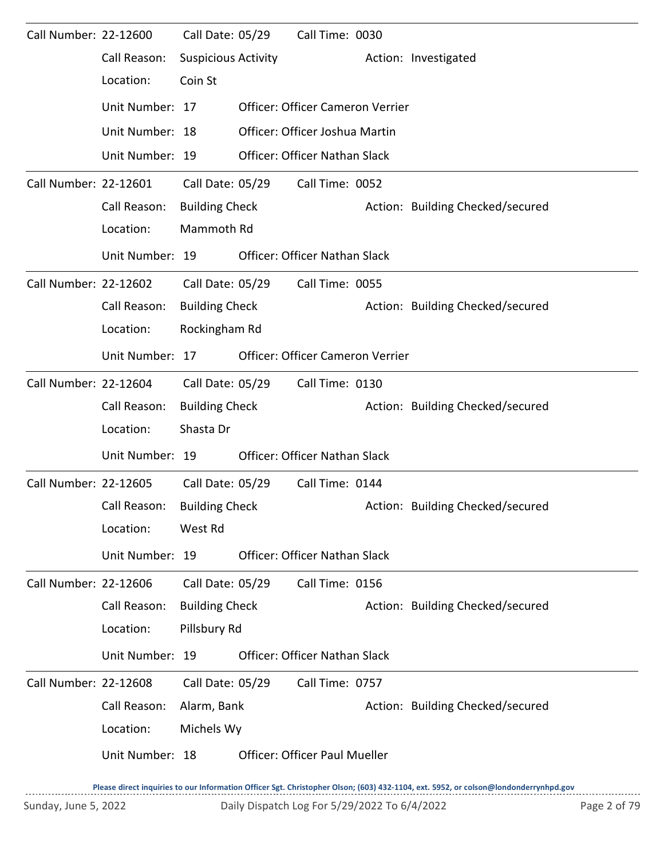| Call Number: 22-12600 |                 | Call Date: 05/29           | Call Time: 0030                         |                                  |
|-----------------------|-----------------|----------------------------|-----------------------------------------|----------------------------------|
|                       | Call Reason:    | <b>Suspicious Activity</b> |                                         | Action: Investigated             |
|                       | Location:       | Coin St                    |                                         |                                  |
|                       | Unit Number: 17 |                            | <b>Officer: Officer Cameron Verrier</b> |                                  |
|                       | Unit Number: 18 |                            | Officer: Officer Joshua Martin          |                                  |
|                       | Unit Number: 19 |                            | Officer: Officer Nathan Slack           |                                  |
| Call Number: 22-12601 |                 | Call Date: 05/29           | Call Time: 0052                         |                                  |
|                       | Call Reason:    | <b>Building Check</b>      |                                         | Action: Building Checked/secured |
|                       | Location:       | Mammoth Rd                 |                                         |                                  |
|                       | Unit Number: 19 |                            | <b>Officer: Officer Nathan Slack</b>    |                                  |
| Call Number: 22-12602 |                 | Call Date: 05/29           | Call Time: 0055                         |                                  |
|                       | Call Reason:    | <b>Building Check</b>      |                                         | Action: Building Checked/secured |
|                       | Location:       | Rockingham Rd              |                                         |                                  |
|                       | Unit Number: 17 |                            | Officer: Officer Cameron Verrier        |                                  |
| Call Number: 22-12604 |                 | Call Date: 05/29           | Call Time: 0130                         |                                  |
|                       | Call Reason:    | <b>Building Check</b>      |                                         | Action: Building Checked/secured |
|                       | Location:       | Shasta Dr                  |                                         |                                  |
|                       | Unit Number: 19 |                            | Officer: Officer Nathan Slack           |                                  |
| Call Number: 22-12605 |                 | Call Date: 05/29           | Call Time: 0144                         |                                  |
|                       | Call Reason:    | <b>Building Check</b>      |                                         | Action: Building Checked/secured |
|                       | Location:       | West Rd                    |                                         |                                  |
|                       | Unit Number: 19 |                            | Officer: Officer Nathan Slack           |                                  |
| Call Number: 22-12606 |                 | Call Date: 05/29           | Call Time: 0156                         |                                  |
|                       | Call Reason:    | <b>Building Check</b>      |                                         | Action: Building Checked/secured |
|                       | Location:       | Pillsbury Rd               |                                         |                                  |
|                       | Unit Number: 19 |                            | Officer: Officer Nathan Slack           |                                  |
| Call Number: 22-12608 |                 | Call Date: 05/29           | Call Time: 0757                         |                                  |
|                       | Call Reason:    | Alarm, Bank                |                                         | Action: Building Checked/secured |
|                       | Location:       | Michels Wy                 |                                         |                                  |
|                       | Unit Number: 18 |                            | <b>Officer: Officer Paul Mueller</b>    |                                  |
|                       |                 |                            |                                         |                                  |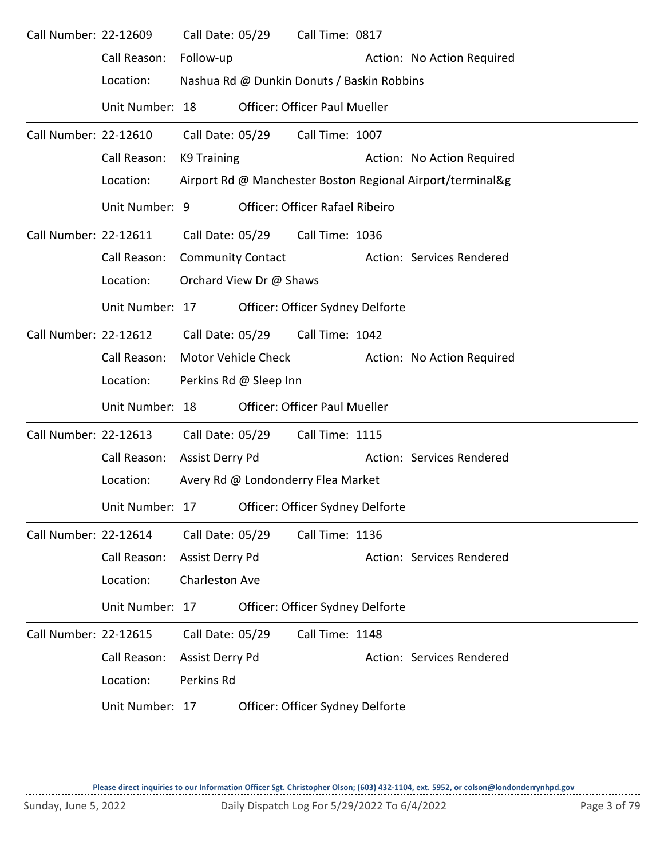| Call Number: 22-12609 |                 |                          | Call Date: 05/29        | Call Time: 0817                            |                                                            |
|-----------------------|-----------------|--------------------------|-------------------------|--------------------------------------------|------------------------------------------------------------|
|                       | Call Reason:    | Follow-up                |                         |                                            | Action: No Action Required                                 |
|                       | Location:       |                          |                         | Nashua Rd @ Dunkin Donuts / Baskin Robbins |                                                            |
|                       | Unit Number: 18 |                          |                         | <b>Officer: Officer Paul Mueller</b>       |                                                            |
| Call Number: 22-12610 |                 | Call Date: 05/29         |                         | Call Time: 1007                            |                                                            |
|                       | Call Reason:    | K9 Training              |                         |                                            | Action: No Action Required                                 |
|                       | Location:       |                          |                         |                                            | Airport Rd @ Manchester Boston Regional Airport/terminal&g |
|                       | Unit Number: 9  |                          |                         | Officer: Officer Rafael Ribeiro            |                                                            |
| Call Number: 22-12611 |                 |                          |                         | Call Date: 05/29 Call Time: 1036           |                                                            |
|                       | Call Reason:    | <b>Community Contact</b> |                         |                                            | Action: Services Rendered                                  |
|                       | Location:       |                          | Orchard View Dr @ Shaws |                                            |                                                            |
|                       | Unit Number: 17 |                          |                         | Officer: Officer Sydney Delforte           |                                                            |
| Call Number: 22-12612 |                 | Call Date: 05/29         |                         | Call Time: 1042                            |                                                            |
|                       | Call Reason:    |                          | Motor Vehicle Check     |                                            | Action: No Action Required                                 |
|                       | Location:       |                          | Perkins Rd @ Sleep Inn  |                                            |                                                            |
|                       | Unit Number: 18 |                          |                         | <b>Officer: Officer Paul Mueller</b>       |                                                            |
| Call Number: 22-12613 |                 |                          | Call Date: 05/29        | Call Time: 1115                            |                                                            |
|                       | Call Reason:    | Assist Derry Pd          |                         |                                            | Action: Services Rendered                                  |
|                       | Location:       |                          |                         | Avery Rd @ Londonderry Flea Market         |                                                            |
|                       | Unit Number: 17 |                          |                         | Officer: Officer Sydney Delforte           |                                                            |
| Call Number: 22-12614 |                 | Call Date: 05/29         |                         | Call Time: 1136                            |                                                            |
|                       | Call Reason:    | Assist Derry Pd          |                         |                                            | Action: Services Rendered                                  |
|                       | Location:       | <b>Charleston Ave</b>    |                         |                                            |                                                            |
|                       | Unit Number: 17 |                          |                         | Officer: Officer Sydney Delforte           |                                                            |
| Call Number: 22-12615 |                 | Call Date: 05/29         |                         | Call Time: 1148                            |                                                            |
|                       | Call Reason:    | Assist Derry Pd          |                         |                                            | Action: Services Rendered                                  |
|                       | Location:       | Perkins Rd               |                         |                                            |                                                            |
|                       | Unit Number: 17 |                          |                         | Officer: Officer Sydney Delforte           |                                                            |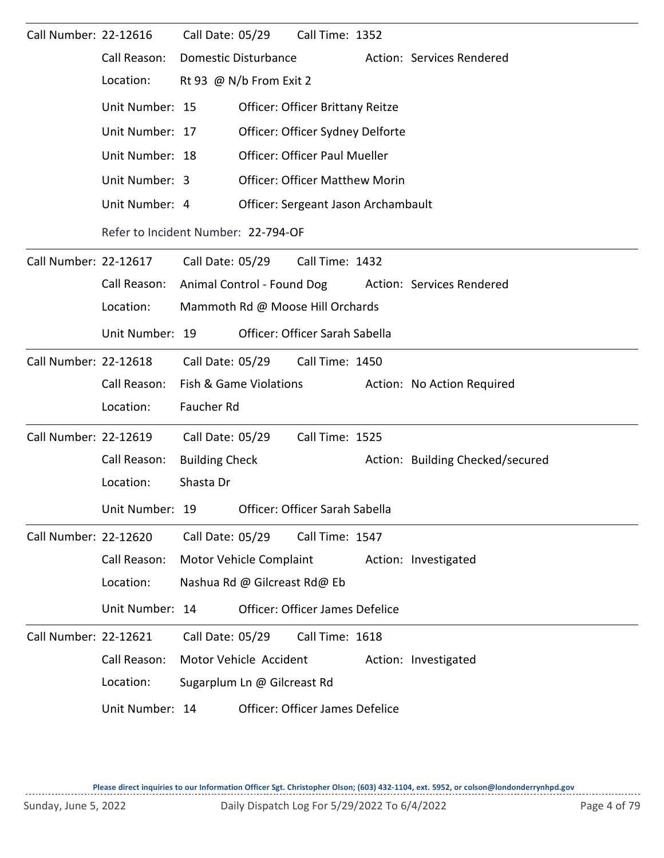| Call Number: 22-12616 |                                                | Call Date: 05/29                    |                                      | Call Time: 1352                       |  |                                  |  |  |  |  |
|-----------------------|------------------------------------------------|-------------------------------------|--------------------------------------|---------------------------------------|--|----------------------------------|--|--|--|--|
|                       | Call Reason:                                   | <b>Domestic Disturbance</b>         |                                      |                                       |  | Action: Services Rendered        |  |  |  |  |
|                       | Location:                                      | Rt 93 @ N/b From Exit 2             |                                      |                                       |  |                                  |  |  |  |  |
|                       | Unit Number: 15                                |                                     |                                      | Officer: Officer Brittany Reitze      |  |                                  |  |  |  |  |
|                       | Unit Number: 17                                | Officer: Officer Sydney Delforte    |                                      |                                       |  |                                  |  |  |  |  |
|                       | Unit Number: 18                                |                                     | <b>Officer: Officer Paul Mueller</b> |                                       |  |                                  |  |  |  |  |
|                       | Unit Number: 3                                 |                                     |                                      | <b>Officer: Officer Matthew Morin</b> |  |                                  |  |  |  |  |
|                       | Unit Number: 4                                 |                                     |                                      | Officer: Sergeant Jason Archambault   |  |                                  |  |  |  |  |
|                       |                                                | Refer to Incident Number: 22-794-OF |                                      |                                       |  |                                  |  |  |  |  |
| Call Number: 22-12617 |                                                | Call Date: 05/29                    |                                      | Call Time: 1432                       |  |                                  |  |  |  |  |
|                       | Call Reason:                                   |                                     |                                      | Animal Control - Found Dog            |  | Action: Services Rendered        |  |  |  |  |
|                       | Location:                                      |                                     | Mammoth Rd @ Moose Hill Orchards     |                                       |  |                                  |  |  |  |  |
|                       | Unit Number: 19                                |                                     |                                      | Officer: Officer Sarah Sabella        |  |                                  |  |  |  |  |
| Call Number: 22-12618 |                                                | Call Date: 05/29                    |                                      | Call Time: 1450                       |  |                                  |  |  |  |  |
|                       | Call Reason:                                   | Fish & Game Violations              |                                      |                                       |  | Action: No Action Required       |  |  |  |  |
|                       | Location:                                      | Faucher Rd                          |                                      |                                       |  |                                  |  |  |  |  |
| Call Number: 22-12619 |                                                | Call Date: 05/29                    |                                      | Call Time: 1525                       |  |                                  |  |  |  |  |
|                       | Call Reason:                                   | <b>Building Check</b>               |                                      |                                       |  | Action: Building Checked/secured |  |  |  |  |
|                       | Location:                                      | Shasta Dr                           |                                      |                                       |  |                                  |  |  |  |  |
|                       | Unit Number: 19 Officer: Officer Sarah Sabella |                                     |                                      |                                       |  |                                  |  |  |  |  |
| Call Number: 22-12620 |                                                | Call Date: 05/29                    |                                      | Call Time: 1547                       |  |                                  |  |  |  |  |
|                       | Call Reason:                                   | Motor Vehicle Complaint             |                                      |                                       |  | Action: Investigated             |  |  |  |  |
|                       | Location:                                      | Nashua Rd @ Gilcreast Rd@ Eb        |                                      |                                       |  |                                  |  |  |  |  |
|                       | Unit Number: 14                                |                                     |                                      | Officer: Officer James Defelice       |  |                                  |  |  |  |  |
| Call Number: 22-12621 |                                                | Call Date: 05/29                    |                                      | Call Time: 1618                       |  |                                  |  |  |  |  |
|                       | Call Reason:                                   | Motor Vehicle Accident              |                                      |                                       |  | Action: Investigated             |  |  |  |  |
|                       | Location:                                      | Sugarplum Ln @ Gilcreast Rd         |                                      |                                       |  |                                  |  |  |  |  |
|                       | Unit Number: 14                                |                                     |                                      | Officer: Officer James Defelice       |  |                                  |  |  |  |  |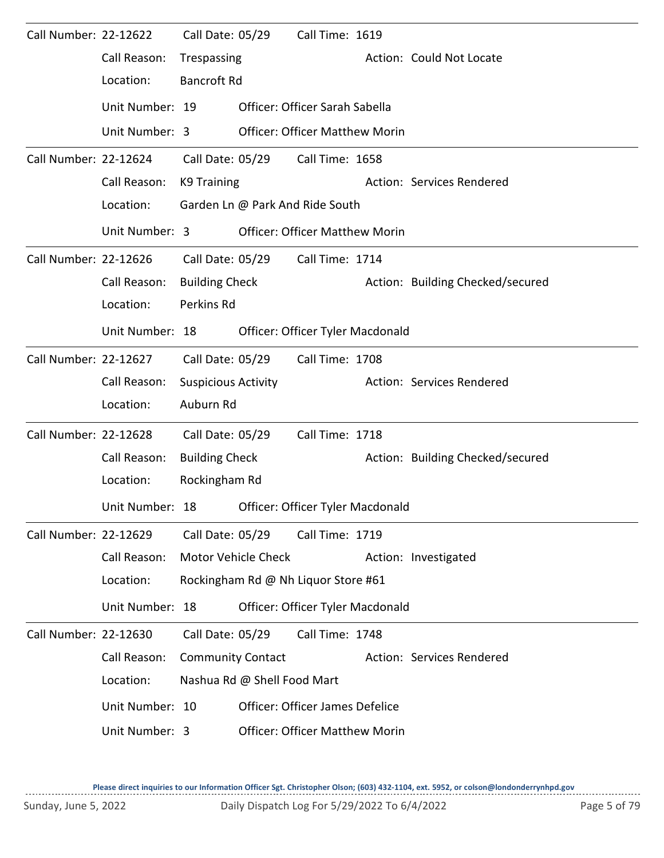| Call Number: 22-12622 |                 | Call Date: 05/29           |                             | Call Time: 1619                       |                                  |
|-----------------------|-----------------|----------------------------|-----------------------------|---------------------------------------|----------------------------------|
|                       | Call Reason:    | Trespassing                |                             |                                       | Action: Could Not Locate         |
|                       | Location:       | <b>Bancroft Rd</b>         |                             |                                       |                                  |
|                       | Unit Number: 19 |                            |                             | Officer: Officer Sarah Sabella        |                                  |
|                       | Unit Number: 3  |                            |                             | <b>Officer: Officer Matthew Morin</b> |                                  |
| Call Number: 22-12624 |                 |                            | Call Date: 05/29            | Call Time: 1658                       |                                  |
|                       | Call Reason:    | K9 Training                |                             |                                       | Action: Services Rendered        |
|                       | Location:       |                            |                             | Garden Ln @ Park And Ride South       |                                  |
|                       | Unit Number: 3  |                            |                             | <b>Officer: Officer Matthew Morin</b> |                                  |
| Call Number: 22-12626 |                 | Call Date: 05/29           |                             | Call Time: 1714                       |                                  |
|                       | Call Reason:    | <b>Building Check</b>      |                             |                                       | Action: Building Checked/secured |
|                       | Location:       | Perkins Rd                 |                             |                                       |                                  |
|                       | Unit Number: 18 |                            |                             | Officer: Officer Tyler Macdonald      |                                  |
| Call Number: 22-12627 |                 | Call Date: 05/29           |                             | Call Time: 1708                       |                                  |
|                       | Call Reason:    | <b>Suspicious Activity</b> |                             |                                       | Action: Services Rendered        |
|                       | Location:       | Auburn Rd                  |                             |                                       |                                  |
| Call Number: 22-12628 |                 | Call Date: 05/29           |                             | Call Time: 1718                       |                                  |
|                       | Call Reason:    | <b>Building Check</b>      |                             |                                       | Action: Building Checked/secured |
|                       | Location:       | Rockingham Rd              |                             |                                       |                                  |
|                       | Unit Number: 18 |                            |                             | Officer: Officer Tyler Macdonald      |                                  |
| Call Number: 22-12629 |                 | Call Date: 05/29           |                             | Call Time: 1719                       |                                  |
|                       | Call Reason:    |                            | Motor Vehicle Check         |                                       | Action: Investigated             |
|                       | Location:       |                            |                             | Rockingham Rd @ Nh Liquor Store #61   |                                  |
|                       | Unit Number: 18 |                            |                             | Officer: Officer Tyler Macdonald      |                                  |
| Call Number: 22-12630 |                 | Call Date: 05/29           |                             | Call Time: 1748                       |                                  |
|                       | Call Reason:    | <b>Community Contact</b>   |                             |                                       | Action: Services Rendered        |
|                       | Location:       |                            | Nashua Rd @ Shell Food Mart |                                       |                                  |
|                       | Unit Number: 10 |                            |                             | Officer: Officer James Defelice       |                                  |
|                       | Unit Number: 3  |                            |                             | <b>Officer: Officer Matthew Morin</b> |                                  |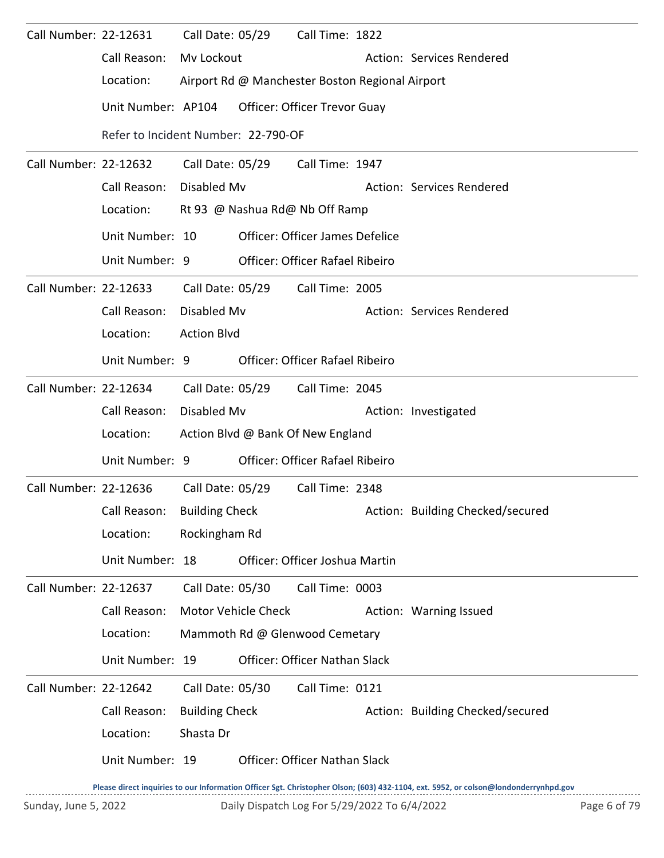| Call Number: 22-12631 |                                     | Call Date: 05/29      |                                | Call Time: 1822                                 |  |                                  |  |  |  |
|-----------------------|-------------------------------------|-----------------------|--------------------------------|-------------------------------------------------|--|----------------------------------|--|--|--|
|                       | Call Reason:                        | Mv Lockout            |                                |                                                 |  | Action: Services Rendered        |  |  |  |
|                       | Location:                           |                       |                                | Airport Rd @ Manchester Boston Regional Airport |  |                                  |  |  |  |
|                       | Unit Number: AP104                  |                       |                                | <b>Officer: Officer Trevor Guay</b>             |  |                                  |  |  |  |
|                       | Refer to Incident Number: 22-790-OF |                       |                                |                                                 |  |                                  |  |  |  |
| Call Number: 22-12632 |                                     |                       | Call Date: 05/29               | Call Time: 1947                                 |  |                                  |  |  |  |
|                       | Call Reason:                        | Disabled Mv           |                                |                                                 |  | Action: Services Rendered        |  |  |  |
|                       | Location:                           |                       | Rt 93 @ Nashua Rd@ Nb Off Ramp |                                                 |  |                                  |  |  |  |
|                       | Unit Number: 10                     |                       |                                | <b>Officer: Officer James Defelice</b>          |  |                                  |  |  |  |
|                       | Unit Number: 9                      |                       |                                | <b>Officer: Officer Rafael Ribeiro</b>          |  |                                  |  |  |  |
| Call Number: 22-12633 |                                     | Call Date: 05/29      |                                | Call Time: 2005                                 |  |                                  |  |  |  |
|                       | Call Reason:                        | Disabled Mv           |                                |                                                 |  | Action: Services Rendered        |  |  |  |
|                       | Location:                           | <b>Action Blvd</b>    |                                |                                                 |  |                                  |  |  |  |
|                       | Unit Number: 9                      |                       |                                | <b>Officer: Officer Rafael Ribeiro</b>          |  |                                  |  |  |  |
| Call Number: 22-12634 |                                     |                       |                                | Call Date: 05/29 Call Time: 2045                |  |                                  |  |  |  |
|                       | Call Reason:                        | Disabled Mv           |                                |                                                 |  | Action: Investigated             |  |  |  |
|                       | Location:                           |                       |                                | Action Blvd @ Bank Of New England               |  |                                  |  |  |  |
|                       | Unit Number: 9                      |                       |                                | Officer: Officer Rafael Ribeiro                 |  |                                  |  |  |  |
| Call Number: 22-12636 |                                     |                       | Call Date: 05/29               | Call Time: 2348                                 |  |                                  |  |  |  |
|                       | Call Reason:                        | <b>Building Check</b> |                                |                                                 |  | Action: Building Checked/secured |  |  |  |
|                       | Location:                           | Rockingham Rd         |                                |                                                 |  |                                  |  |  |  |
|                       | Unit Number: 18                     |                       |                                | Officer: Officer Joshua Martin                  |  |                                  |  |  |  |
| Call Number: 22-12637 |                                     | Call Date: 05/30      |                                | Call Time: 0003                                 |  |                                  |  |  |  |
|                       | Call Reason:                        | Motor Vehicle Check   |                                |                                                 |  | Action: Warning Issued           |  |  |  |
|                       | Location:                           |                       |                                | Mammoth Rd @ Glenwood Cemetary                  |  |                                  |  |  |  |
|                       | Unit Number: 19                     |                       |                                | Officer: Officer Nathan Slack                   |  |                                  |  |  |  |
| Call Number: 22-12642 |                                     | Call Date: 05/30      |                                | Call Time: 0121                                 |  |                                  |  |  |  |
|                       | Call Reason:                        | <b>Building Check</b> |                                |                                                 |  | Action: Building Checked/secured |  |  |  |
|                       | Location:                           | Shasta Dr             |                                |                                                 |  |                                  |  |  |  |
|                       | Unit Number: 19                     |                       |                                | Officer: Officer Nathan Slack                   |  |                                  |  |  |  |
|                       |                                     |                       |                                |                                                 |  |                                  |  |  |  |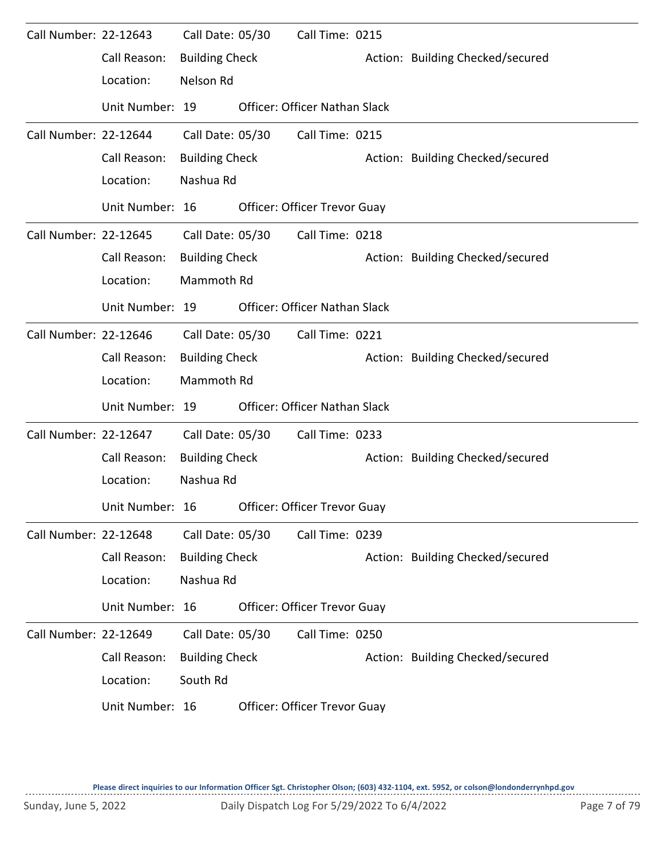| Call Number: 22-12643 |                 | Call Date: 05/30      | Call Time: 0215                      |                                  |
|-----------------------|-----------------|-----------------------|--------------------------------------|----------------------------------|
|                       | Call Reason:    | <b>Building Check</b> |                                      | Action: Building Checked/secured |
|                       | Location:       | Nelson Rd             |                                      |                                  |
|                       | Unit Number: 19 |                       | <b>Officer: Officer Nathan Slack</b> |                                  |
| Call Number: 22-12644 |                 | Call Date: 05/30      | Call Time: 0215                      |                                  |
|                       | Call Reason:    | <b>Building Check</b> |                                      | Action: Building Checked/secured |
|                       | Location:       | Nashua Rd             |                                      |                                  |
|                       | Unit Number: 16 |                       | Officer: Officer Trevor Guay         |                                  |
| Call Number: 22-12645 |                 | Call Date: 05/30      | Call Time: 0218                      |                                  |
|                       | Call Reason:    | <b>Building Check</b> |                                      | Action: Building Checked/secured |
|                       | Location:       | Mammoth Rd            |                                      |                                  |
|                       | Unit Number: 19 |                       | <b>Officer: Officer Nathan Slack</b> |                                  |
| Call Number: 22-12646 |                 | Call Date: 05/30      | Call Time: 0221                      |                                  |
|                       | Call Reason:    | <b>Building Check</b> |                                      | Action: Building Checked/secured |
|                       | Location:       | Mammoth Rd            |                                      |                                  |
|                       | Unit Number: 19 |                       | Officer: Officer Nathan Slack        |                                  |
| Call Number: 22-12647 |                 | Call Date: 05/30      | Call Time: 0233                      |                                  |
|                       | Call Reason:    | <b>Building Check</b> |                                      | Action: Building Checked/secured |
|                       | Location:       | Nashua Rd             |                                      |                                  |
|                       | Unit Number: 16 |                       | <b>Officer: Officer Trevor Guay</b>  |                                  |
| Call Number: 22-12648 |                 | Call Date: 05/30      | Call Time: 0239                      |                                  |
|                       | Call Reason:    | <b>Building Check</b> |                                      | Action: Building Checked/secured |
|                       | Location:       | Nashua Rd             |                                      |                                  |
|                       | Unit Number: 16 |                       | Officer: Officer Trevor Guay         |                                  |
| Call Number: 22-12649 |                 | Call Date: 05/30      | Call Time: 0250                      |                                  |
|                       | Call Reason:    | <b>Building Check</b> |                                      | Action: Building Checked/secured |
|                       | Location:       | South Rd              |                                      |                                  |
|                       | Unit Number: 16 |                       | Officer: Officer Trevor Guay         |                                  |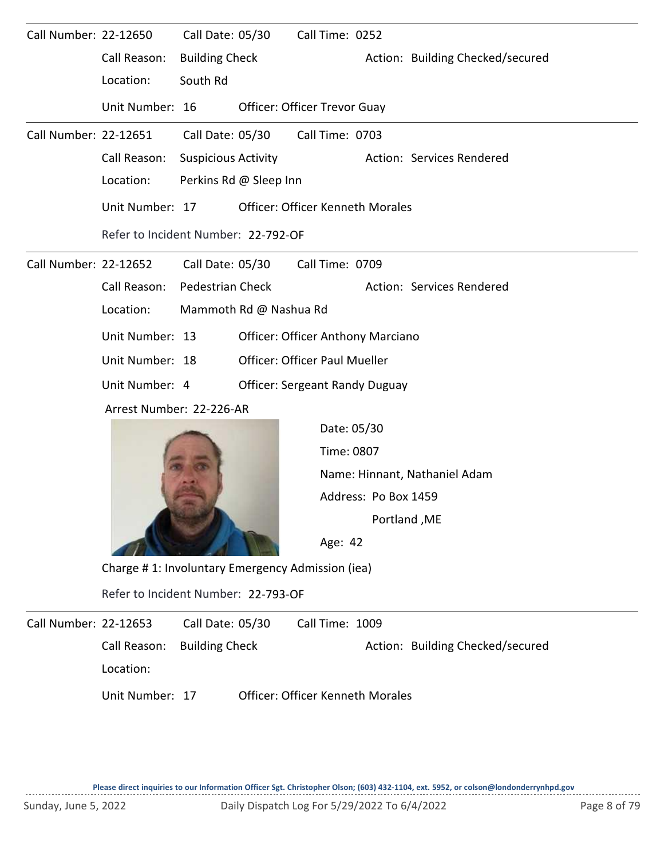| Call Number: 22-12650 |                                                  | Call Date: 05/30           |  | Call Time: 0252                       |                      |                                  |  |  |  |  |
|-----------------------|--------------------------------------------------|----------------------------|--|---------------------------------------|----------------------|----------------------------------|--|--|--|--|
|                       | Call Reason:                                     | <b>Building Check</b>      |  |                                       |                      | Action: Building Checked/secured |  |  |  |  |
|                       | Location:                                        | South Rd                   |  |                                       |                      |                                  |  |  |  |  |
|                       | Unit Number: 16                                  |                            |  | Officer: Officer Trevor Guay          |                      |                                  |  |  |  |  |
| Call Number: 22-12651 |                                                  | Call Date: 05/30           |  | Call Time: 0703                       |                      |                                  |  |  |  |  |
|                       | Call Reason:                                     | <b>Suspicious Activity</b> |  |                                       |                      | Action: Services Rendered        |  |  |  |  |
|                       | Location:                                        | Perkins Rd @ Sleep Inn     |  |                                       |                      |                                  |  |  |  |  |
|                       | Unit Number: 17                                  |                            |  | Officer: Officer Kenneth Morales      |                      |                                  |  |  |  |  |
|                       | Refer to Incident Number: 22-792-OF              |                            |  |                                       |                      |                                  |  |  |  |  |
| Call Number: 22-12652 |                                                  | Call Date: 05/30           |  | Call Time: 0709                       |                      |                                  |  |  |  |  |
|                       | Call Reason:                                     | Pedestrian Check           |  |                                       |                      | Action: Services Rendered        |  |  |  |  |
|                       | Location:                                        | Mammoth Rd @ Nashua Rd     |  |                                       |                      |                                  |  |  |  |  |
|                       | Unit Number: 13                                  |                            |  | Officer: Officer Anthony Marciano     |                      |                                  |  |  |  |  |
|                       | Unit Number: 18                                  |                            |  | <b>Officer: Officer Paul Mueller</b>  |                      |                                  |  |  |  |  |
|                       | Unit Number: 4                                   |                            |  | <b>Officer: Sergeant Randy Duguay</b> |                      |                                  |  |  |  |  |
|                       | Arrest Number: 22-226-AR                         |                            |  |                                       |                      |                                  |  |  |  |  |
|                       |                                                  |                            |  |                                       | Date: 05/30          |                                  |  |  |  |  |
|                       |                                                  |                            |  | Time: 0807                            |                      |                                  |  |  |  |  |
|                       |                                                  |                            |  |                                       |                      | Name: Hinnant, Nathaniel Adam    |  |  |  |  |
|                       |                                                  |                            |  |                                       | Address: Po Box 1459 |                                  |  |  |  |  |
|                       |                                                  |                            |  |                                       |                      | Portland, ME                     |  |  |  |  |
|                       |                                                  |                            |  |                                       |                      |                                  |  |  |  |  |
|                       | Charge #1: Involuntary Emergency Admission (iea) |                            |  |                                       |                      |                                  |  |  |  |  |

Refer to Incident Number: 22-793-OF

Call Number: 22-12653 Call Date: 05/30 Call Time: 1009 Call Reason: Building Check Action: Building Checked/secured Location: Call Date: 05/30 Unit Number: 17 Officer: Officer Kenneth Morales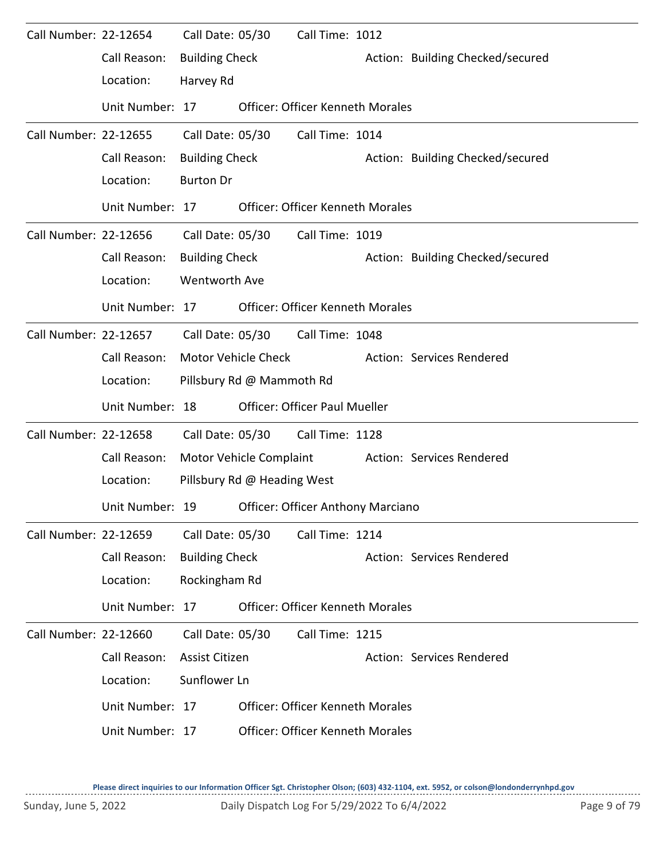| Call Number: 22-12654 |                 | Call Date: 05/30      |                             | Call Time: 1012                          |                                  |
|-----------------------|-----------------|-----------------------|-----------------------------|------------------------------------------|----------------------------------|
|                       | Call Reason:    | <b>Building Check</b> |                             |                                          | Action: Building Checked/secured |
|                       | Location:       | Harvey Rd             |                             |                                          |                                  |
|                       | Unit Number: 17 |                       |                             | <b>Officer: Officer Kenneth Morales</b>  |                                  |
| Call Number: 22-12655 |                 | Call Date: 05/30      |                             | Call Time: 1014                          |                                  |
|                       | Call Reason:    | <b>Building Check</b> |                             |                                          | Action: Building Checked/secured |
|                       | Location:       | <b>Burton Dr</b>      |                             |                                          |                                  |
|                       | Unit Number: 17 |                       |                             | <b>Officer: Officer Kenneth Morales</b>  |                                  |
| Call Number: 22-12656 |                 | Call Date: 05/30      |                             | Call Time: 1019                          |                                  |
|                       | Call Reason:    | <b>Building Check</b> |                             |                                          | Action: Building Checked/secured |
|                       | Location:       | <b>Wentworth Ave</b>  |                             |                                          |                                  |
|                       | Unit Number: 17 |                       |                             | <b>Officer: Officer Kenneth Morales</b>  |                                  |
| Call Number: 22-12657 |                 | Call Date: 05/30      |                             | Call Time: 1048                          |                                  |
|                       | Call Reason:    |                       | <b>Motor Vehicle Check</b>  |                                          | Action: Services Rendered        |
|                       | Location:       |                       | Pillsbury Rd @ Mammoth Rd   |                                          |                                  |
|                       | Unit Number: 18 |                       |                             | <b>Officer: Officer Paul Mueller</b>     |                                  |
| Call Number: 22-12658 |                 | Call Date: 05/30      |                             | Call Time: 1128                          |                                  |
|                       | Call Reason:    |                       | Motor Vehicle Complaint     |                                          | Action: Services Rendered        |
|                       | Location:       |                       | Pillsbury Rd @ Heading West |                                          |                                  |
|                       | Unit Number: 19 |                       |                             | <b>Officer: Officer Anthony Marciano</b> |                                  |
| Call Number: 22-12659 |                 | Call Date: 05/30      |                             | Call Time: 1214                          |                                  |
|                       | Call Reason:    | <b>Building Check</b> |                             |                                          | Action: Services Rendered        |
|                       | Location:       | Rockingham Rd         |                             |                                          |                                  |
|                       | Unit Number: 17 |                       |                             | <b>Officer: Officer Kenneth Morales</b>  |                                  |
| Call Number: 22-12660 |                 | Call Date: 05/30      |                             | Call Time: 1215                          |                                  |
|                       | Call Reason:    | Assist Citizen        |                             |                                          | Action: Services Rendered        |
|                       | Location:       | Sunflower Ln          |                             |                                          |                                  |
|                       | Unit Number: 17 |                       |                             | <b>Officer: Officer Kenneth Morales</b>  |                                  |
|                       | Unit Number: 17 |                       |                             | <b>Officer: Officer Kenneth Morales</b>  |                                  |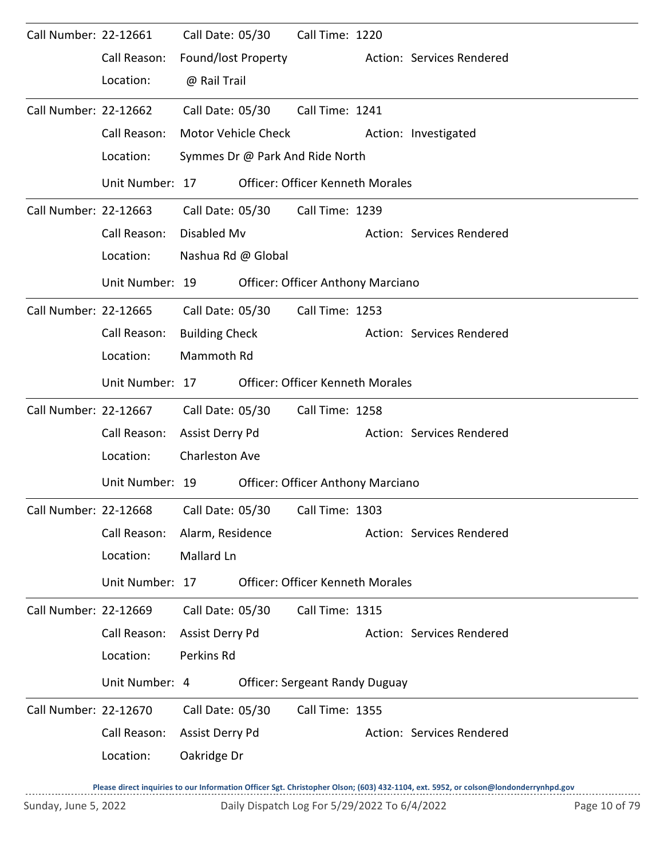| Call Number: 22-12661 | Call Reason:<br>Location:                    | Call Date: 05/30<br>Found/lost Property<br>@ Rail Trail      |                     | Call Time: 1220                                                                | Action: Services Rendered |
|-----------------------|----------------------------------------------|--------------------------------------------------------------|---------------------|--------------------------------------------------------------------------------|---------------------------|
| Call Number: 22-12662 | Call Reason:<br>Location:                    | Call Date: 05/30                                             | Motor Vehicle Check | Call Time: 1241<br>Symmes Dr @ Park And Ride North                             | Action: Investigated      |
|                       | Unit Number: 17                              |                                                              |                     | <b>Officer: Officer Kenneth Morales</b>                                        |                           |
| Call Number: 22-12663 | Call Reason:<br>Location:                    | Disabled Mv<br>Nashua Rd @ Global                            | Call Date: 05/30    | Call Time: 1239                                                                | Action: Services Rendered |
|                       | Unit Number: 19                              |                                                              |                     | Officer: Officer Anthony Marciano                                              |                           |
| Call Number: 22-12665 | Call Reason:<br>Location:                    | Call Date: 05/30<br><b>Building Check</b><br>Mammoth Rd      |                     | Call Time: 1253                                                                | Action: Services Rendered |
|                       | Unit Number: 17                              |                                                              |                     | <b>Officer: Officer Kenneth Morales</b>                                        |                           |
| Call Number: 22-12667 | Call Reason:<br>Location:<br>Unit Number: 19 | Call Date: 05/30<br>Assist Derry Pd<br><b>Charleston Ave</b> |                     | Call Time: 1258<br><b>Officer: Officer Anthony Marciano</b>                    | Action: Services Rendered |
| Call Number: 22-12668 | Call Reason:<br>Location:<br>Unit Number: 17 | Alarm, Residence<br>Mallard Ln                               |                     | Call Date: 05/30    Call Time: 1303<br><b>Officer: Officer Kenneth Morales</b> | Action: Services Rendered |
| Call Number: 22-12669 | Call Reason:<br>Location:<br>Unit Number: 4  | Call Date: 05/30<br>Assist Derry Pd<br>Perkins Rd            |                     | Call Time: 1315<br><b>Officer: Sergeant Randy Duguay</b>                       | Action: Services Rendered |
|                       |                                              |                                                              |                     |                                                                                |                           |
| Call Number: 22-12670 | Call Reason:<br>Location:                    | Call Date: 05/30<br>Assist Derry Pd<br>Oakridge Dr           |                     | Call Time: 1355                                                                | Action: Services Rendered |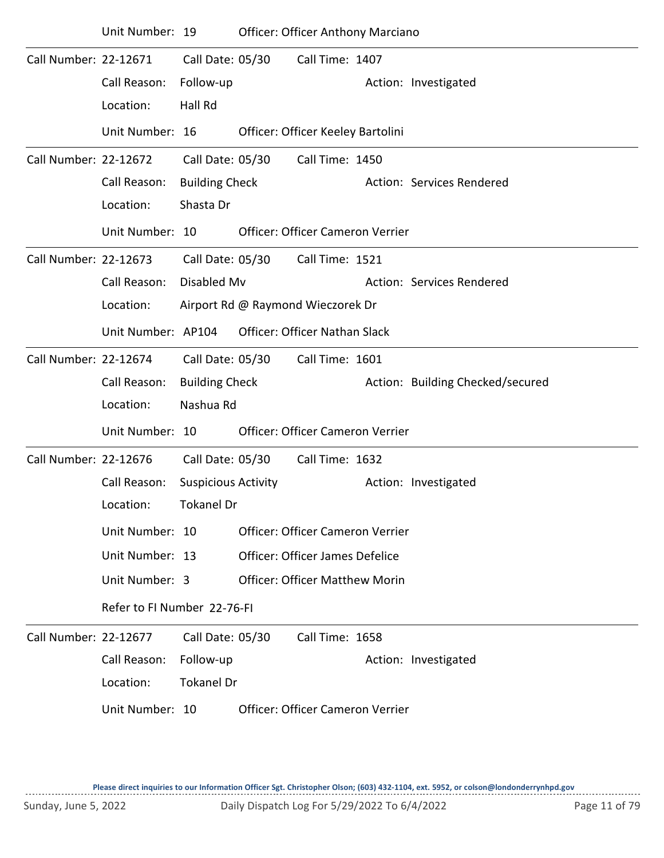|                       | Unit Number: 19             |                            |                                   | <b>Officer: Officer Anthony Marciano</b> |                                  |
|-----------------------|-----------------------------|----------------------------|-----------------------------------|------------------------------------------|----------------------------------|
| Call Number: 22-12671 |                             | Call Date: 05/30           |                                   | Call Time: 1407                          |                                  |
|                       | Call Reason:                | Follow-up                  |                                   |                                          | Action: Investigated             |
|                       | Location:                   | Hall Rd                    |                                   |                                          |                                  |
|                       | Unit Number: 16             |                            |                                   | Officer: Officer Keeley Bartolini        |                                  |
| Call Number: 22-12672 |                             | Call Date: 05/30           |                                   | Call Time: 1450                          |                                  |
|                       | Call Reason:                | <b>Building Check</b>      |                                   |                                          | Action: Services Rendered        |
|                       | Location:                   | Shasta Dr                  |                                   |                                          |                                  |
|                       | Unit Number: 10             |                            |                                   | Officer: Officer Cameron Verrier         |                                  |
| Call Number: 22-12673 |                             | Call Date: 05/30           |                                   | Call Time: 1521                          |                                  |
|                       | Call Reason:                | Disabled Mv                |                                   |                                          | Action: Services Rendered        |
|                       | Location:                   |                            | Airport Rd @ Raymond Wieczorek Dr |                                          |                                  |
|                       | Unit Number: AP104          |                            |                                   | Officer: Officer Nathan Slack            |                                  |
| Call Number: 22-12674 |                             | Call Date: 05/30           |                                   | Call Time: 1601                          |                                  |
|                       | Call Reason:                | <b>Building Check</b>      |                                   |                                          | Action: Building Checked/secured |
|                       | Location:                   | Nashua Rd                  |                                   |                                          |                                  |
|                       | Unit Number: 10             |                            |                                   | Officer: Officer Cameron Verrier         |                                  |
| Call Number: 22-12676 |                             | Call Date: 05/30           |                                   | Call Time: 1632                          |                                  |
|                       | Call Reason:                | <b>Suspicious Activity</b> |                                   |                                          | Action: Investigated             |
|                       | Location:                   | <b>Tokanel Dr</b>          |                                   |                                          |                                  |
|                       | Unit Number: 10             |                            |                                   | <b>Officer: Officer Cameron Verrier</b>  |                                  |
|                       | Unit Number: 13             |                            |                                   | Officer: Officer James Defelice          |                                  |
|                       | Unit Number: 3              |                            |                                   | <b>Officer: Officer Matthew Morin</b>    |                                  |
|                       | Refer to FI Number 22-76-FI |                            |                                   |                                          |                                  |
| Call Number: 22-12677 |                             | Call Date: 05/30           |                                   | Call Time: 1658                          |                                  |
|                       | Call Reason:                | Follow-up                  |                                   |                                          | Action: Investigated             |
|                       | Location:                   | <b>Tokanel Dr</b>          |                                   |                                          |                                  |
|                       | Unit Number: 10             |                            |                                   | <b>Officer: Officer Cameron Verrier</b>  |                                  |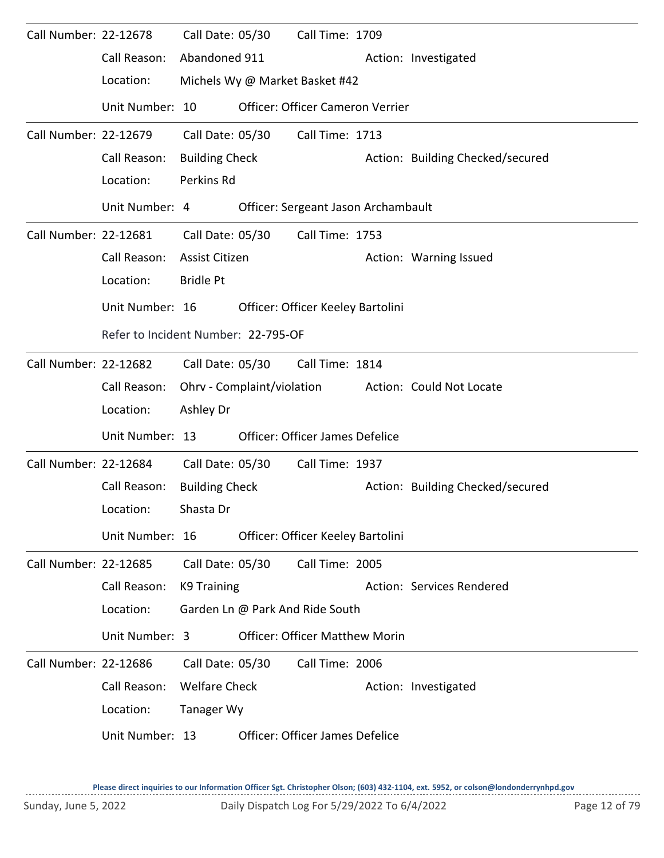| Call Number: 22-12678 |                                     | Call Date: 05/30      |  | Call Time: 1709                        |  |                                  |  |  |  |
|-----------------------|-------------------------------------|-----------------------|--|----------------------------------------|--|----------------------------------|--|--|--|
|                       | Call Reason:                        | Abandoned 911         |  |                                        |  | Action: Investigated             |  |  |  |
|                       | Location:                           |                       |  | Michels Wy @ Market Basket #42         |  |                                  |  |  |  |
|                       | Unit Number: 10                     |                       |  | Officer: Officer Cameron Verrier       |  |                                  |  |  |  |
| Call Number: 22-12679 |                                     | Call Date: 05/30      |  | Call Time: 1713                        |  |                                  |  |  |  |
|                       | Call Reason:                        | <b>Building Check</b> |  |                                        |  | Action: Building Checked/secured |  |  |  |
|                       | Location:                           | Perkins Rd            |  |                                        |  |                                  |  |  |  |
|                       | Unit Number: 4                      |                       |  | Officer: Sergeant Jason Archambault    |  |                                  |  |  |  |
| Call Number: 22-12681 |                                     | Call Date: 05/30      |  | Call Time: 1753                        |  |                                  |  |  |  |
|                       | Call Reason:                        | Assist Citizen        |  |                                        |  | Action: Warning Issued           |  |  |  |
|                       | Location:                           | <b>Bridle Pt</b>      |  |                                        |  |                                  |  |  |  |
|                       | Unit Number: 16                     |                       |  | Officer: Officer Keeley Bartolini      |  |                                  |  |  |  |
|                       | Refer to Incident Number: 22-795-OF |                       |  |                                        |  |                                  |  |  |  |
| Call Number: 22-12682 |                                     | Call Date: 05/30      |  | Call Time: 1814                        |  |                                  |  |  |  |
|                       | Call Reason:                        |                       |  | Ohrv - Complaint/violation             |  | Action: Could Not Locate         |  |  |  |
|                       | Location:                           | Ashley Dr             |  |                                        |  |                                  |  |  |  |
|                       | Unit Number: 13                     |                       |  | <b>Officer: Officer James Defelice</b> |  |                                  |  |  |  |
| Call Number: 22-12684 |                                     | Call Date: 05/30      |  | Call Time: 1937                        |  |                                  |  |  |  |
|                       | Call Reason:                        | <b>Building Check</b> |  |                                        |  | Action: Building Checked/secured |  |  |  |
|                       | Location:                           | Shasta Dr             |  |                                        |  |                                  |  |  |  |
|                       | Unit Number: 16                     |                       |  | Officer: Officer Keeley Bartolini      |  |                                  |  |  |  |
| Call Number: 22-12685 |                                     | Call Date: 05/30      |  | Call Time: 2005                        |  |                                  |  |  |  |
|                       | Call Reason:                        | K9 Training           |  |                                        |  | Action: Services Rendered        |  |  |  |
|                       | Location:                           |                       |  | Garden Ln @ Park And Ride South        |  |                                  |  |  |  |
|                       | Unit Number: 3                      |                       |  | <b>Officer: Officer Matthew Morin</b>  |  |                                  |  |  |  |
| Call Number: 22-12686 |                                     | Call Date: 05/30      |  | Call Time: 2006                        |  |                                  |  |  |  |
|                       | Call Reason:                        | <b>Welfare Check</b>  |  |                                        |  | Action: Investigated             |  |  |  |
|                       | Location:                           | <b>Tanager Wy</b>     |  |                                        |  |                                  |  |  |  |
|                       | Unit Number: 13                     |                       |  | Officer: Officer James Defelice        |  |                                  |  |  |  |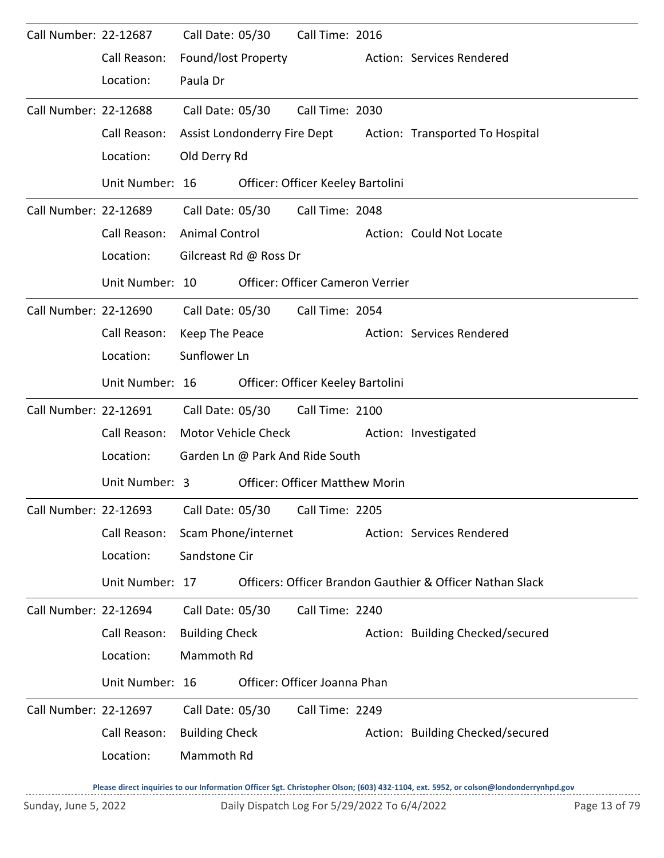| Call Number: 22-12687 |                 | Call Date: 05/30      |                        | Call Time: 2016                       |  |                                                              |  |  |  |
|-----------------------|-----------------|-----------------------|------------------------|---------------------------------------|--|--------------------------------------------------------------|--|--|--|
|                       | Call Reason:    | Found/lost Property   |                        |                                       |  | Action: Services Rendered                                    |  |  |  |
|                       | Location:       | Paula Dr              |                        |                                       |  |                                                              |  |  |  |
| Call Number: 22-12688 |                 | Call Date: 05/30      |                        | Call Time: 2030                       |  |                                                              |  |  |  |
|                       | Call Reason:    |                       |                        |                                       |  | Assist Londonderry Fire Dept Action: Transported To Hospital |  |  |  |
|                       | Location:       | Old Derry Rd          |                        |                                       |  |                                                              |  |  |  |
|                       | Unit Number: 16 |                       |                        | Officer: Officer Keeley Bartolini     |  |                                                              |  |  |  |
| Call Number: 22-12689 |                 | Call Date: 05/30      |                        | Call Time: 2048                       |  |                                                              |  |  |  |
|                       | Call Reason:    | <b>Animal Control</b> |                        |                                       |  | Action: Could Not Locate                                     |  |  |  |
|                       | Location:       |                       | Gilcreast Rd @ Ross Dr |                                       |  |                                                              |  |  |  |
|                       | Unit Number: 10 |                       |                        | Officer: Officer Cameron Verrier      |  |                                                              |  |  |  |
| Call Number: 22-12690 |                 | Call Date: 05/30      |                        | Call Time: 2054                       |  |                                                              |  |  |  |
|                       | Call Reason:    | Keep The Peace        |                        |                                       |  | Action: Services Rendered                                    |  |  |  |
|                       | Location:       | Sunflower Ln          |                        |                                       |  |                                                              |  |  |  |
|                       | Unit Number: 16 |                       |                        | Officer: Officer Keeley Bartolini     |  |                                                              |  |  |  |
| Call Number: 22-12691 |                 |                       | Call Date: 05/30       | Call Time: 2100                       |  |                                                              |  |  |  |
|                       | Call Reason:    |                       | Motor Vehicle Check    |                                       |  | Action: Investigated                                         |  |  |  |
|                       | Location:       |                       |                        | Garden Ln @ Park And Ride South       |  |                                                              |  |  |  |
|                       | Unit Number: 3  |                       |                        | <b>Officer: Officer Matthew Morin</b> |  |                                                              |  |  |  |
| Call Number: 22-12693 |                 | Call Date: 05/30      |                        | Call Time: 2205                       |  |                                                              |  |  |  |
|                       | Call Reason:    |                       | Scam Phone/internet    |                                       |  | Action: Services Rendered                                    |  |  |  |
|                       | Location:       | Sandstone Cir         |                        |                                       |  |                                                              |  |  |  |
|                       | Unit Number: 17 |                       |                        |                                       |  | Officers: Officer Brandon Gauthier & Officer Nathan Slack    |  |  |  |
| Call Number: 22-12694 |                 | Call Date: 05/30      |                        | Call Time: 2240                       |  |                                                              |  |  |  |
|                       | Call Reason:    | <b>Building Check</b> |                        |                                       |  | Action: Building Checked/secured                             |  |  |  |
|                       | Location:       | Mammoth Rd            |                        |                                       |  |                                                              |  |  |  |
|                       | Unit Number: 16 |                       |                        | Officer: Officer Joanna Phan          |  |                                                              |  |  |  |
| Call Number: 22-12697 |                 | Call Date: 05/30      |                        | Call Time: 2249                       |  |                                                              |  |  |  |
|                       | Call Reason:    | <b>Building Check</b> |                        |                                       |  | Action: Building Checked/secured                             |  |  |  |
|                       | Location:       | Mammoth Rd            |                        |                                       |  |                                                              |  |  |  |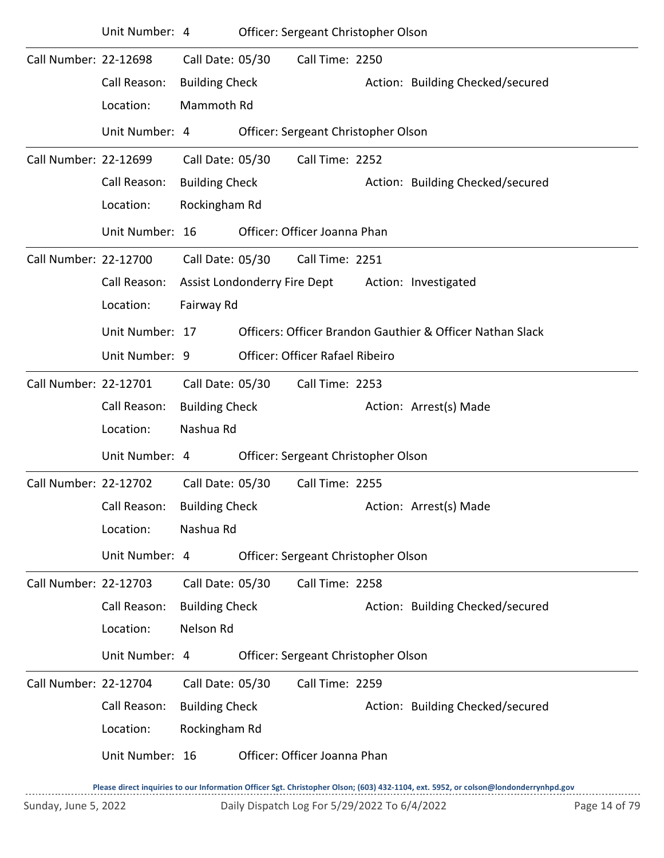|                       | Unit Number: 4  |                              | Officer: Sergeant Christopher Olson    |                                                           |
|-----------------------|-----------------|------------------------------|----------------------------------------|-----------------------------------------------------------|
| Call Number: 22-12698 |                 | Call Date: 05/30             | Call Time: 2250                        |                                                           |
|                       | Call Reason:    | <b>Building Check</b>        |                                        | Action: Building Checked/secured                          |
|                       | Location:       | Mammoth Rd                   |                                        |                                                           |
|                       | Unit Number: 4  |                              | Officer: Sergeant Christopher Olson    |                                                           |
| Call Number: 22-12699 |                 | Call Date: 05/30             | Call Time: 2252                        |                                                           |
|                       | Call Reason:    | <b>Building Check</b>        |                                        | Action: Building Checked/secured                          |
|                       | Location:       | Rockingham Rd                |                                        |                                                           |
|                       | Unit Number: 16 |                              | Officer: Officer Joanna Phan           |                                                           |
| Call Number: 22-12700 |                 | Call Date: 05/30             | Call Time: 2251                        |                                                           |
|                       | Call Reason:    | Assist Londonderry Fire Dept |                                        | Action: Investigated                                      |
|                       | Location:       | Fairway Rd                   |                                        |                                                           |
|                       | Unit Number: 17 |                              |                                        | Officers: Officer Brandon Gauthier & Officer Nathan Slack |
|                       | Unit Number: 9  |                              | <b>Officer: Officer Rafael Ribeiro</b> |                                                           |
| Call Number: 22-12701 |                 | Call Date: 05/30             | Call Time: 2253                        |                                                           |
|                       | Call Reason:    | <b>Building Check</b>        |                                        | Action: Arrest(s) Made                                    |
|                       | Location:       | Nashua Rd                    |                                        |                                                           |
|                       | Unit Number: 4  |                              | Officer: Sergeant Christopher Olson    |                                                           |
| Call Number: 22-12702 |                 | Call Date: 05/30             | Call Time: 2255                        |                                                           |
|                       | Call Reason:    | <b>Building Check</b>        |                                        | Action: Arrest(s) Made                                    |
|                       | Location:       | Nashua Rd                    |                                        |                                                           |
|                       | Unit Number: 4  |                              | Officer: Sergeant Christopher Olson    |                                                           |
| Call Number: 22-12703 |                 | Call Date: 05/30             | Call Time: 2258                        |                                                           |
|                       | Call Reason:    | <b>Building Check</b>        |                                        | Action: Building Checked/secured                          |
|                       | Location:       | Nelson Rd                    |                                        |                                                           |
|                       | Unit Number: 4  |                              | Officer: Sergeant Christopher Olson    |                                                           |
| Call Number: 22-12704 |                 | Call Date: 05/30             | Call Time: 2259                        |                                                           |
|                       | Call Reason:    | <b>Building Check</b>        |                                        | Action: Building Checked/secured                          |
|                       | Location:       | Rockingham Rd                |                                        |                                                           |
|                       | Unit Number: 16 |                              | Officer: Officer Joanna Phan           |                                                           |
|                       |                 |                              |                                        |                                                           |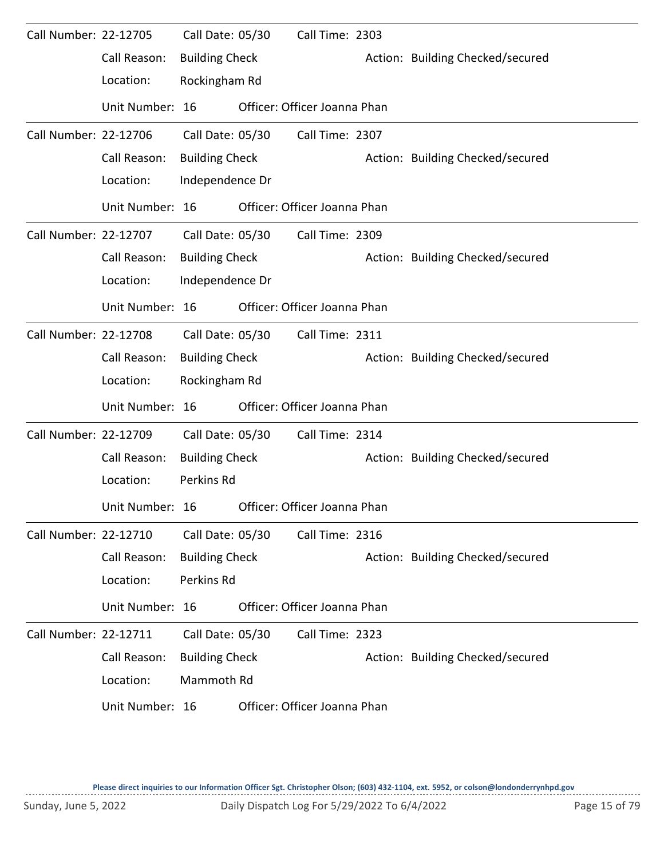| Call Number: 22-12705 |                 | Call Date: 05/30      | Call Time: 2303              |                                  |
|-----------------------|-----------------|-----------------------|------------------------------|----------------------------------|
|                       | Call Reason:    | <b>Building Check</b> |                              | Action: Building Checked/secured |
|                       | Location:       | Rockingham Rd         |                              |                                  |
|                       | Unit Number: 16 |                       | Officer: Officer Joanna Phan |                                  |
| Call Number: 22-12706 |                 | Call Date: 05/30      | Call Time: 2307              |                                  |
|                       | Call Reason:    | <b>Building Check</b> |                              | Action: Building Checked/secured |
|                       | Location:       | Independence Dr       |                              |                                  |
|                       | Unit Number: 16 |                       | Officer: Officer Joanna Phan |                                  |
| Call Number: 22-12707 |                 | Call Date: 05/30      | Call Time: 2309              |                                  |
|                       | Call Reason:    | <b>Building Check</b> |                              | Action: Building Checked/secured |
|                       | Location:       | Independence Dr       |                              |                                  |
|                       | Unit Number: 16 |                       | Officer: Officer Joanna Phan |                                  |
| Call Number: 22-12708 |                 | Call Date: 05/30      | Call Time: 2311              |                                  |
|                       | Call Reason:    | <b>Building Check</b> |                              | Action: Building Checked/secured |
|                       | Location:       | Rockingham Rd         |                              |                                  |
|                       | Unit Number: 16 |                       | Officer: Officer Joanna Phan |                                  |
| Call Number: 22-12709 |                 | Call Date: 05/30      | Call Time: 2314              |                                  |
|                       | Call Reason:    | <b>Building Check</b> |                              | Action: Building Checked/secured |
|                       | Location:       | Perkins Rd            |                              |                                  |
|                       | Unit Number: 16 |                       | Officer: Officer Joanna Phan |                                  |
| Call Number: 22-12710 |                 | Call Date: 05/30      | Call Time: 2316              |                                  |
|                       | Call Reason:    | <b>Building Check</b> |                              | Action: Building Checked/secured |
|                       | Location:       | Perkins Rd            |                              |                                  |
|                       | Unit Number: 16 |                       | Officer: Officer Joanna Phan |                                  |
| Call Number: 22-12711 |                 | Call Date: 05/30      | Call Time: 2323              |                                  |
|                       | Call Reason:    | <b>Building Check</b> |                              | Action: Building Checked/secured |
|                       | Location:       | Mammoth Rd            |                              |                                  |
|                       | Unit Number: 16 |                       | Officer: Officer Joanna Phan |                                  |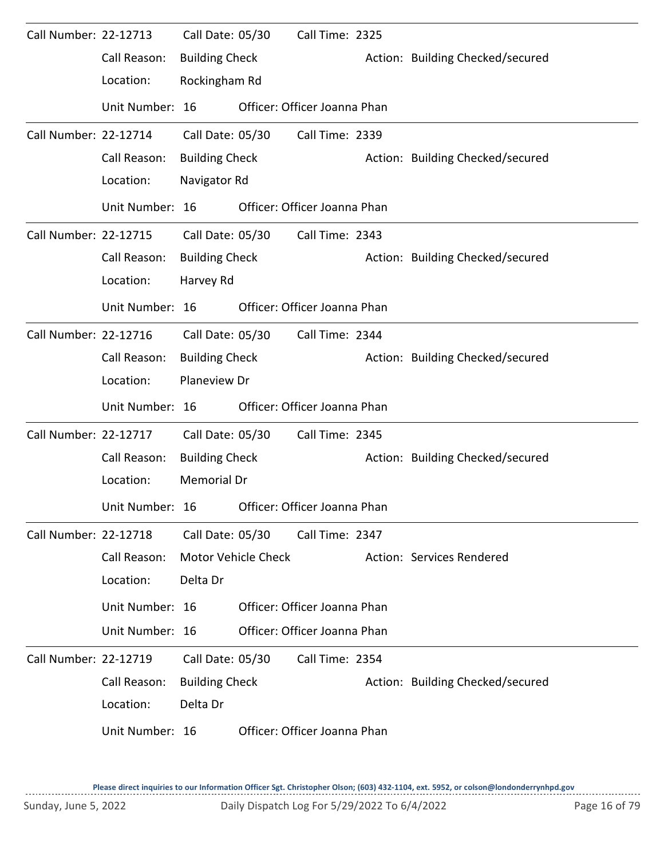| Call Number: 22-12713 |                 | Call Date: 05/30      |                     | Call Time: 2325              |                                  |
|-----------------------|-----------------|-----------------------|---------------------|------------------------------|----------------------------------|
|                       | Call Reason:    | <b>Building Check</b> |                     |                              | Action: Building Checked/secured |
|                       | Location:       | Rockingham Rd         |                     |                              |                                  |
|                       | Unit Number: 16 |                       |                     | Officer: Officer Joanna Phan |                                  |
| Call Number: 22-12714 |                 | Call Date: 05/30      |                     | Call Time: 2339              |                                  |
|                       | Call Reason:    | <b>Building Check</b> |                     |                              | Action: Building Checked/secured |
|                       | Location:       | Navigator Rd          |                     |                              |                                  |
|                       | Unit Number: 16 |                       |                     | Officer: Officer Joanna Phan |                                  |
| Call Number: 22-12715 |                 | Call Date: 05/30      |                     | Call Time: 2343              |                                  |
|                       | Call Reason:    | <b>Building Check</b> |                     |                              | Action: Building Checked/secured |
|                       | Location:       | Harvey Rd             |                     |                              |                                  |
|                       | Unit Number: 16 |                       |                     | Officer: Officer Joanna Phan |                                  |
| Call Number: 22-12716 |                 | Call Date: 05/30      |                     | Call Time: 2344              |                                  |
|                       | Call Reason:    | <b>Building Check</b> |                     |                              | Action: Building Checked/secured |
|                       | Location:       | Planeview Dr          |                     |                              |                                  |
|                       | Unit Number: 16 |                       |                     | Officer: Officer Joanna Phan |                                  |
| Call Number: 22-12717 |                 | Call Date: 05/30      |                     | Call Time: 2345              |                                  |
|                       | Call Reason:    | <b>Building Check</b> |                     |                              | Action: Building Checked/secured |
|                       | Location:       | <b>Memorial Dr</b>    |                     |                              |                                  |
|                       | Unit Number: 16 |                       |                     | Officer: Officer Joanna Phan |                                  |
| Call Number: 22-12718 |                 | Call Date: 05/30      |                     | Call Time: 2347              |                                  |
|                       | Call Reason:    |                       | Motor Vehicle Check |                              | Action: Services Rendered        |
|                       | Location:       | Delta Dr              |                     |                              |                                  |
|                       | Unit Number: 16 |                       |                     | Officer: Officer Joanna Phan |                                  |
|                       | Unit Number: 16 |                       |                     | Officer: Officer Joanna Phan |                                  |
| Call Number: 22-12719 |                 | Call Date: 05/30      |                     | Call Time: 2354              |                                  |
|                       | Call Reason:    | <b>Building Check</b> |                     |                              | Action: Building Checked/secured |
|                       | Location:       | Delta Dr              |                     |                              |                                  |
|                       | Unit Number: 16 |                       |                     | Officer: Officer Joanna Phan |                                  |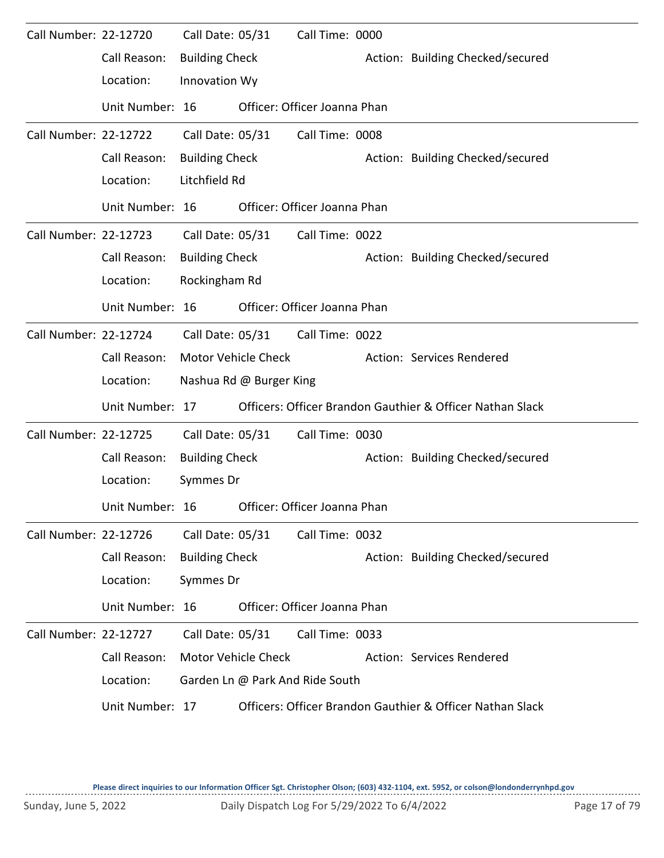| Call Number: 22-12720 |                 | Call Date: 05/31      |                         | Call Time: 0000                 |                                                           |
|-----------------------|-----------------|-----------------------|-------------------------|---------------------------------|-----------------------------------------------------------|
|                       | Call Reason:    | <b>Building Check</b> |                         |                                 | Action: Building Checked/secured                          |
|                       | Location:       | Innovation Wy         |                         |                                 |                                                           |
|                       | Unit Number: 16 |                       |                         | Officer: Officer Joanna Phan    |                                                           |
| Call Number: 22-12722 |                 | Call Date: 05/31      |                         | Call Time: 0008                 |                                                           |
|                       | Call Reason:    | <b>Building Check</b> |                         |                                 | Action: Building Checked/secured                          |
|                       | Location:       | Litchfield Rd         |                         |                                 |                                                           |
|                       | Unit Number: 16 |                       |                         | Officer: Officer Joanna Phan    |                                                           |
| Call Number: 22-12723 |                 | Call Date: 05/31      |                         | Call Time: 0022                 |                                                           |
|                       | Call Reason:    | <b>Building Check</b> |                         |                                 | Action: Building Checked/secured                          |
|                       | Location:       | Rockingham Rd         |                         |                                 |                                                           |
|                       | Unit Number: 16 |                       |                         | Officer: Officer Joanna Phan    |                                                           |
| Call Number: 22-12724 |                 | Call Date: 05/31      |                         | Call Time: 0022                 |                                                           |
|                       | Call Reason:    | Motor Vehicle Check   |                         |                                 | Action: Services Rendered                                 |
|                       | Location:       |                       | Nashua Rd @ Burger King |                                 |                                                           |
|                       | Unit Number: 17 |                       |                         |                                 | Officers: Officer Brandon Gauthier & Officer Nathan Slack |
| Call Number: 22-12725 |                 | Call Date: 05/31      |                         | Call Time: 0030                 |                                                           |
|                       | Call Reason:    | <b>Building Check</b> |                         |                                 | Action: Building Checked/secured                          |
|                       | Location:       | Symmes Dr             |                         |                                 |                                                           |
|                       | Unit Number: 16 |                       |                         | Officer: Officer Joanna Phan    |                                                           |
| Call Number: 22-12726 |                 | Call Date: 05/31      |                         | Call Time: 0032                 |                                                           |
|                       | Call Reason:    | <b>Building Check</b> |                         |                                 | Action: Building Checked/secured                          |
|                       | Location:       | Symmes Dr             |                         |                                 |                                                           |
|                       | Unit Number: 16 |                       |                         | Officer: Officer Joanna Phan    |                                                           |
| Call Number: 22-12727 |                 | Call Date: 05/31      |                         | Call Time: 0033                 |                                                           |
|                       | Call Reason:    |                       | Motor Vehicle Check     |                                 | Action: Services Rendered                                 |
|                       | Location:       |                       |                         | Garden Ln @ Park And Ride South |                                                           |
|                       | Unit Number: 17 |                       |                         |                                 | Officers: Officer Brandon Gauthier & Officer Nathan Slack |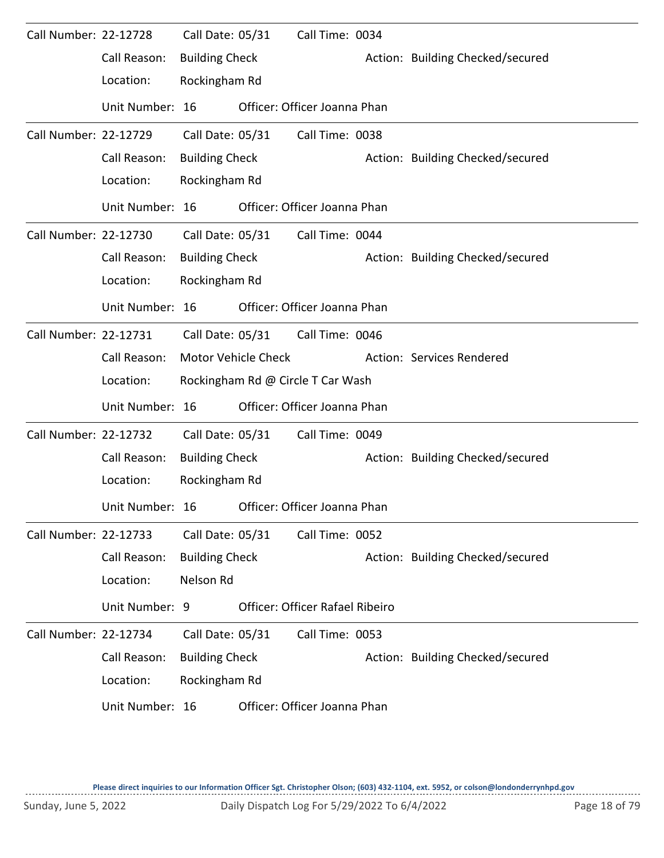| Call Number: 22-12728 |                 | Call Date: 05/31      |                            | Call Time: 0034                   |                                  |
|-----------------------|-----------------|-----------------------|----------------------------|-----------------------------------|----------------------------------|
|                       | Call Reason:    | <b>Building Check</b> |                            |                                   | Action: Building Checked/secured |
|                       | Location:       | Rockingham Rd         |                            |                                   |                                  |
|                       | Unit Number: 16 |                       |                            | Officer: Officer Joanna Phan      |                                  |
| Call Number: 22-12729 |                 | Call Date: 05/31      |                            | Call Time: 0038                   |                                  |
|                       | Call Reason:    | <b>Building Check</b> |                            |                                   | Action: Building Checked/secured |
|                       | Location:       | Rockingham Rd         |                            |                                   |                                  |
|                       | Unit Number: 16 |                       |                            | Officer: Officer Joanna Phan      |                                  |
| Call Number: 22-12730 |                 | Call Date: 05/31      |                            | Call Time: 0044                   |                                  |
|                       | Call Reason:    | <b>Building Check</b> |                            |                                   | Action: Building Checked/secured |
|                       | Location:       | Rockingham Rd         |                            |                                   |                                  |
|                       | Unit Number: 16 |                       |                            | Officer: Officer Joanna Phan      |                                  |
| Call Number: 22-12731 |                 | Call Date: 05/31      |                            | Call Time: 0046                   |                                  |
|                       | Call Reason:    |                       | <b>Motor Vehicle Check</b> |                                   | Action: Services Rendered        |
|                       | Location:       |                       |                            | Rockingham Rd @ Circle T Car Wash |                                  |
|                       | Unit Number: 16 |                       |                            | Officer: Officer Joanna Phan      |                                  |
| Call Number: 22-12732 |                 | Call Date: 05/31      |                            | Call Time: 0049                   |                                  |
|                       | Call Reason:    | <b>Building Check</b> |                            |                                   | Action: Building Checked/secured |
|                       | Location:       | Rockingham Rd         |                            |                                   |                                  |
|                       | Unit Number: 16 |                       |                            | Officer: Officer Joanna Phan      |                                  |
| Call Number: 22-12733 |                 | Call Date: 05/31      |                            | Call Time: 0052                   |                                  |
|                       | Call Reason:    | <b>Building Check</b> |                            |                                   | Action: Building Checked/secured |
|                       | Location:       | Nelson Rd             |                            |                                   |                                  |
|                       | Unit Number: 9  |                       |                            | Officer: Officer Rafael Ribeiro   |                                  |
| Call Number: 22-12734 |                 | Call Date: 05/31      |                            | Call Time: 0053                   |                                  |
|                       | Call Reason:    | <b>Building Check</b> |                            |                                   | Action: Building Checked/secured |
|                       | Location:       | Rockingham Rd         |                            |                                   |                                  |
|                       | Unit Number: 16 |                       |                            | Officer: Officer Joanna Phan      |                                  |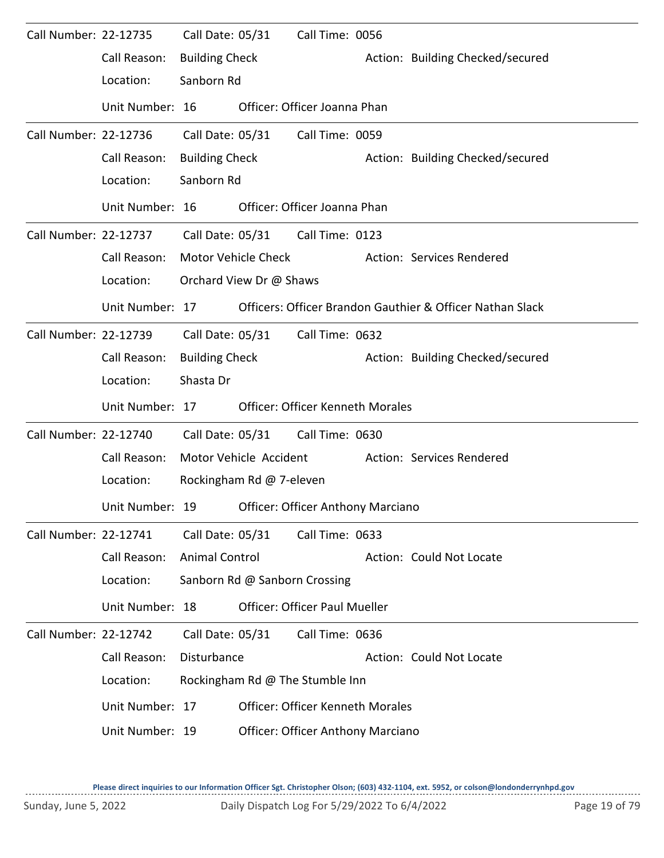| Call Number: 22-12735 |                 | Call Date: 05/31      |                               | Call Time: 0056                          |  |                                                           |  |  |  |  |
|-----------------------|-----------------|-----------------------|-------------------------------|------------------------------------------|--|-----------------------------------------------------------|--|--|--|--|
|                       | Call Reason:    | <b>Building Check</b> |                               |                                          |  | Action: Building Checked/secured                          |  |  |  |  |
|                       | Location:       | Sanborn Rd            |                               |                                          |  |                                                           |  |  |  |  |
|                       | Unit Number: 16 |                       |                               | Officer: Officer Joanna Phan             |  |                                                           |  |  |  |  |
| Call Number: 22-12736 |                 | Call Date: 05/31      |                               | Call Time: 0059                          |  |                                                           |  |  |  |  |
|                       | Call Reason:    | <b>Building Check</b> |                               |                                          |  | Action: Building Checked/secured                          |  |  |  |  |
|                       | Location:       | Sanborn Rd            |                               |                                          |  |                                                           |  |  |  |  |
|                       | Unit Number: 16 |                       |                               | Officer: Officer Joanna Phan             |  |                                                           |  |  |  |  |
| Call Number: 22-12737 |                 |                       |                               | Call Date: 05/31 Call Time: 0123         |  |                                                           |  |  |  |  |
|                       | Call Reason:    |                       | Motor Vehicle Check           |                                          |  | Action: Services Rendered                                 |  |  |  |  |
|                       | Location:       |                       | Orchard View Dr @ Shaws       |                                          |  |                                                           |  |  |  |  |
|                       | Unit Number: 17 |                       |                               |                                          |  | Officers: Officer Brandon Gauthier & Officer Nathan Slack |  |  |  |  |
| Call Number: 22-12739 |                 | Call Date: 05/31      |                               | Call Time: 0632                          |  |                                                           |  |  |  |  |
|                       | Call Reason:    | <b>Building Check</b> |                               |                                          |  | Action: Building Checked/secured                          |  |  |  |  |
|                       | Location:       | Shasta Dr             |                               |                                          |  |                                                           |  |  |  |  |
|                       | Unit Number: 17 |                       |                               | <b>Officer: Officer Kenneth Morales</b>  |  |                                                           |  |  |  |  |
| Call Number: 22-12740 |                 | Call Date: 05/31      |                               | Call Time: 0630                          |  |                                                           |  |  |  |  |
|                       | Call Reason:    |                       | Motor Vehicle Accident        |                                          |  | Action: Services Rendered                                 |  |  |  |  |
|                       | Location:       |                       | Rockingham Rd @ 7-eleven      |                                          |  |                                                           |  |  |  |  |
|                       | Unit Number: 19 |                       |                               | <b>Officer: Officer Anthony Marciano</b> |  |                                                           |  |  |  |  |
| Call Number: 22-12741 |                 | Call Date: 05/31      |                               | Call Time: 0633                          |  |                                                           |  |  |  |  |
|                       | Call Reason:    | Animal Control        |                               |                                          |  | Action: Could Not Locate                                  |  |  |  |  |
|                       | Location:       |                       | Sanborn Rd @ Sanborn Crossing |                                          |  |                                                           |  |  |  |  |
|                       | Unit Number: 18 |                       |                               | <b>Officer: Officer Paul Mueller</b>     |  |                                                           |  |  |  |  |
| Call Number: 22-12742 |                 | Call Date: 05/31      |                               | Call Time: 0636                          |  |                                                           |  |  |  |  |
|                       | Call Reason:    | Disturbance           |                               |                                          |  | Action: Could Not Locate                                  |  |  |  |  |
|                       | Location:       |                       |                               | Rockingham Rd @ The Stumble Inn          |  |                                                           |  |  |  |  |
|                       | Unit Number: 17 |                       |                               | <b>Officer: Officer Kenneth Morales</b>  |  |                                                           |  |  |  |  |
|                       | Unit Number: 19 |                       |                               | <b>Officer: Officer Anthony Marciano</b> |  |                                                           |  |  |  |  |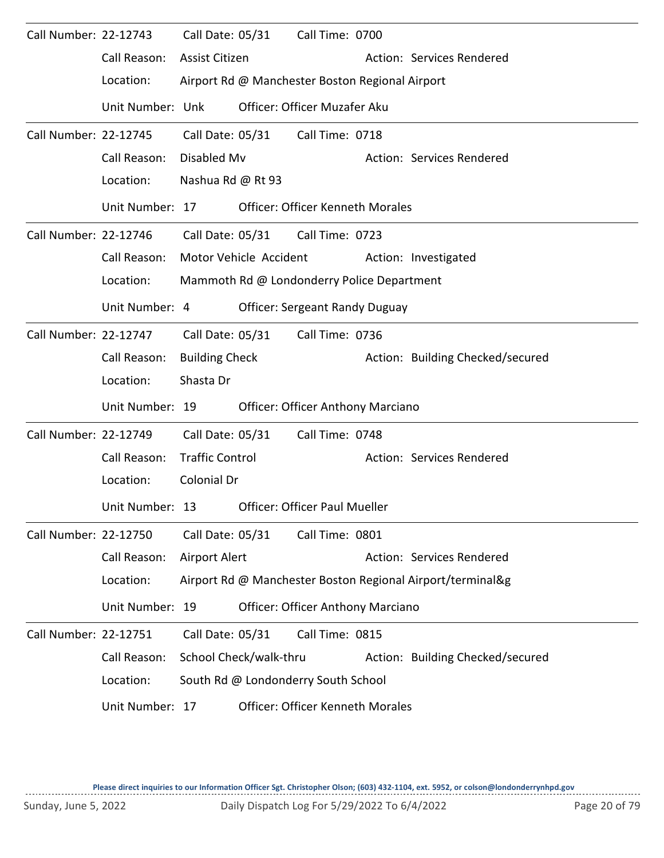| Call Number: 22-12743 |                  | Call Date: 05/31       |                        | Call Time: 0700                                 |                                                            |
|-----------------------|------------------|------------------------|------------------------|-------------------------------------------------|------------------------------------------------------------|
|                       | Call Reason:     | Assist Citizen         |                        |                                                 | Action: Services Rendered                                  |
|                       | Location:        |                        |                        | Airport Rd @ Manchester Boston Regional Airport |                                                            |
|                       | Unit Number: Unk |                        |                        | Officer: Officer Muzafer Aku                    |                                                            |
| Call Number: 22-12745 |                  | Call Date: 05/31       |                        | Call Time: 0718                                 |                                                            |
|                       | Call Reason:     | Disabled Mv            |                        |                                                 | Action: Services Rendered                                  |
|                       | Location:        | Nashua Rd @ Rt 93      |                        |                                                 |                                                            |
|                       | Unit Number: 17  |                        |                        | <b>Officer: Officer Kenneth Morales</b>         |                                                            |
| Call Number: 22-12746 |                  |                        |                        | Call Date: 05/31 Call Time: 0723                |                                                            |
|                       | Call Reason:     |                        | Motor Vehicle Accident |                                                 | Action: Investigated                                       |
|                       | Location:        |                        |                        | Mammoth Rd @ Londonderry Police Department      |                                                            |
|                       | Unit Number: 4   |                        |                        | <b>Officer: Sergeant Randy Duguay</b>           |                                                            |
| Call Number: 22-12747 |                  | Call Date: 05/31       |                        | Call Time: 0736                                 |                                                            |
|                       | Call Reason:     | <b>Building Check</b>  |                        |                                                 | Action: Building Checked/secured                           |
|                       | Location:        | Shasta Dr              |                        |                                                 |                                                            |
|                       | Unit Number: 19  |                        |                        | Officer: Officer Anthony Marciano               |                                                            |
| Call Number: 22-12749 |                  | Call Date: 05/31       |                        | Call Time: 0748                                 |                                                            |
|                       | Call Reason:     | <b>Traffic Control</b> |                        |                                                 | Action: Services Rendered                                  |
|                       | Location:        | Colonial Dr            |                        |                                                 |                                                            |
|                       | Unit Number: 13  |                        |                        | Officer: Officer Paul Mueller                   |                                                            |
| Call Number: 22-12750 |                  | Call Date: 05/31       |                        | Call Time: 0801                                 |                                                            |
|                       | Call Reason:     | Airport Alert          |                        |                                                 | Action: Services Rendered                                  |
|                       | Location:        |                        |                        |                                                 | Airport Rd @ Manchester Boston Regional Airport/terminal&g |
|                       | Unit Number: 19  |                        |                        | <b>Officer: Officer Anthony Marciano</b>        |                                                            |
| Call Number: 22-12751 |                  | Call Date: 05/31       |                        | Call Time: 0815                                 |                                                            |
|                       | Call Reason:     |                        | School Check/walk-thru |                                                 | Action: Building Checked/secured                           |
|                       | Location:        |                        |                        | South Rd @ Londonderry South School             |                                                            |
|                       | Unit Number: 17  |                        |                        | <b>Officer: Officer Kenneth Morales</b>         |                                                            |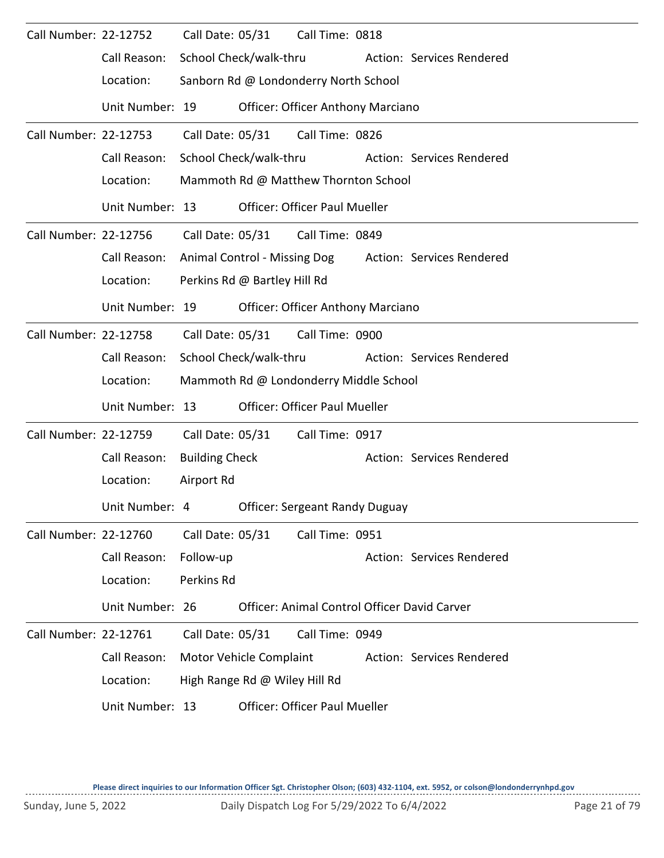| Call Number: 22-12752 |                 | Call Date: 05/31       |                                        | Call Time: 0818                          |  |                                              |  |  |  |
|-----------------------|-----------------|------------------------|----------------------------------------|------------------------------------------|--|----------------------------------------------|--|--|--|
|                       | Call Reason:    | School Check/walk-thru |                                        |                                          |  | Action: Services Rendered                    |  |  |  |
|                       | Location:       |                        |                                        | Sanborn Rd @ Londonderry North School    |  |                                              |  |  |  |
|                       | Unit Number: 19 |                        |                                        | <b>Officer: Officer Anthony Marciano</b> |  |                                              |  |  |  |
| Call Number: 22-12753 |                 | Call Date: 05/31       |                                        | Call Time: 0826                          |  |                                              |  |  |  |
|                       | Call Reason:    | School Check/walk-thru |                                        |                                          |  | Action: Services Rendered                    |  |  |  |
|                       | Location:       |                        |                                        | Mammoth Rd @ Matthew Thornton School     |  |                                              |  |  |  |
|                       | Unit Number: 13 |                        |                                        | <b>Officer: Officer Paul Mueller</b>     |  |                                              |  |  |  |
| Call Number: 22-12756 |                 |                        |                                        | Call Date: 05/31 Call Time: 0849         |  |                                              |  |  |  |
|                       | Call Reason:    |                        |                                        | Animal Control - Missing Dog             |  | Action: Services Rendered                    |  |  |  |
|                       | Location:       |                        | Perkins Rd @ Bartley Hill Rd           |                                          |  |                                              |  |  |  |
|                       | Unit Number: 19 |                        |                                        | <b>Officer: Officer Anthony Marciano</b> |  |                                              |  |  |  |
| Call Number: 22-12758 |                 | Call Date: 05/31       |                                        | Call Time: 0900                          |  |                                              |  |  |  |
|                       | Call Reason:    | School Check/walk-thru |                                        |                                          |  | Action: Services Rendered                    |  |  |  |
|                       | Location:       |                        | Mammoth Rd @ Londonderry Middle School |                                          |  |                                              |  |  |  |
|                       | Unit Number: 13 |                        |                                        | <b>Officer: Officer Paul Mueller</b>     |  |                                              |  |  |  |
| Call Number: 22-12759 |                 | Call Date: 05/31       |                                        | Call Time: 0917                          |  |                                              |  |  |  |
|                       | Call Reason:    | <b>Building Check</b>  |                                        |                                          |  | Action: Services Rendered                    |  |  |  |
|                       | Location:       | Airport Rd             |                                        |                                          |  |                                              |  |  |  |
|                       | Unit Number: 4  |                        |                                        | <b>Officer: Sergeant Randy Duguay</b>    |  |                                              |  |  |  |
| Call Number: 22-12760 |                 | Call Date: 05/31       |                                        | Call Time: 0951                          |  |                                              |  |  |  |
|                       | Call Reason:    | Follow-up              |                                        |                                          |  | Action: Services Rendered                    |  |  |  |
|                       | Location:       | Perkins Rd             |                                        |                                          |  |                                              |  |  |  |
|                       | Unit Number: 26 |                        |                                        |                                          |  | Officer: Animal Control Officer David Carver |  |  |  |
| Call Number: 22-12761 |                 | Call Date: 05/31       |                                        | Call Time: 0949                          |  |                                              |  |  |  |
|                       | Call Reason:    |                        | Motor Vehicle Complaint                |                                          |  | Action: Services Rendered                    |  |  |  |
|                       | Location:       |                        | High Range Rd @ Wiley Hill Rd          |                                          |  |                                              |  |  |  |
|                       | Unit Number: 13 |                        |                                        | <b>Officer: Officer Paul Mueller</b>     |  |                                              |  |  |  |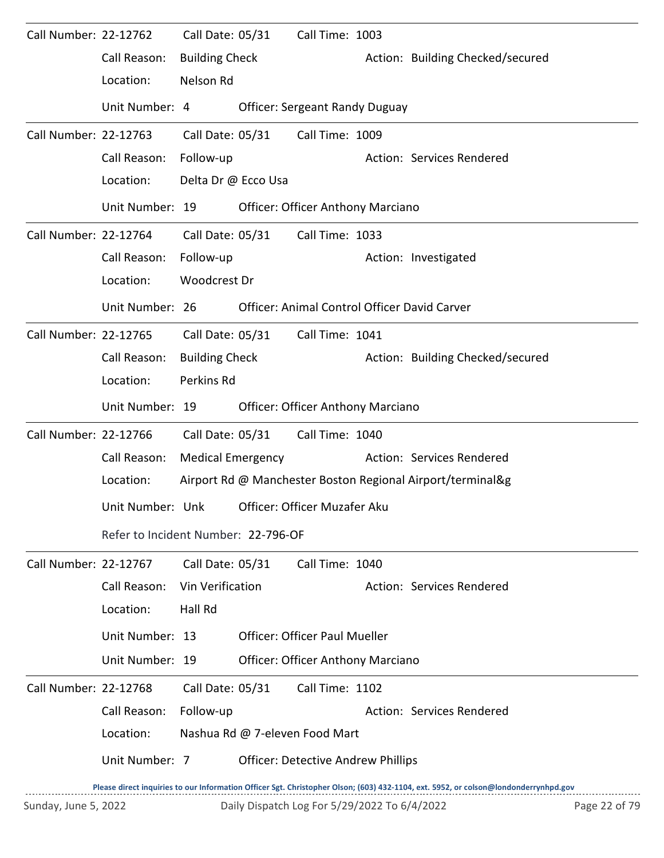| Call Number: 22-12762 |                                     | Call Date: 05/31         | Call Time: 1003                           |                                                                                                                                     |
|-----------------------|-------------------------------------|--------------------------|-------------------------------------------|-------------------------------------------------------------------------------------------------------------------------------------|
|                       | Call Reason:                        | <b>Building Check</b>    |                                           | Action: Building Checked/secured                                                                                                    |
|                       | Location:                           | Nelson Rd                |                                           |                                                                                                                                     |
|                       | Unit Number: 4                      |                          | <b>Officer: Sergeant Randy Duguay</b>     |                                                                                                                                     |
| Call Number: 22-12763 |                                     | Call Date: 05/31         | Call Time: 1009                           |                                                                                                                                     |
|                       | Call Reason:                        | Follow-up                |                                           | Action: Services Rendered                                                                                                           |
|                       | Location:                           | Delta Dr @ Ecco Usa      |                                           |                                                                                                                                     |
|                       | Unit Number: 19                     |                          | <b>Officer: Officer Anthony Marciano</b>  |                                                                                                                                     |
| Call Number: 22-12764 |                                     | Call Date: 05/31         | Call Time: 1033                           |                                                                                                                                     |
|                       | Call Reason:                        | Follow-up                |                                           | Action: Investigated                                                                                                                |
|                       | Location:                           | Woodcrest Dr             |                                           |                                                                                                                                     |
|                       | Unit Number: 26                     |                          |                                           | Officer: Animal Control Officer David Carver                                                                                        |
| Call Number: 22-12765 |                                     | Call Date: 05/31         | Call Time: 1041                           |                                                                                                                                     |
|                       | Call Reason:                        | <b>Building Check</b>    |                                           | Action: Building Checked/secured                                                                                                    |
|                       | Location:                           | Perkins Rd               |                                           |                                                                                                                                     |
|                       | Unit Number: 19                     |                          | <b>Officer: Officer Anthony Marciano</b>  |                                                                                                                                     |
| Call Number: 22-12766 |                                     | Call Date: 05/31         | Call Time: 1040                           |                                                                                                                                     |
|                       | Call Reason:                        | <b>Medical Emergency</b> |                                           | Action: Services Rendered                                                                                                           |
|                       | Location:                           |                          |                                           | Airport Rd @ Manchester Boston Regional Airport/terminal&g                                                                          |
|                       | Unit Number: Unk                    |                          | Officer: Officer Muzafer Aku              |                                                                                                                                     |
|                       | Refer to Incident Number: 22-796-OF |                          |                                           |                                                                                                                                     |
| Call Number: 22-12767 |                                     | Call Date: 05/31         | Call Time: 1040                           |                                                                                                                                     |
|                       | Call Reason:                        | Vin Verification         |                                           | Action: Services Rendered                                                                                                           |
|                       | Location:                           | Hall Rd                  |                                           |                                                                                                                                     |
|                       | Unit Number: 13                     |                          | <b>Officer: Officer Paul Mueller</b>      |                                                                                                                                     |
|                       | Unit Number: 19                     |                          | <b>Officer: Officer Anthony Marciano</b>  |                                                                                                                                     |
| Call Number: 22-12768 |                                     | Call Date: 05/31         | Call Time: 1102                           |                                                                                                                                     |
|                       | Call Reason:                        | Follow-up                |                                           | Action: Services Rendered                                                                                                           |
|                       | Location:                           |                          | Nashua Rd @ 7-eleven Food Mart            |                                                                                                                                     |
|                       | Unit Number: 7                      |                          | <b>Officer: Detective Andrew Phillips</b> |                                                                                                                                     |
|                       |                                     |                          |                                           | Please direct inquiries to our Information Officer Set. Christopher Olson: (603) 432-1104, ext. 5952, or colson@londonderrynhod.gov |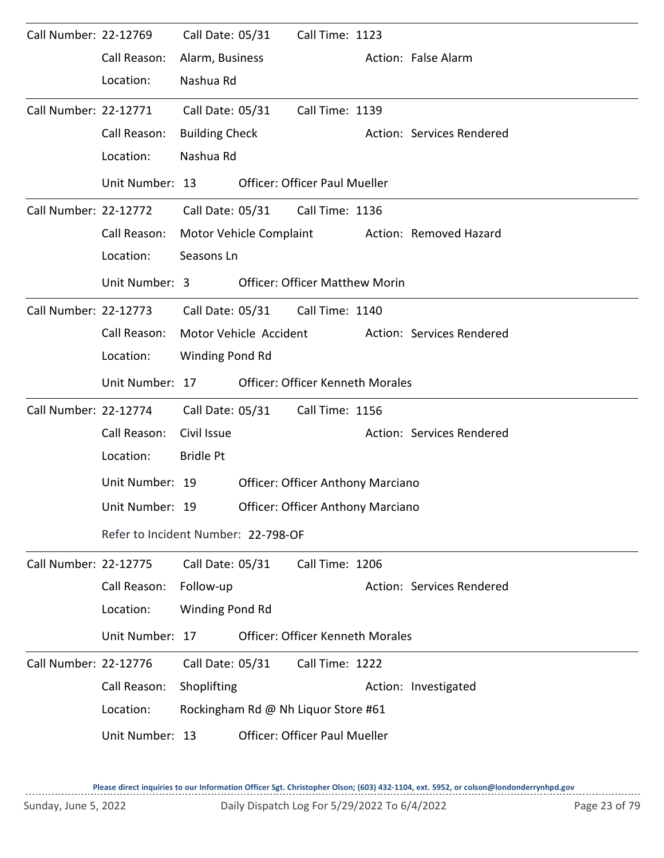| Call Number: 22-12769 |                                     | Call Date: 05/31      |                         | Call Time: 1123                          |  |                           |  |  |  |  |
|-----------------------|-------------------------------------|-----------------------|-------------------------|------------------------------------------|--|---------------------------|--|--|--|--|
|                       | Call Reason:                        | Alarm, Business       |                         |                                          |  | Action: False Alarm       |  |  |  |  |
|                       | Location:                           | Nashua Rd             |                         |                                          |  |                           |  |  |  |  |
| Call Number: 22-12771 |                                     | Call Date: 05/31      |                         | Call Time: 1139                          |  |                           |  |  |  |  |
|                       | Call Reason:                        | <b>Building Check</b> |                         |                                          |  | Action: Services Rendered |  |  |  |  |
|                       | Location:                           | Nashua Rd             |                         |                                          |  |                           |  |  |  |  |
|                       | Unit Number: 13                     |                       |                         | <b>Officer: Officer Paul Mueller</b>     |  |                           |  |  |  |  |
| Call Number: 22-12772 |                                     |                       |                         | Call Date: 05/31 Call Time: 1136         |  |                           |  |  |  |  |
|                       | Call Reason:                        |                       | Motor Vehicle Complaint |                                          |  | Action: Removed Hazard    |  |  |  |  |
|                       | Location:                           | Seasons Ln            |                         |                                          |  |                           |  |  |  |  |
|                       | Unit Number: 3                      |                       |                         | <b>Officer: Officer Matthew Morin</b>    |  |                           |  |  |  |  |
| Call Number: 22-12773 |                                     |                       |                         | Call Date: 05/31 Call Time: 1140         |  |                           |  |  |  |  |
|                       | Call Reason:                        |                       | Motor Vehicle Accident  |                                          |  | Action: Services Rendered |  |  |  |  |
|                       | Location:                           | Winding Pond Rd       |                         |                                          |  |                           |  |  |  |  |
|                       | Unit Number: 17                     |                       |                         | <b>Officer: Officer Kenneth Morales</b>  |  |                           |  |  |  |  |
| Call Number: 22-12774 |                                     | Call Date: 05/31      |                         | Call Time: 1156                          |  |                           |  |  |  |  |
|                       | Call Reason:                        | Civil Issue           |                         |                                          |  | Action: Services Rendered |  |  |  |  |
|                       | Location:                           | <b>Bridle Pt</b>      |                         |                                          |  |                           |  |  |  |  |
|                       | Unit Number: 19                     |                       |                         | <b>Officer: Officer Anthony Marciano</b> |  |                           |  |  |  |  |
|                       | Unit Number: 19                     |                       |                         | <b>Officer: Officer Anthony Marciano</b> |  |                           |  |  |  |  |
|                       | Refer to Incident Number: 22-798-OF |                       |                         |                                          |  |                           |  |  |  |  |
| Call Number: 22-12775 |                                     | Call Date: 05/31      |                         | Call Time: 1206                          |  |                           |  |  |  |  |
|                       | Call Reason:                        | Follow-up             |                         |                                          |  | Action: Services Rendered |  |  |  |  |
|                       | Location:                           | Winding Pond Rd       |                         |                                          |  |                           |  |  |  |  |
|                       | Unit Number: 17                     |                       |                         | <b>Officer: Officer Kenneth Morales</b>  |  |                           |  |  |  |  |
| Call Number: 22-12776 |                                     | Call Date: 05/31      |                         | Call Time: 1222                          |  |                           |  |  |  |  |
|                       | Call Reason:                        | Shoplifting           |                         |                                          |  | Action: Investigated      |  |  |  |  |
|                       | Location:                           |                       |                         | Rockingham Rd @ Nh Liquor Store #61      |  |                           |  |  |  |  |
|                       | Unit Number: 13                     |                       |                         | <b>Officer: Officer Paul Mueller</b>     |  |                           |  |  |  |  |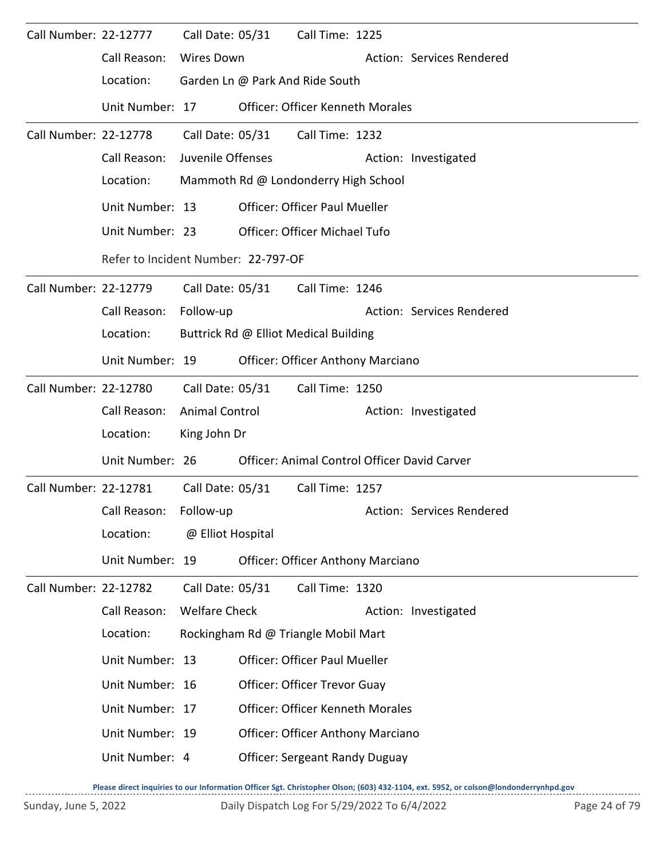| Call Number: 22-12777 |                 |                                      | Call Date: 05/31                      | Call Time: 1225                          |  |                                              |  |  |  |  |  |
|-----------------------|-----------------|--------------------------------------|---------------------------------------|------------------------------------------|--|----------------------------------------------|--|--|--|--|--|
|                       | Call Reason:    | <b>Wires Down</b>                    |                                       |                                          |  | Action: Services Rendered                    |  |  |  |  |  |
|                       | Location:       |                                      |                                       | Garden Ln @ Park And Ride South          |  |                                              |  |  |  |  |  |
|                       | Unit Number: 17 |                                      |                                       | <b>Officer: Officer Kenneth Morales</b>  |  |                                              |  |  |  |  |  |
| Call Number: 22-12778 |                 | Call Date: 05/31                     |                                       | Call Time: 1232                          |  |                                              |  |  |  |  |  |
|                       | Call Reason:    | Juvenile Offenses                    |                                       |                                          |  | Action: Investigated                         |  |  |  |  |  |
|                       | Location:       | Mammoth Rd @ Londonderry High School |                                       |                                          |  |                                              |  |  |  |  |  |
|                       | Unit Number: 13 | <b>Officer: Officer Paul Mueller</b> |                                       |                                          |  |                                              |  |  |  |  |  |
|                       | Unit Number: 23 |                                      |                                       | <b>Officer: Officer Michael Tufo</b>     |  |                                              |  |  |  |  |  |
|                       |                 | Refer to Incident Number: 22-797-OF  |                                       |                                          |  |                                              |  |  |  |  |  |
| Call Number: 22-12779 |                 |                                      | Call Date: 05/31                      | Call Time: 1246                          |  |                                              |  |  |  |  |  |
|                       | Call Reason:    | Follow-up                            |                                       |                                          |  | Action: Services Rendered                    |  |  |  |  |  |
|                       | Location:       |                                      | Buttrick Rd @ Elliot Medical Building |                                          |  |                                              |  |  |  |  |  |
|                       | Unit Number: 19 |                                      |                                       | <b>Officer: Officer Anthony Marciano</b> |  |                                              |  |  |  |  |  |
| Call Number: 22-12780 |                 |                                      | Call Date: 05/31                      | Call Time: 1250                          |  |                                              |  |  |  |  |  |
|                       | Call Reason:    | Animal Control                       |                                       |                                          |  | Action: Investigated                         |  |  |  |  |  |
|                       | Location:       | King John Dr                         |                                       |                                          |  |                                              |  |  |  |  |  |
|                       | Unit Number: 26 |                                      |                                       |                                          |  | Officer: Animal Control Officer David Carver |  |  |  |  |  |
| Call Number: 22-12781 |                 | Call Date: 05/31                     |                                       | Call Time: 1257                          |  |                                              |  |  |  |  |  |
|                       | Call Reason:    | Follow-up                            |                                       |                                          |  | Action: Services Rendered                    |  |  |  |  |  |
|                       | Location:       | @ Elliot Hospital                    |                                       |                                          |  |                                              |  |  |  |  |  |
|                       | Unit Number: 19 |                                      |                                       | <b>Officer: Officer Anthony Marciano</b> |  |                                              |  |  |  |  |  |
| Call Number: 22-12782 |                 | Call Date: 05/31                     |                                       | Call Time: 1320                          |  |                                              |  |  |  |  |  |
|                       | Call Reason:    | <b>Welfare Check</b>                 |                                       |                                          |  | Action: Investigated                         |  |  |  |  |  |
|                       | Location:       |                                      |                                       | Rockingham Rd @ Triangle Mobil Mart      |  |                                              |  |  |  |  |  |
|                       | Unit Number: 13 |                                      |                                       | Officer: Officer Paul Mueller            |  |                                              |  |  |  |  |  |
|                       | Unit Number: 16 |                                      |                                       | Officer: Officer Trevor Guay             |  |                                              |  |  |  |  |  |
|                       | Unit Number: 17 |                                      |                                       | <b>Officer: Officer Kenneth Morales</b>  |  |                                              |  |  |  |  |  |
|                       | Unit Number: 19 |                                      |                                       | Officer: Officer Anthony Marciano        |  |                                              |  |  |  |  |  |
|                       | Unit Number: 4  |                                      |                                       | <b>Officer: Sergeant Randy Duguay</b>    |  |                                              |  |  |  |  |  |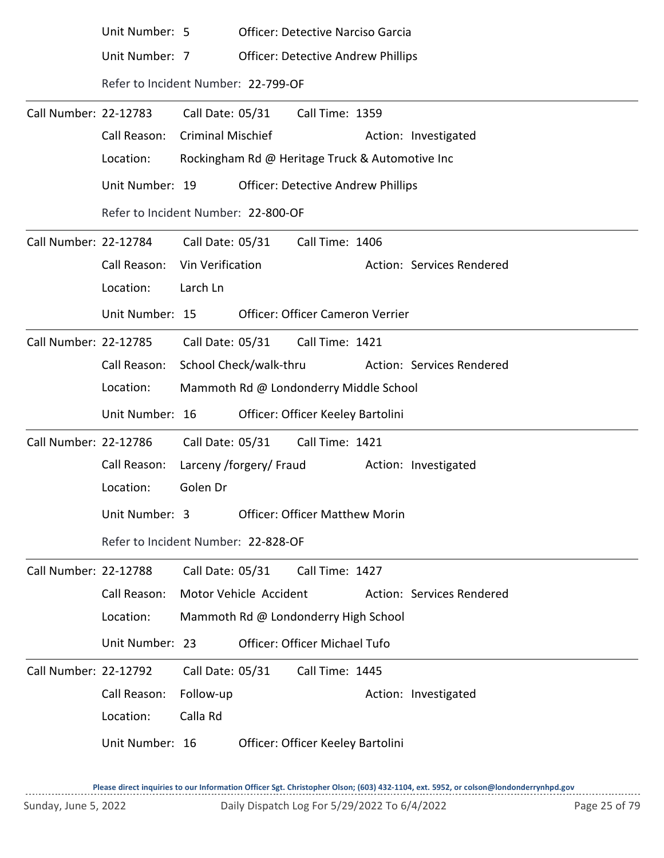|                       | Unit Number: 5                      |                          | <b>Officer: Detective Narciso Garcia</b>        |                           |
|-----------------------|-------------------------------------|--------------------------|-------------------------------------------------|---------------------------|
|                       | Unit Number: 7                      |                          | <b>Officer: Detective Andrew Phillips</b>       |                           |
|                       | Refer to Incident Number: 22-799-OF |                          |                                                 |                           |
| Call Number: 22-12783 |                                     | Call Date: 05/31         | Call Time: 1359                                 |                           |
|                       | Call Reason:                        | <b>Criminal Mischief</b> |                                                 | Action: Investigated      |
|                       | Location:                           |                          | Rockingham Rd @ Heritage Truck & Automotive Inc |                           |
|                       | Unit Number: 19                     |                          | <b>Officer: Detective Andrew Phillips</b>       |                           |
|                       | Refer to Incident Number: 22-800-OF |                          |                                                 |                           |
| Call Number: 22-12784 |                                     | Call Date: 05/31         | Call Time: 1406                                 |                           |
|                       | Call Reason:                        | Vin Verification         |                                                 | Action: Services Rendered |
|                       | Location:                           | Larch Ln                 |                                                 |                           |
|                       | Unit Number: 15                     |                          | Officer: Officer Cameron Verrier                |                           |
| Call Number: 22-12785 |                                     | Call Date: 05/31         | Call Time: 1421                                 |                           |
|                       | Call Reason:                        | School Check/walk-thru   |                                                 | Action: Services Rendered |
|                       | Location:                           |                          | Mammoth Rd @ Londonderry Middle School          |                           |
|                       | Unit Number: 16                     |                          | Officer: Officer Keeley Bartolini               |                           |
| Call Number: 22-12786 |                                     | Call Date: 05/31         | Call Time: 1421                                 |                           |
|                       | Call Reason:                        | Larceny /forgery/ Fraud  |                                                 | Action: Investigated      |
|                       | Location:                           | Golen Dr                 |                                                 |                           |
|                       | Unit Number: 3                      |                          | <b>Officer: Officer Matthew Morin</b>           |                           |
|                       | Refer to Incident Number: 22-828-OF |                          |                                                 |                           |
| Call Number: 22-12788 |                                     | Call Date: 05/31         | Call Time: 1427                                 |                           |
|                       | Call Reason:                        | Motor Vehicle Accident   |                                                 | Action: Services Rendered |
|                       | Location:                           |                          | Mammoth Rd @ Londonderry High School            |                           |
|                       | Unit Number: 23                     |                          | Officer: Officer Michael Tufo                   |                           |
| Call Number: 22-12792 |                                     | Call Date: 05/31         | Call Time: 1445                                 |                           |
|                       | Call Reason:                        | Follow-up                |                                                 | Action: Investigated      |
|                       | Location:                           | Calla Rd                 |                                                 |                           |
|                       | Unit Number: 16                     |                          | Officer: Officer Keeley Bartolini               |                           |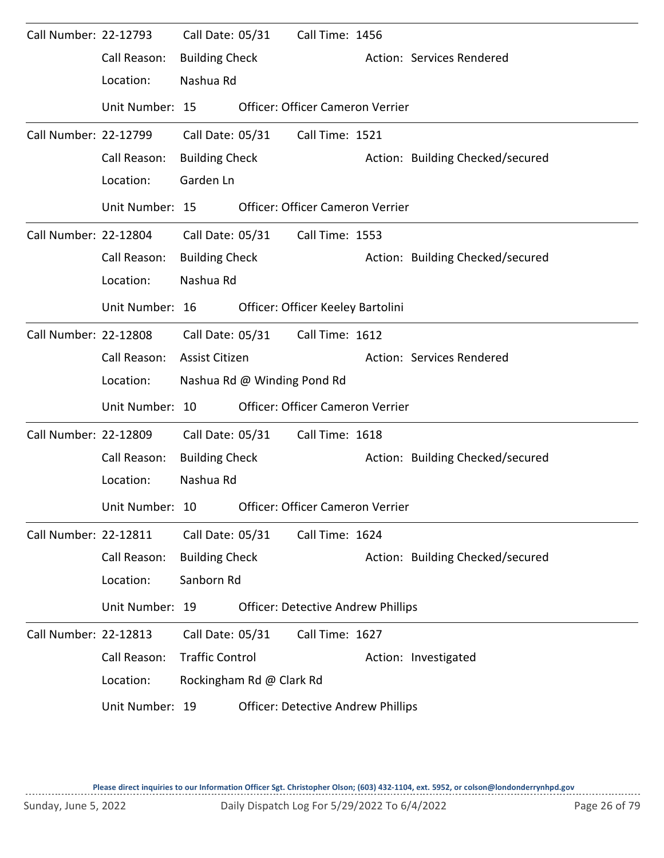| Call Number: 22-12793 | Call Reason:<br>Location: | Call Date: 05/31<br><b>Building Check</b><br>Nashua Rd |                             | Call Time: 1456                           | Action: Services Rendered        |
|-----------------------|---------------------------|--------------------------------------------------------|-----------------------------|-------------------------------------------|----------------------------------|
|                       | Unit Number: 15           |                                                        |                             | <b>Officer: Officer Cameron Verrier</b>   |                                  |
| Call Number: 22-12799 |                           | Call Date: 05/31                                       |                             | Call Time: 1521                           |                                  |
|                       | Call Reason:              | <b>Building Check</b>                                  |                             |                                           | Action: Building Checked/secured |
|                       | Location:                 | Garden Ln                                              |                             |                                           |                                  |
|                       | Unit Number: 15           |                                                        |                             | <b>Officer: Officer Cameron Verrier</b>   |                                  |
| Call Number: 22-12804 |                           | Call Date: 05/31                                       |                             | Call Time: 1553                           |                                  |
|                       | Call Reason:              | <b>Building Check</b>                                  |                             |                                           | Action: Building Checked/secured |
|                       | Location:                 | Nashua Rd                                              |                             |                                           |                                  |
|                       | Unit Number: 16           |                                                        |                             | Officer: Officer Keeley Bartolini         |                                  |
| Call Number: 22-12808 |                           | Call Date: 05/31                                       |                             | Call Time: 1612                           |                                  |
|                       | Call Reason:              | <b>Assist Citizen</b>                                  |                             |                                           | Action: Services Rendered        |
|                       | Location:                 |                                                        | Nashua Rd @ Winding Pond Rd |                                           |                                  |
|                       | Unit Number: 10           |                                                        |                             | Officer: Officer Cameron Verrier          |                                  |
| Call Number: 22-12809 |                           | Call Date: 05/31                                       |                             | Call Time: 1618                           |                                  |
|                       | Call Reason:              | <b>Building Check</b>                                  |                             |                                           | Action: Building Checked/secured |
|                       | Location:                 | Nashua Rd                                              |                             |                                           |                                  |
|                       | Unit Number: 10           |                                                        |                             | Officer: Officer Cameron Verrier          |                                  |
| Call Number: 22-12811 |                           | Call Date: 05/31                                       |                             | Call Time: 1624                           |                                  |
|                       | Call Reason:              | <b>Building Check</b>                                  |                             |                                           | Action: Building Checked/secured |
|                       | Location:                 | Sanborn Rd                                             |                             |                                           |                                  |
|                       | Unit Number: 19           |                                                        |                             | <b>Officer: Detective Andrew Phillips</b> |                                  |
| Call Number: 22-12813 |                           | Call Date: 05/31                                       |                             | Call Time: 1627                           |                                  |
|                       | Call Reason:              | <b>Traffic Control</b>                                 |                             |                                           | Action: Investigated             |
|                       | Location:                 |                                                        | Rockingham Rd @ Clark Rd    |                                           |                                  |
|                       | Unit Number: 19           |                                                        |                             | <b>Officer: Detective Andrew Phillips</b> |                                  |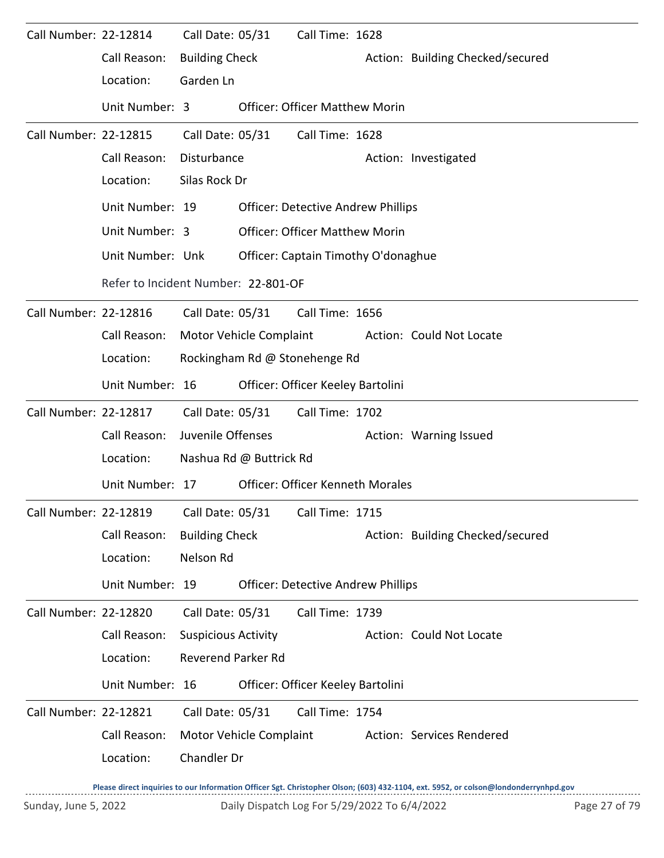| Call Number: 22-12814 |                                     | Call Date: 05/31           |                         | Call Time: 1628                           |                                  |
|-----------------------|-------------------------------------|----------------------------|-------------------------|-------------------------------------------|----------------------------------|
|                       | Call Reason:                        | <b>Building Check</b>      |                         |                                           | Action: Building Checked/secured |
|                       | Location:                           | Garden Ln                  |                         |                                           |                                  |
|                       | Unit Number: 3                      |                            |                         | <b>Officer: Officer Matthew Morin</b>     |                                  |
| Call Number: 22-12815 |                                     | Call Date: 05/31           |                         | Call Time: 1628                           |                                  |
|                       | Call Reason:                        | Disturbance                |                         |                                           | Action: Investigated             |
|                       | Location:                           | Silas Rock Dr              |                         |                                           |                                  |
|                       | Unit Number: 19                     |                            |                         | <b>Officer: Detective Andrew Phillips</b> |                                  |
|                       | Unit Number: 3                      |                            |                         | <b>Officer: Officer Matthew Morin</b>     |                                  |
|                       | Unit Number: Unk                    |                            |                         | Officer: Captain Timothy O'donaghue       |                                  |
|                       | Refer to Incident Number: 22-801-OF |                            |                         |                                           |                                  |
| Call Number: 22-12816 |                                     |                            | Call Date: 05/31        | Call Time: 1656                           |                                  |
|                       | Call Reason:                        |                            | Motor Vehicle Complaint |                                           | Action: Could Not Locate         |
|                       | Location:                           |                            |                         | Rockingham Rd @ Stonehenge Rd             |                                  |
|                       | Unit Number: 16                     |                            |                         | Officer: Officer Keeley Bartolini         |                                  |
| Call Number: 22-12817 |                                     | Call Date: 05/31           |                         | Call Time: 1702                           |                                  |
|                       | Call Reason:                        | Juvenile Offenses          |                         |                                           | Action: Warning Issued           |
|                       | Location:                           |                            | Nashua Rd @ Buttrick Rd |                                           |                                  |
|                       | Unit Number: 17                     |                            |                         | <b>Officer: Officer Kenneth Morales</b>   |                                  |
| Call Number: 22-12819 |                                     | Call Date: 05/31           |                         | Call Time: 1715                           |                                  |
|                       | Call Reason:                        | <b>Building Check</b>      |                         |                                           | Action: Building Checked/secured |
|                       | Location:                           | Nelson Rd                  |                         |                                           |                                  |
|                       | Unit Number: 19                     |                            |                         | <b>Officer: Detective Andrew Phillips</b> |                                  |
| Call Number: 22-12820 |                                     | Call Date: 05/31           |                         | Call Time: 1739                           |                                  |
|                       | Call Reason:                        | <b>Suspicious Activity</b> |                         |                                           | Action: Could Not Locate         |
|                       | Location:                           | <b>Reverend Parker Rd</b>  |                         |                                           |                                  |
|                       | Unit Number: 16                     |                            |                         | Officer: Officer Keeley Bartolini         |                                  |
| Call Number: 22-12821 |                                     | Call Date: 05/31           |                         | Call Time: 1754                           |                                  |
|                       | Call Reason:                        |                            | Motor Vehicle Complaint |                                           | Action: Services Rendered        |
|                       | Location:                           | Chandler Dr                |                         |                                           |                                  |
|                       |                                     |                            |                         |                                           |                                  |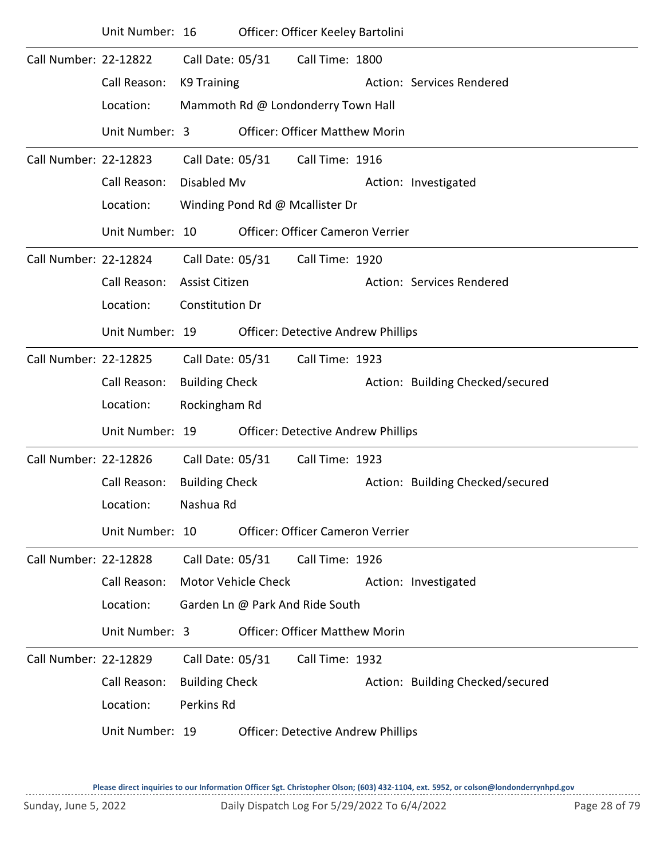|                       | Unit Number: 16 |                        |                     | Officer: Officer Keeley Bartolini         |                                  |
|-----------------------|-----------------|------------------------|---------------------|-------------------------------------------|----------------------------------|
| Call Number: 22-12822 |                 | Call Date: 05/31       |                     | Call Time: 1800                           |                                  |
|                       | Call Reason:    | K9 Training            |                     |                                           | Action: Services Rendered        |
|                       | Location:       |                        |                     | Mammoth Rd @ Londonderry Town Hall        |                                  |
|                       | Unit Number: 3  |                        |                     | <b>Officer: Officer Matthew Morin</b>     |                                  |
| Call Number: 22-12823 |                 | Call Date: 05/31       |                     | Call Time: 1916                           |                                  |
|                       | Call Reason:    | Disabled Mv            |                     |                                           | Action: Investigated             |
|                       | Location:       |                        |                     | Winding Pond Rd @ Mcallister Dr           |                                  |
|                       | Unit Number: 10 |                        |                     | Officer: Officer Cameron Verrier          |                                  |
| Call Number: 22-12824 |                 | Call Date: 05/31       |                     | Call Time: 1920                           |                                  |
|                       | Call Reason:    | Assist Citizen         |                     |                                           | Action: Services Rendered        |
|                       | Location:       | <b>Constitution Dr</b> |                     |                                           |                                  |
|                       | Unit Number: 19 |                        |                     | <b>Officer: Detective Andrew Phillips</b> |                                  |
| Call Number: 22-12825 |                 | Call Date: 05/31       |                     | Call Time: 1923                           |                                  |
|                       | Call Reason:    | <b>Building Check</b>  |                     |                                           | Action: Building Checked/secured |
|                       | Location:       | Rockingham Rd          |                     |                                           |                                  |
|                       | Unit Number: 19 |                        |                     | <b>Officer: Detective Andrew Phillips</b> |                                  |
| Call Number: 22-12826 |                 | Call Date: 05/31       |                     | Call Time: 1923                           |                                  |
|                       | Call Reason:    | <b>Building Check</b>  |                     |                                           | Action: Building Checked/secured |
|                       | Location:       | Nashua Rd              |                     |                                           |                                  |
|                       | Unit Number: 10 |                        |                     | <b>Officer: Officer Cameron Verrier</b>   |                                  |
| Call Number: 22-12828 |                 | Call Date: 05/31       |                     | Call Time: 1926                           |                                  |
|                       | Call Reason:    |                        | Motor Vehicle Check |                                           | Action: Investigated             |
|                       | Location:       |                        |                     | Garden Ln @ Park And Ride South           |                                  |
|                       | Unit Number: 3  |                        |                     | <b>Officer: Officer Matthew Morin</b>     |                                  |
| Call Number: 22-12829 |                 | Call Date: 05/31       |                     | Call Time: 1932                           |                                  |
|                       | Call Reason:    | <b>Building Check</b>  |                     |                                           | Action: Building Checked/secured |
|                       | Location:       | Perkins Rd             |                     |                                           |                                  |
|                       | Unit Number: 19 |                        |                     | <b>Officer: Detective Andrew Phillips</b> |                                  |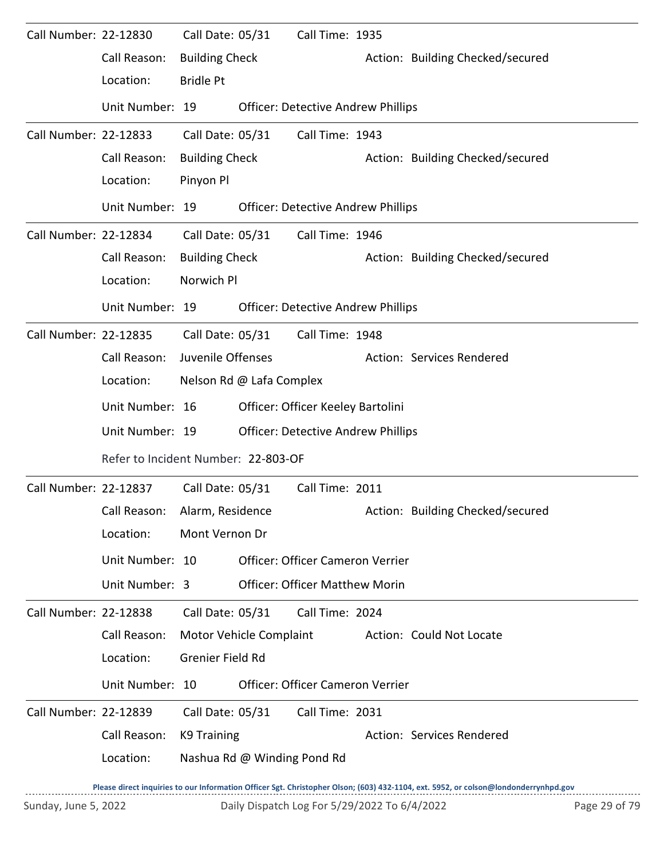| Call Number: 22-12830 |                                     |                       | Call Date: 05/31            | Call Time: 1935                           |                                  |
|-----------------------|-------------------------------------|-----------------------|-----------------------------|-------------------------------------------|----------------------------------|
|                       | Call Reason:                        | <b>Building Check</b> |                             |                                           | Action: Building Checked/secured |
|                       | Location:                           | <b>Bridle Pt</b>      |                             |                                           |                                  |
|                       | Unit Number: 19                     |                       |                             | <b>Officer: Detective Andrew Phillips</b> |                                  |
| Call Number: 22-12833 |                                     | Call Date: 05/31      |                             | Call Time: 1943                           |                                  |
|                       | Call Reason:                        | <b>Building Check</b> |                             |                                           | Action: Building Checked/secured |
|                       | Location:                           | Pinyon Pl             |                             |                                           |                                  |
|                       | Unit Number: 19                     |                       |                             | <b>Officer: Detective Andrew Phillips</b> |                                  |
| Call Number: 22-12834 |                                     | Call Date: 05/31      |                             | Call Time: 1946                           |                                  |
|                       | Call Reason:                        | <b>Building Check</b> |                             |                                           | Action: Building Checked/secured |
|                       | Location:                           | Norwich Pl            |                             |                                           |                                  |
|                       | Unit Number: 19                     |                       |                             | <b>Officer: Detective Andrew Phillips</b> |                                  |
| Call Number: 22-12835 |                                     | Call Date: 05/31      |                             | Call Time: 1948                           |                                  |
|                       | Call Reason:                        | Juvenile Offenses     |                             |                                           | Action: Services Rendered        |
|                       | Location:                           |                       | Nelson Rd @ Lafa Complex    |                                           |                                  |
|                       | Unit Number: 16                     |                       |                             | Officer: Officer Keeley Bartolini         |                                  |
|                       | Unit Number: 19                     |                       |                             | <b>Officer: Detective Andrew Phillips</b> |                                  |
|                       | Refer to Incident Number: 22-803-OF |                       |                             |                                           |                                  |
| Call Number: 22-12837 |                                     | Call Date: 05/31      |                             | Call Time: 2011                           |                                  |
|                       | Call Reason: Alarm, Residence       |                       |                             |                                           | Action: Building Checked/secured |
|                       | Location:                           | Mont Vernon Dr        |                             |                                           |                                  |
|                       | Unit Number: 10                     |                       |                             | Officer: Officer Cameron Verrier          |                                  |
|                       | Unit Number: 3                      |                       |                             | <b>Officer: Officer Matthew Morin</b>     |                                  |
| Call Number: 22-12838 |                                     | Call Date: 05/31      |                             | Call Time: 2024                           |                                  |
|                       | Call Reason:                        |                       | Motor Vehicle Complaint     |                                           | Action: Could Not Locate         |
|                       | Location:                           | Grenier Field Rd      |                             |                                           |                                  |
|                       | Unit Number: 10                     |                       |                             | Officer: Officer Cameron Verrier          |                                  |
| Call Number: 22-12839 |                                     | Call Date: 05/31      |                             | Call Time: 2031                           |                                  |
|                       | Call Reason:                        | K9 Training           |                             |                                           | Action: Services Rendered        |
|                       | Location:                           |                       | Nashua Rd @ Winding Pond Rd |                                           |                                  |
|                       |                                     |                       |                             |                                           |                                  |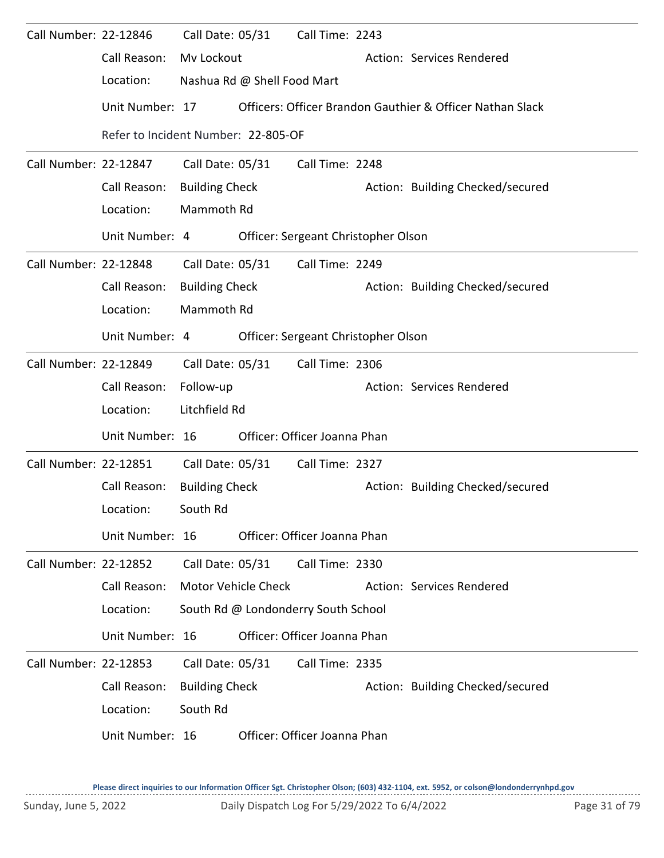| Call Number: 22-12846 |                                     |                       | Call Date: 05/31            | Call Time: 2243                     |                                                           |
|-----------------------|-------------------------------------|-----------------------|-----------------------------|-------------------------------------|-----------------------------------------------------------|
|                       | Call Reason:                        | Mv Lockout            |                             |                                     | Action: Services Rendered                                 |
|                       | Location:                           |                       | Nashua Rd @ Shell Food Mart |                                     |                                                           |
|                       | Unit Number: 17                     |                       |                             |                                     | Officers: Officer Brandon Gauthier & Officer Nathan Slack |
|                       | Refer to Incident Number: 22-805-OF |                       |                             |                                     |                                                           |
| Call Number: 22-12847 |                                     | Call Date: 05/31      |                             | Call Time: 2248                     |                                                           |
|                       | Call Reason:                        | <b>Building Check</b> |                             |                                     | Action: Building Checked/secured                          |
|                       | Location:                           | Mammoth Rd            |                             |                                     |                                                           |
|                       | Unit Number: 4                      |                       |                             | Officer: Sergeant Christopher Olson |                                                           |
| Call Number: 22-12848 |                                     | Call Date: 05/31      |                             | Call Time: 2249                     |                                                           |
|                       | Call Reason:                        | <b>Building Check</b> |                             |                                     | Action: Building Checked/secured                          |
|                       | Location:                           | Mammoth Rd            |                             |                                     |                                                           |
|                       | Unit Number: 4                      |                       |                             | Officer: Sergeant Christopher Olson |                                                           |
| Call Number: 22-12849 |                                     | Call Date: 05/31      |                             | Call Time: 2306                     |                                                           |
|                       | Call Reason:                        | Follow-up             |                             |                                     | Action: Services Rendered                                 |
|                       | Location:                           | Litchfield Rd         |                             |                                     |                                                           |
|                       | Unit Number: 16                     |                       |                             | Officer: Officer Joanna Phan        |                                                           |
| Call Number: 22-12851 |                                     |                       | Call Date: 05/31            | Call Time: 2327                     |                                                           |
|                       | Call Reason:                        | <b>Building Check</b> |                             |                                     | Action: Building Checked/secured                          |
|                       | Location:                           | South Rd              |                             |                                     |                                                           |
|                       | Unit Number: 16                     |                       |                             | Officer: Officer Joanna Phan        |                                                           |
| Call Number: 22-12852 |                                     | Call Date: 05/31      |                             | Call Time: 2330                     |                                                           |
|                       | Call Reason:                        |                       | <b>Motor Vehicle Check</b>  |                                     | Action: Services Rendered                                 |
|                       | Location:                           |                       |                             | South Rd @ Londonderry South School |                                                           |
|                       | Unit Number: 16                     |                       |                             | Officer: Officer Joanna Phan        |                                                           |
| Call Number: 22-12853 |                                     | Call Date: 05/31      |                             | Call Time: 2335                     |                                                           |
|                       | Call Reason:                        | <b>Building Check</b> |                             |                                     | Action: Building Checked/secured                          |
|                       | Location:                           | South Rd              |                             |                                     |                                                           |
|                       | Unit Number: 16                     |                       |                             | Officer: Officer Joanna Phan        |                                                           |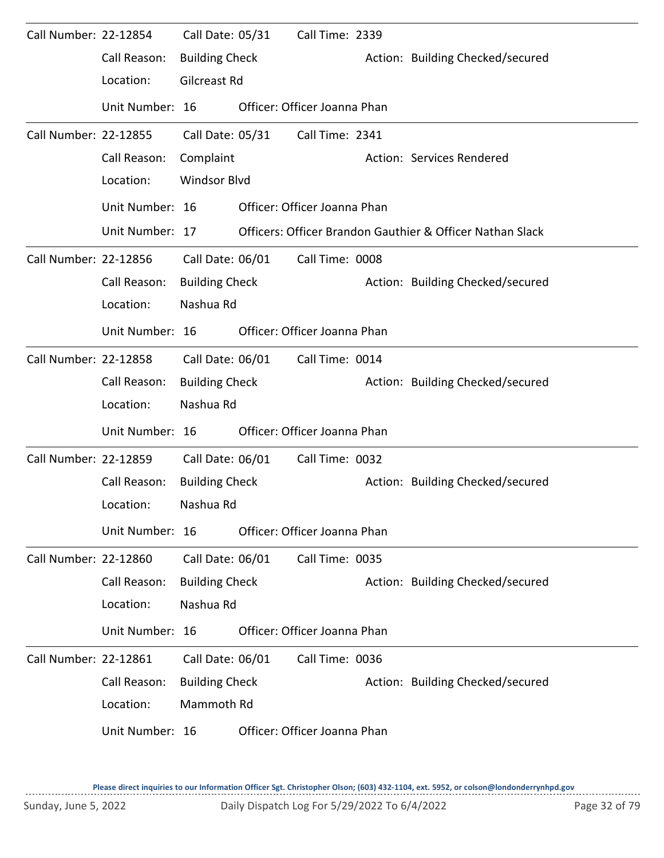| Call Number: 22-12854 |                 | Call Date: 05/31      | Call Time: 2339              |                                                           |
|-----------------------|-----------------|-----------------------|------------------------------|-----------------------------------------------------------|
|                       | Call Reason:    | <b>Building Check</b> |                              | Action: Building Checked/secured                          |
|                       | Location:       | Gilcreast Rd          |                              |                                                           |
|                       | Unit Number: 16 |                       | Officer: Officer Joanna Phan |                                                           |
| Call Number: 22-12855 |                 | Call Date: 05/31      | Call Time: 2341              |                                                           |
|                       | Call Reason:    | Complaint             |                              | Action: Services Rendered                                 |
|                       | Location:       | <b>Windsor Blvd</b>   |                              |                                                           |
|                       | Unit Number: 16 |                       | Officer: Officer Joanna Phan |                                                           |
|                       | Unit Number: 17 |                       |                              | Officers: Officer Brandon Gauthier & Officer Nathan Slack |
| Call Number: 22-12856 |                 | Call Date: 06/01      | Call Time: 0008              |                                                           |
|                       | Call Reason:    | <b>Building Check</b> |                              | Action: Building Checked/secured                          |
|                       | Location:       | Nashua Rd             |                              |                                                           |
|                       | Unit Number: 16 |                       | Officer: Officer Joanna Phan |                                                           |
| Call Number: 22-12858 |                 | Call Date: 06/01      | Call Time: 0014              |                                                           |
|                       | Call Reason:    | <b>Building Check</b> |                              | Action: Building Checked/secured                          |
|                       | Location:       | Nashua Rd             |                              |                                                           |
|                       | Unit Number: 16 |                       | Officer: Officer Joanna Phan |                                                           |
| Call Number: 22-12859 |                 | Call Date: 06/01      | Call Time: 0032              |                                                           |
|                       | Call Reason:    | <b>Building Check</b> |                              | Action: Building Checked/secured                          |
|                       | Location:       | Nashua Rd             |                              |                                                           |
|                       | Unit Number: 16 |                       | Officer: Officer Joanna Phan |                                                           |
| Call Number: 22-12860 |                 | Call Date: 06/01      | Call Time: 0035              |                                                           |
|                       | Call Reason:    | <b>Building Check</b> |                              | Action: Building Checked/secured                          |
|                       | Location:       | Nashua Rd             |                              |                                                           |
|                       | Unit Number: 16 |                       | Officer: Officer Joanna Phan |                                                           |
| Call Number: 22-12861 |                 | Call Date: 06/01      | Call Time: 0036              |                                                           |
|                       | Call Reason:    | <b>Building Check</b> |                              | Action: Building Checked/secured                          |
|                       | Location:       | Mammoth Rd            |                              |                                                           |
|                       | Unit Number: 16 |                       | Officer: Officer Joanna Phan |                                                           |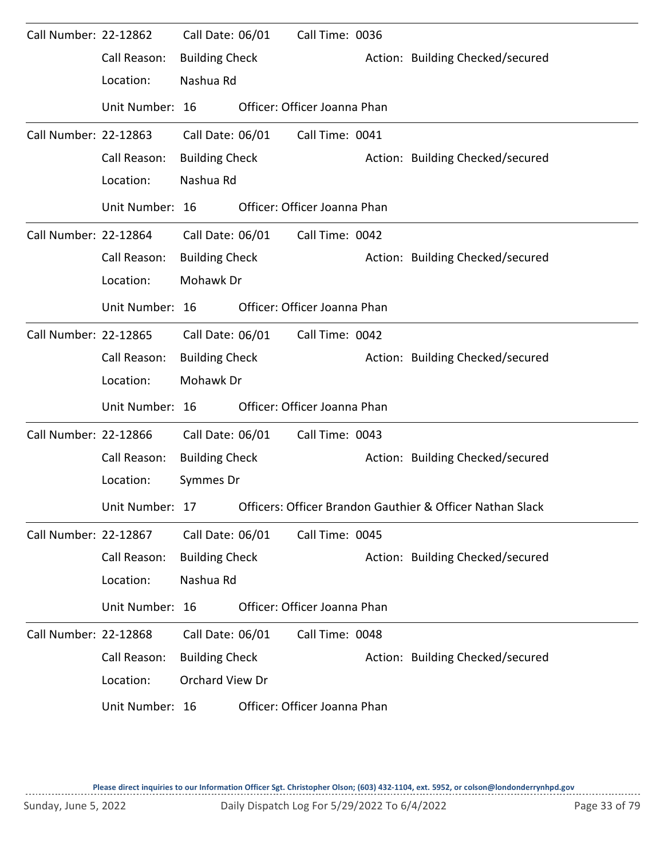| Call Number: 22-12862 |                 | Call Date: 06/01      | Call Time: 0036              |                                                           |
|-----------------------|-----------------|-----------------------|------------------------------|-----------------------------------------------------------|
|                       | Call Reason:    | <b>Building Check</b> |                              | Action: Building Checked/secured                          |
|                       | Location:       | Nashua Rd             |                              |                                                           |
|                       | Unit Number: 16 |                       | Officer: Officer Joanna Phan |                                                           |
| Call Number: 22-12863 |                 | Call Date: 06/01      | Call Time: 0041              |                                                           |
|                       | Call Reason:    | <b>Building Check</b> |                              | Action: Building Checked/secured                          |
|                       | Location:       | Nashua Rd             |                              |                                                           |
|                       | Unit Number: 16 |                       | Officer: Officer Joanna Phan |                                                           |
| Call Number: 22-12864 |                 | Call Date: 06/01      | Call Time: 0042              |                                                           |
|                       | Call Reason:    | <b>Building Check</b> |                              | Action: Building Checked/secured                          |
|                       | Location:       | Mohawk Dr             |                              |                                                           |
|                       | Unit Number: 16 |                       | Officer: Officer Joanna Phan |                                                           |
| Call Number: 22-12865 |                 | Call Date: 06/01      | Call Time: 0042              |                                                           |
|                       | Call Reason:    | <b>Building Check</b> |                              | Action: Building Checked/secured                          |
|                       | Location:       | Mohawk Dr             |                              |                                                           |
|                       | Unit Number: 16 |                       | Officer: Officer Joanna Phan |                                                           |
| Call Number: 22-12866 |                 | Call Date: 06/01      | Call Time: 0043              |                                                           |
|                       | Call Reason:    | <b>Building Check</b> |                              | Action: Building Checked/secured                          |
|                       | Location:       | Symmes Dr             |                              |                                                           |
|                       | Unit Number: 17 |                       |                              | Officers: Officer Brandon Gauthier & Officer Nathan Slack |
| Call Number: 22-12867 |                 | Call Date: 06/01      | Call Time: 0045              |                                                           |
|                       | Call Reason:    | <b>Building Check</b> |                              | Action: Building Checked/secured                          |
|                       | Location:       | Nashua Rd             |                              |                                                           |
|                       | Unit Number: 16 |                       | Officer: Officer Joanna Phan |                                                           |
| Call Number: 22-12868 |                 | Call Date: 06/01      | Call Time: 0048              |                                                           |
|                       | Call Reason:    | <b>Building Check</b> |                              | Action: Building Checked/secured                          |
|                       | Location:       | Orchard View Dr       |                              |                                                           |
|                       | Unit Number: 16 |                       | Officer: Officer Joanna Phan |                                                           |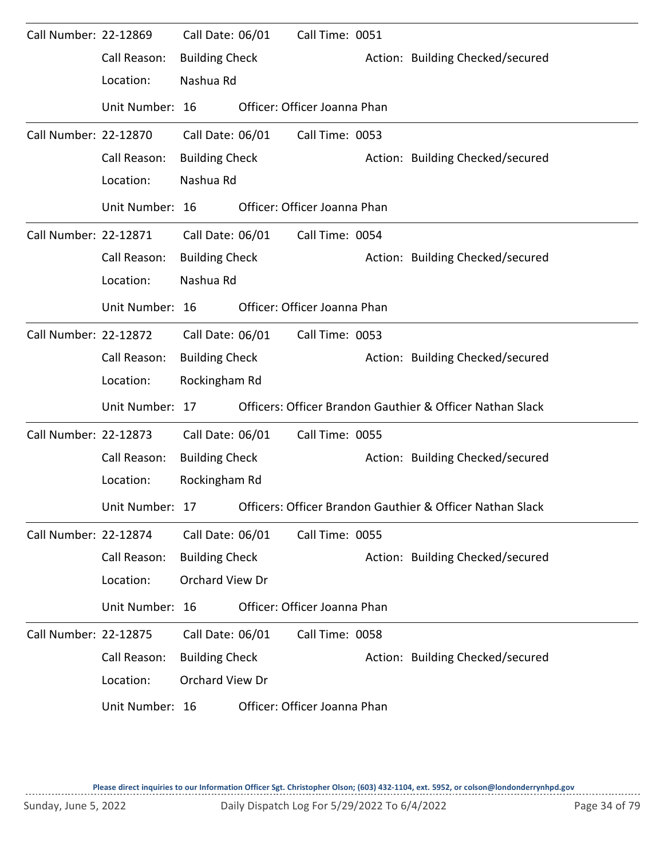| Call Number: 22-12869 |                 | Call Date: 06/01      | Call Time: 0051              |                                                           |
|-----------------------|-----------------|-----------------------|------------------------------|-----------------------------------------------------------|
|                       | Call Reason:    | <b>Building Check</b> |                              | Action: Building Checked/secured                          |
|                       | Location:       | Nashua Rd             |                              |                                                           |
|                       | Unit Number: 16 |                       | Officer: Officer Joanna Phan |                                                           |
| Call Number: 22-12870 |                 | Call Date: 06/01      | Call Time: 0053              |                                                           |
|                       | Call Reason:    | <b>Building Check</b> |                              | Action: Building Checked/secured                          |
|                       | Location:       | Nashua Rd             |                              |                                                           |
|                       | Unit Number: 16 |                       | Officer: Officer Joanna Phan |                                                           |
| Call Number: 22-12871 |                 | Call Date: 06/01      | Call Time: 0054              |                                                           |
|                       | Call Reason:    | <b>Building Check</b> |                              | Action: Building Checked/secured                          |
|                       | Location:       | Nashua Rd             |                              |                                                           |
|                       | Unit Number: 16 |                       | Officer: Officer Joanna Phan |                                                           |
| Call Number: 22-12872 |                 | Call Date: 06/01      | Call Time: 0053              |                                                           |
|                       | Call Reason:    | <b>Building Check</b> |                              | Action: Building Checked/secured                          |
|                       | Location:       | Rockingham Rd         |                              |                                                           |
|                       | Unit Number: 17 |                       |                              | Officers: Officer Brandon Gauthier & Officer Nathan Slack |
| Call Number: 22-12873 |                 | Call Date: 06/01      | Call Time: 0055              |                                                           |
|                       | Call Reason:    | <b>Building Check</b> |                              | Action: Building Checked/secured                          |
|                       | Location:       | Rockingham Rd         |                              |                                                           |
|                       | Unit Number: 17 |                       |                              | Officers: Officer Brandon Gauthier & Officer Nathan Slack |
| Call Number: 22-12874 |                 | Call Date: 06/01      | Call Time: 0055              |                                                           |
|                       | Call Reason:    | <b>Building Check</b> |                              | Action: Building Checked/secured                          |
|                       | Location:       | Orchard View Dr       |                              |                                                           |
|                       | Unit Number: 16 |                       | Officer: Officer Joanna Phan |                                                           |
| Call Number: 22-12875 |                 | Call Date: 06/01      | Call Time: 0058              |                                                           |
|                       | Call Reason:    | <b>Building Check</b> |                              | Action: Building Checked/secured                          |
|                       | Location:       | Orchard View Dr       |                              |                                                           |
|                       | Unit Number: 16 |                       | Officer: Officer Joanna Phan |                                                           |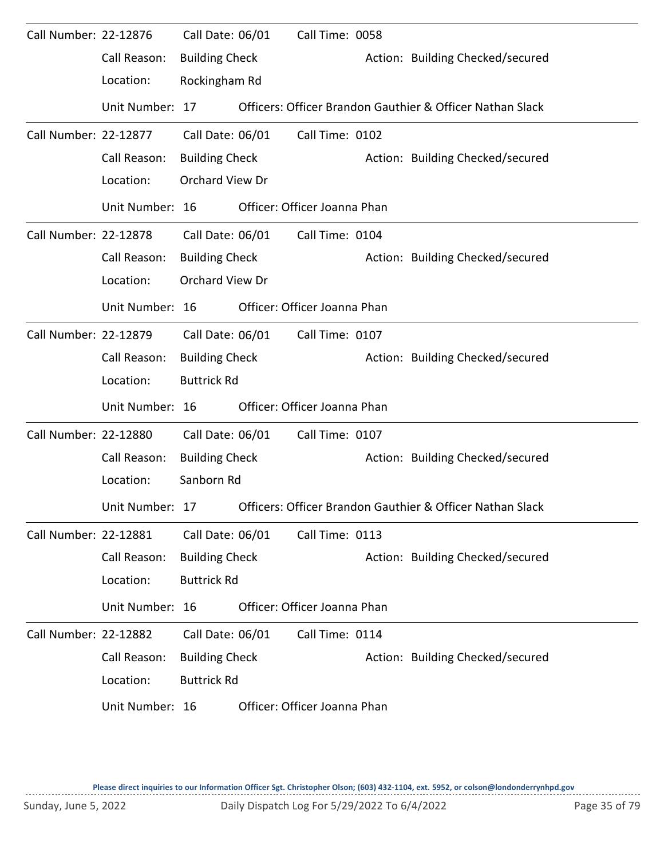| Call Number: 22-12876 |                 | Call Date: 06/01      | Call Time: 0058              |                                                           |
|-----------------------|-----------------|-----------------------|------------------------------|-----------------------------------------------------------|
|                       | Call Reason:    | <b>Building Check</b> |                              | Action: Building Checked/secured                          |
|                       | Location:       | Rockingham Rd         |                              |                                                           |
|                       | Unit Number: 17 |                       |                              | Officers: Officer Brandon Gauthier & Officer Nathan Slack |
| Call Number: 22-12877 |                 | Call Date: 06/01      | Call Time: 0102              |                                                           |
|                       | Call Reason:    | <b>Building Check</b> |                              | Action: Building Checked/secured                          |
|                       | Location:       | Orchard View Dr       |                              |                                                           |
|                       | Unit Number: 16 |                       | Officer: Officer Joanna Phan |                                                           |
| Call Number: 22-12878 |                 | Call Date: 06/01      | Call Time: 0104              |                                                           |
|                       | Call Reason:    | <b>Building Check</b> |                              | Action: Building Checked/secured                          |
|                       | Location:       | Orchard View Dr       |                              |                                                           |
|                       | Unit Number: 16 |                       | Officer: Officer Joanna Phan |                                                           |
| Call Number: 22-12879 |                 | Call Date: 06/01      | Call Time: 0107              |                                                           |
|                       | Call Reason:    | <b>Building Check</b> |                              | Action: Building Checked/secured                          |
|                       | Location:       | <b>Buttrick Rd</b>    |                              |                                                           |
|                       | Unit Number: 16 |                       | Officer: Officer Joanna Phan |                                                           |
| Call Number: 22-12880 |                 | Call Date: 06/01      | Call Time: 0107              |                                                           |
|                       | Call Reason:    | <b>Building Check</b> |                              | Action: Building Checked/secured                          |
|                       | Location:       | Sanborn Rd            |                              |                                                           |
|                       | Unit Number: 17 |                       |                              | Officers: Officer Brandon Gauthier & Officer Nathan Slack |
| Call Number: 22-12881 |                 | Call Date: 06/01      | Call Time: 0113              |                                                           |
|                       | Call Reason:    | <b>Building Check</b> |                              | Action: Building Checked/secured                          |
|                       | Location:       | <b>Buttrick Rd</b>    |                              |                                                           |
|                       | Unit Number: 16 |                       | Officer: Officer Joanna Phan |                                                           |
| Call Number: 22-12882 |                 | Call Date: 06/01      | Call Time: 0114              |                                                           |
|                       | Call Reason:    | <b>Building Check</b> |                              | Action: Building Checked/secured                          |
|                       | Location:       | <b>Buttrick Rd</b>    |                              |                                                           |
|                       | Unit Number: 16 |                       | Officer: Officer Joanna Phan |                                                           |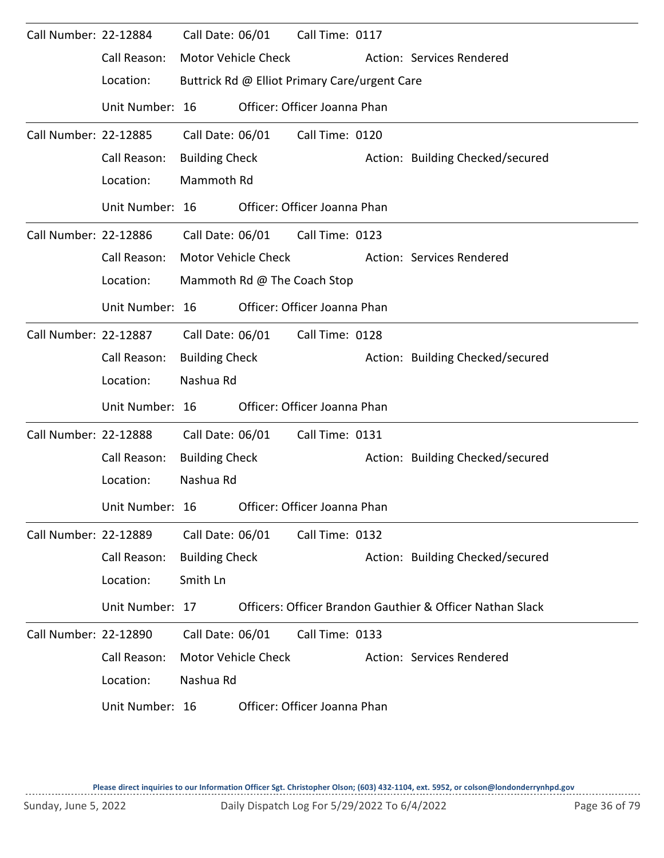| Call Number: 22-12884 |                 | Call Date: 06/01      |                            | Call Time: 0117                               |                                                           |
|-----------------------|-----------------|-----------------------|----------------------------|-----------------------------------------------|-----------------------------------------------------------|
|                       | Call Reason:    |                       | Motor Vehicle Check        |                                               | Action: Services Rendered                                 |
|                       | Location:       |                       |                            | Buttrick Rd @ Elliot Primary Care/urgent Care |                                                           |
|                       | Unit Number: 16 |                       |                            | Officer: Officer Joanna Phan                  |                                                           |
| Call Number: 22-12885 |                 | Call Date: 06/01      |                            | Call Time: 0120                               |                                                           |
|                       | Call Reason:    | <b>Building Check</b> |                            |                                               | Action: Building Checked/secured                          |
|                       | Location:       | Mammoth Rd            |                            |                                               |                                                           |
|                       | Unit Number: 16 |                       |                            | Officer: Officer Joanna Phan                  |                                                           |
| Call Number: 22-12886 |                 |                       |                            | Call Date: 06/01 Call Time: 0123              |                                                           |
|                       | Call Reason:    |                       | Motor Vehicle Check        |                                               | Action: Services Rendered                                 |
|                       | Location:       |                       |                            | Mammoth Rd @ The Coach Stop                   |                                                           |
|                       | Unit Number: 16 |                       |                            | Officer: Officer Joanna Phan                  |                                                           |
| Call Number: 22-12887 |                 |                       | Call Date: 06/01           | Call Time: 0128                               |                                                           |
|                       | Call Reason:    | <b>Building Check</b> |                            |                                               | Action: Building Checked/secured                          |
|                       | Location:       | Nashua Rd             |                            |                                               |                                                           |
|                       | Unit Number: 16 |                       |                            | Officer: Officer Joanna Phan                  |                                                           |
| Call Number: 22-12888 |                 | Call Date: 06/01      |                            | Call Time: 0131                               |                                                           |
|                       | Call Reason:    | <b>Building Check</b> |                            |                                               | Action: Building Checked/secured                          |
|                       | Location:       | Nashua Rd             |                            |                                               |                                                           |
|                       | Unit Number: 16 |                       |                            | Officer: Officer Joanna Phan                  |                                                           |
| Call Number: 22-12889 |                 | Call Date: 06/01      |                            | Call Time: 0132                               |                                                           |
|                       | Call Reason:    | <b>Building Check</b> |                            |                                               | Action: Building Checked/secured                          |
|                       | Location:       | Smith Ln              |                            |                                               |                                                           |
|                       | Unit Number: 17 |                       |                            |                                               | Officers: Officer Brandon Gauthier & Officer Nathan Slack |
| Call Number: 22-12890 |                 | Call Date: 06/01      |                            | Call Time: 0133                               |                                                           |
|                       | Call Reason:    |                       | <b>Motor Vehicle Check</b> |                                               | Action: Services Rendered                                 |
|                       | Location:       | Nashua Rd             |                            |                                               |                                                           |
|                       | Unit Number: 16 |                       |                            | Officer: Officer Joanna Phan                  |                                                           |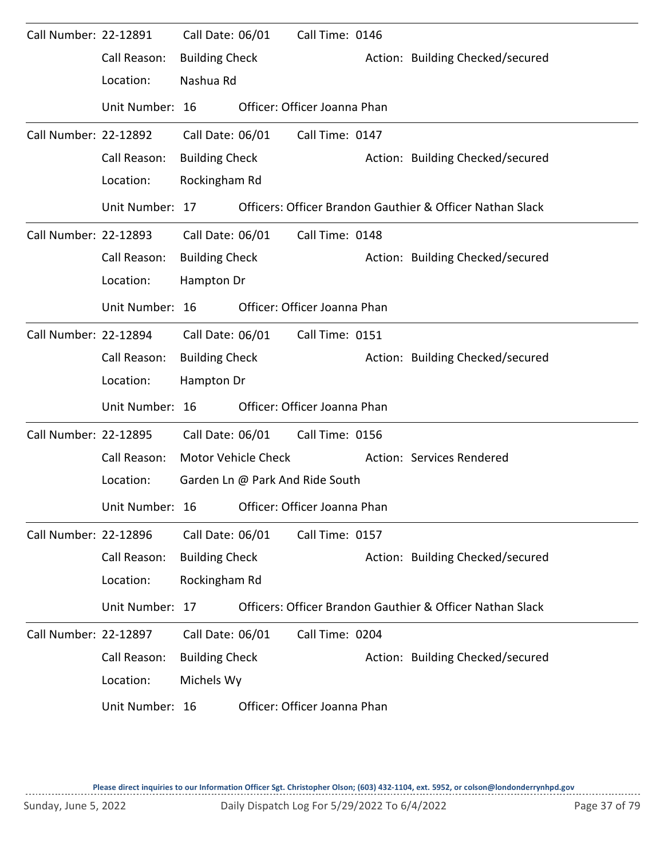| Call Number: 22-12891 |                 | Call Date: 06/01      |                     | Call Time: 0146                 |  |                                                           |  |  |  |  |
|-----------------------|-----------------|-----------------------|---------------------|---------------------------------|--|-----------------------------------------------------------|--|--|--|--|
|                       | Call Reason:    | <b>Building Check</b> |                     |                                 |  | Action: Building Checked/secured                          |  |  |  |  |
|                       | Location:       | Nashua Rd             |                     |                                 |  |                                                           |  |  |  |  |
|                       | Unit Number: 16 |                       |                     | Officer: Officer Joanna Phan    |  |                                                           |  |  |  |  |
| Call Number: 22-12892 |                 | Call Date: 06/01      |                     | Call Time: 0147                 |  |                                                           |  |  |  |  |
|                       | Call Reason:    | <b>Building Check</b> |                     |                                 |  | Action: Building Checked/secured                          |  |  |  |  |
|                       | Location:       |                       | Rockingham Rd       |                                 |  |                                                           |  |  |  |  |
|                       | Unit Number: 17 |                       |                     |                                 |  | Officers: Officer Brandon Gauthier & Officer Nathan Slack |  |  |  |  |
| Call Number: 22-12893 |                 | Call Date: 06/01      |                     | Call Time: 0148                 |  |                                                           |  |  |  |  |
|                       | Call Reason:    | <b>Building Check</b> |                     |                                 |  | Action: Building Checked/secured                          |  |  |  |  |
|                       | Location:       | Hampton Dr            |                     |                                 |  |                                                           |  |  |  |  |
|                       | Unit Number: 16 |                       |                     | Officer: Officer Joanna Phan    |  |                                                           |  |  |  |  |
| Call Number: 22-12894 |                 | Call Date: 06/01      |                     | Call Time: 0151                 |  |                                                           |  |  |  |  |
|                       | Call Reason:    | <b>Building Check</b> |                     |                                 |  | Action: Building Checked/secured                          |  |  |  |  |
|                       | Location:       | Hampton Dr            |                     |                                 |  |                                                           |  |  |  |  |
|                       | Unit Number: 16 |                       |                     | Officer: Officer Joanna Phan    |  |                                                           |  |  |  |  |
| Call Number: 22-12895 |                 | Call Date: 06/01      |                     | Call Time: 0156                 |  |                                                           |  |  |  |  |
|                       | Call Reason:    |                       | Motor Vehicle Check |                                 |  | Action: Services Rendered                                 |  |  |  |  |
|                       | Location:       |                       |                     | Garden Ln @ Park And Ride South |  |                                                           |  |  |  |  |
|                       | Unit Number: 16 |                       |                     | Officer: Officer Joanna Phan    |  |                                                           |  |  |  |  |
| Call Number: 22-12896 |                 | Call Date: 06/01      |                     | Call Time: 0157                 |  |                                                           |  |  |  |  |
|                       | Call Reason:    | <b>Building Check</b> |                     |                                 |  | Action: Building Checked/secured                          |  |  |  |  |
|                       | Location:       | Rockingham Rd         |                     |                                 |  |                                                           |  |  |  |  |
|                       | Unit Number: 17 |                       |                     |                                 |  | Officers: Officer Brandon Gauthier & Officer Nathan Slack |  |  |  |  |
| Call Number: 22-12897 |                 | Call Date: 06/01      |                     | Call Time: 0204                 |  |                                                           |  |  |  |  |
|                       | Call Reason:    | <b>Building Check</b> |                     |                                 |  | Action: Building Checked/secured                          |  |  |  |  |
|                       | Location:       | Michels Wy            |                     |                                 |  |                                                           |  |  |  |  |
|                       | Unit Number: 16 |                       |                     | Officer: Officer Joanna Phan    |  |                                                           |  |  |  |  |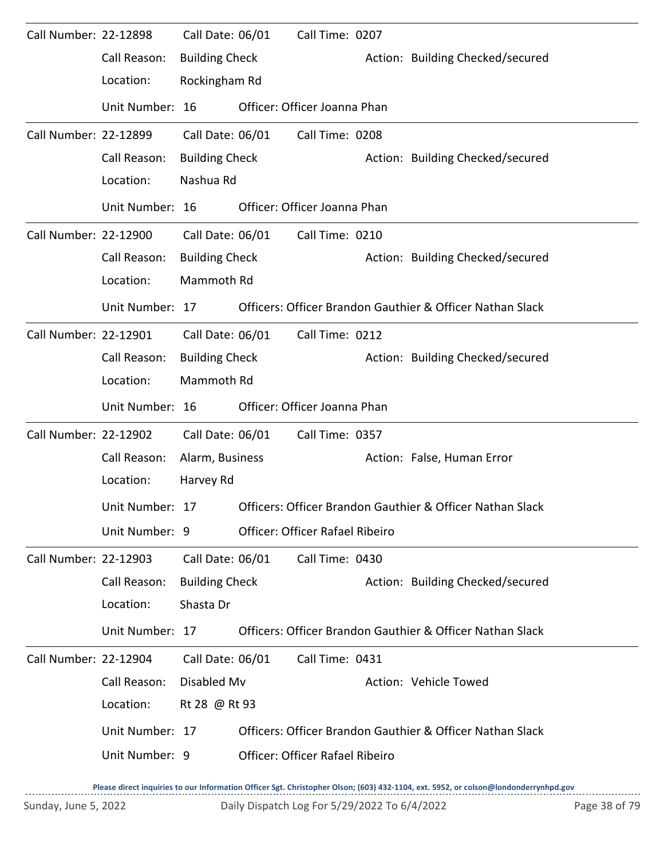| Call Number: 22-12898 |                 | Call Date: 06/01      | Call Time: 0207                 |                                                           |  |
|-----------------------|-----------------|-----------------------|---------------------------------|-----------------------------------------------------------|--|
|                       | Call Reason:    | <b>Building Check</b> |                                 | Action: Building Checked/secured                          |  |
|                       | Location:       | Rockingham Rd         |                                 |                                                           |  |
|                       | Unit Number: 16 |                       | Officer: Officer Joanna Phan    |                                                           |  |
| Call Number: 22-12899 |                 | Call Date: 06/01      | Call Time: 0208                 |                                                           |  |
|                       | Call Reason:    | <b>Building Check</b> |                                 | Action: Building Checked/secured                          |  |
|                       | Location:       | Nashua Rd             |                                 |                                                           |  |
|                       | Unit Number: 16 |                       | Officer: Officer Joanna Phan    |                                                           |  |
| Call Number: 22-12900 |                 | Call Date: 06/01      | Call Time: 0210                 |                                                           |  |
|                       | Call Reason:    | <b>Building Check</b> |                                 | Action: Building Checked/secured                          |  |
|                       | Location:       | Mammoth Rd            |                                 |                                                           |  |
|                       | Unit Number: 17 |                       |                                 | Officers: Officer Brandon Gauthier & Officer Nathan Slack |  |
| Call Number: 22-12901 |                 | Call Date: 06/01      | Call Time: 0212                 |                                                           |  |
|                       | Call Reason:    | <b>Building Check</b> |                                 | Action: Building Checked/secured                          |  |
|                       | Location:       | Mammoth Rd            |                                 |                                                           |  |
|                       |                 |                       |                                 |                                                           |  |
|                       | Unit Number: 16 |                       | Officer: Officer Joanna Phan    |                                                           |  |
| Call Number: 22-12902 |                 | Call Date: 06/01      | Call Time: 0357                 |                                                           |  |
|                       | Call Reason:    | Alarm, Business       |                                 | Action: False, Human Error                                |  |
|                       | Location:       | Harvey Rd             |                                 |                                                           |  |
|                       | Unit Number: 17 |                       |                                 | Officers: Officer Brandon Gauthier & Officer Nathan Slack |  |
|                       | Unit Number: 9  |                       | Officer: Officer Rafael Ribeiro |                                                           |  |
| Call Number: 22-12903 |                 | Call Date: 06/01      | Call Time: 0430                 |                                                           |  |
|                       | Call Reason:    | <b>Building Check</b> |                                 | Action: Building Checked/secured                          |  |
|                       | Location:       | Shasta Dr             |                                 |                                                           |  |
|                       | Unit Number: 17 |                       |                                 | Officers: Officer Brandon Gauthier & Officer Nathan Slack |  |
| Call Number: 22-12904 |                 | Call Date: 06/01      | Call Time: 0431                 |                                                           |  |
|                       | Call Reason:    | Disabled Mv           |                                 | Action: Vehicle Towed                                     |  |
|                       | Location:       | Rt 28 @ Rt 93         |                                 |                                                           |  |
|                       | Unit Number: 17 |                       |                                 | Officers: Officer Brandon Gauthier & Officer Nathan Slack |  |
|                       | Unit Number: 9  |                       | Officer: Officer Rafael Ribeiro |                                                           |  |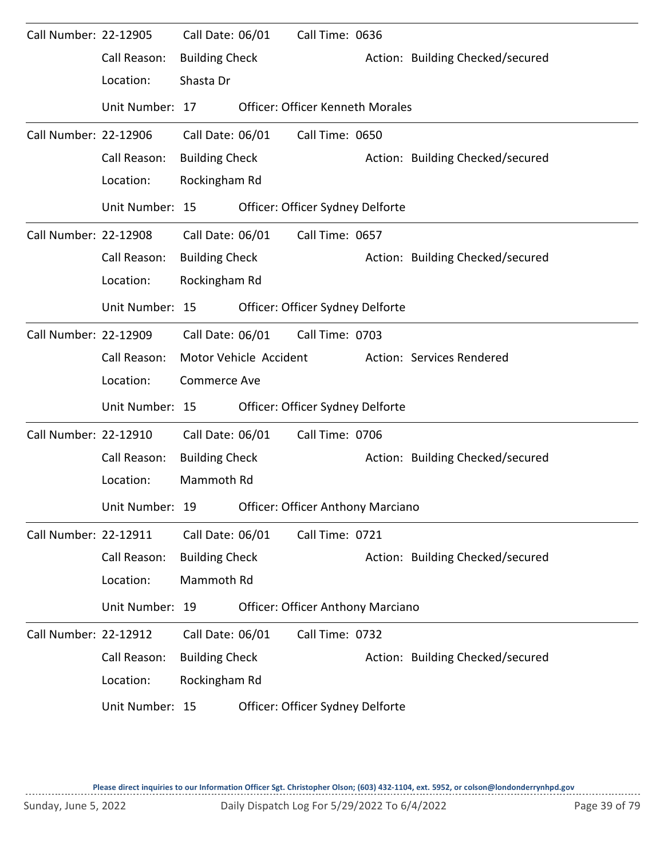| Call Number: 22-12905 |                 | Call Date: 06/01      |                        | Call Time: 0636                          |                                  |
|-----------------------|-----------------|-----------------------|------------------------|------------------------------------------|----------------------------------|
|                       | Call Reason:    | <b>Building Check</b> |                        |                                          | Action: Building Checked/secured |
|                       | Location:       | Shasta Dr             |                        |                                          |                                  |
|                       | Unit Number: 17 |                       |                        | <b>Officer: Officer Kenneth Morales</b>  |                                  |
| Call Number: 22-12906 |                 | Call Date: 06/01      |                        | Call Time: 0650                          |                                  |
|                       | Call Reason:    | <b>Building Check</b> |                        |                                          | Action: Building Checked/secured |
|                       | Location:       | Rockingham Rd         |                        |                                          |                                  |
|                       | Unit Number: 15 |                       |                        | Officer: Officer Sydney Delforte         |                                  |
| Call Number: 22-12908 |                 | Call Date: 06/01      |                        | Call Time: 0657                          |                                  |
|                       | Call Reason:    | <b>Building Check</b> |                        |                                          | Action: Building Checked/secured |
|                       | Location:       | Rockingham Rd         |                        |                                          |                                  |
|                       | Unit Number: 15 |                       |                        | Officer: Officer Sydney Delforte         |                                  |
| Call Number: 22-12909 |                 | Call Date: 06/01      |                        | Call Time: 0703                          |                                  |
|                       | Call Reason:    |                       | Motor Vehicle Accident |                                          | Action: Services Rendered        |
|                       | Location:       | <b>Commerce Ave</b>   |                        |                                          |                                  |
|                       | Unit Number: 15 |                       |                        | Officer: Officer Sydney Delforte         |                                  |
| Call Number: 22-12910 |                 | Call Date: 06/01      |                        | Call Time: 0706                          |                                  |
|                       | Call Reason:    | <b>Building Check</b> |                        |                                          | Action: Building Checked/secured |
|                       | Location:       | Mammoth Rd            |                        |                                          |                                  |
|                       | Unit Number: 19 |                       |                        | <b>Officer: Officer Anthony Marciano</b> |                                  |
| Call Number: 22-12911 |                 | Call Date: 06/01      |                        | Call Time: 0721                          |                                  |
|                       | Call Reason:    | <b>Building Check</b> |                        |                                          | Action: Building Checked/secured |
|                       | Location:       | Mammoth Rd            |                        |                                          |                                  |
|                       | Unit Number: 19 |                       |                        | <b>Officer: Officer Anthony Marciano</b> |                                  |
| Call Number: 22-12912 |                 | Call Date: 06/01      |                        | Call Time: 0732                          |                                  |
|                       | Call Reason:    | <b>Building Check</b> |                        |                                          | Action: Building Checked/secured |
|                       | Location:       | Rockingham Rd         |                        |                                          |                                  |
|                       | Unit Number: 15 |                       |                        | Officer: Officer Sydney Delforte         |                                  |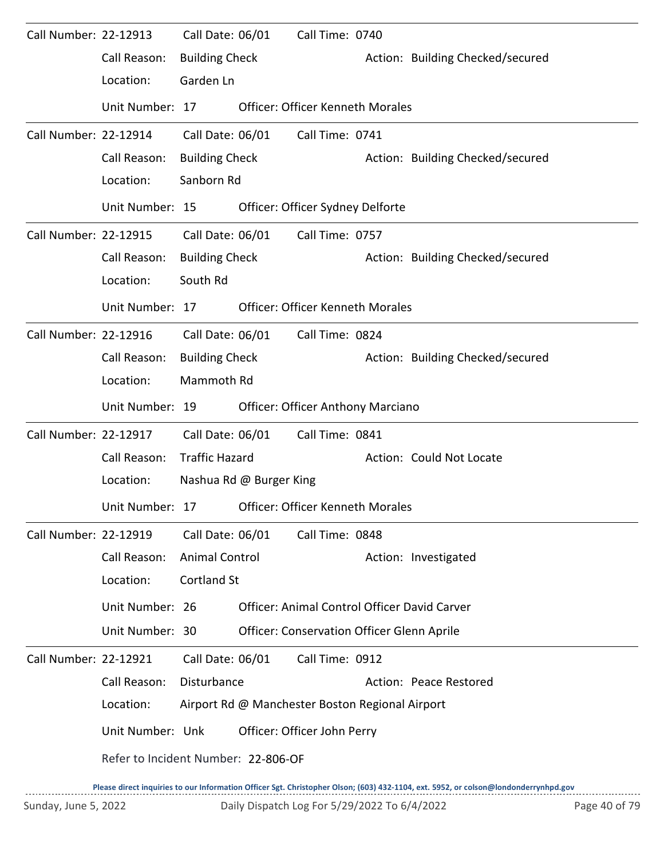| Call Number: 22-12913 |                                     | Call Date: 06/01      |                         | Call Time: 0740                                 |                                                                                                                                     |
|-----------------------|-------------------------------------|-----------------------|-------------------------|-------------------------------------------------|-------------------------------------------------------------------------------------------------------------------------------------|
|                       | Call Reason:                        | <b>Building Check</b> |                         |                                                 | Action: Building Checked/secured                                                                                                    |
|                       | Location:                           | Garden Ln             |                         |                                                 |                                                                                                                                     |
|                       | Unit Number: 17                     |                       |                         | <b>Officer: Officer Kenneth Morales</b>         |                                                                                                                                     |
| Call Number: 22-12914 |                                     | Call Date: 06/01      |                         | Call Time: 0741                                 |                                                                                                                                     |
|                       | Call Reason:                        | <b>Building Check</b> |                         |                                                 | Action: Building Checked/secured                                                                                                    |
|                       | Location:                           | Sanborn Rd            |                         |                                                 |                                                                                                                                     |
|                       | Unit Number: 15                     |                       |                         | Officer: Officer Sydney Delforte                |                                                                                                                                     |
| Call Number: 22-12915 |                                     | Call Date: 06/01      |                         | Call Time: 0757                                 |                                                                                                                                     |
|                       | Call Reason:                        | <b>Building Check</b> |                         |                                                 | Action: Building Checked/secured                                                                                                    |
|                       | Location:                           | South Rd              |                         |                                                 |                                                                                                                                     |
|                       | Unit Number: 17                     |                       |                         | <b>Officer: Officer Kenneth Morales</b>         |                                                                                                                                     |
| Call Number: 22-12916 |                                     | Call Date: 06/01      |                         | Call Time: 0824                                 |                                                                                                                                     |
|                       | Call Reason:                        | <b>Building Check</b> |                         |                                                 | Action: Building Checked/secured                                                                                                    |
|                       | Location:                           | Mammoth Rd            |                         |                                                 |                                                                                                                                     |
|                       | Unit Number: 19                     |                       |                         | Officer: Officer Anthony Marciano               |                                                                                                                                     |
| Call Number: 22-12917 |                                     | Call Date: 06/01      |                         | Call Time: 0841                                 |                                                                                                                                     |
|                       | Call Reason:                        | <b>Traffic Hazard</b> |                         |                                                 | Action: Could Not Locate                                                                                                            |
|                       | Location:                           |                       | Nashua Rd @ Burger King |                                                 |                                                                                                                                     |
|                       | Unit Number: 17                     |                       |                         | <b>Officer: Officer Kenneth Morales</b>         |                                                                                                                                     |
| Call Number: 22-12919 |                                     | Call Date: 06/01      |                         | Call Time: 0848                                 |                                                                                                                                     |
|                       | Call Reason:                        | <b>Animal Control</b> |                         |                                                 | Action: Investigated                                                                                                                |
|                       | Location:                           | <b>Cortland St</b>    |                         |                                                 |                                                                                                                                     |
|                       | Unit Number: 26                     |                       |                         |                                                 | Officer: Animal Control Officer David Carver                                                                                        |
|                       | Unit Number: 30                     |                       |                         | Officer: Conservation Officer Glenn Aprile      |                                                                                                                                     |
| Call Number: 22-12921 |                                     | Call Date: 06/01      |                         | Call Time: 0912                                 |                                                                                                                                     |
|                       | Call Reason:                        | Disturbance           |                         |                                                 | Action: Peace Restored                                                                                                              |
|                       | Location:                           |                       |                         | Airport Rd @ Manchester Boston Regional Airport |                                                                                                                                     |
|                       | Unit Number: Unk                    |                       |                         | Officer: Officer John Perry                     |                                                                                                                                     |
|                       | Refer to Incident Number: 22-806-OF |                       |                         |                                                 |                                                                                                                                     |
|                       |                                     |                       |                         |                                                 | Please direct inquiries to our Information Officer Sgt. Christopher Olson; (603) 432-1104, ext. 5952, or colson@londonderrynhpd.gov |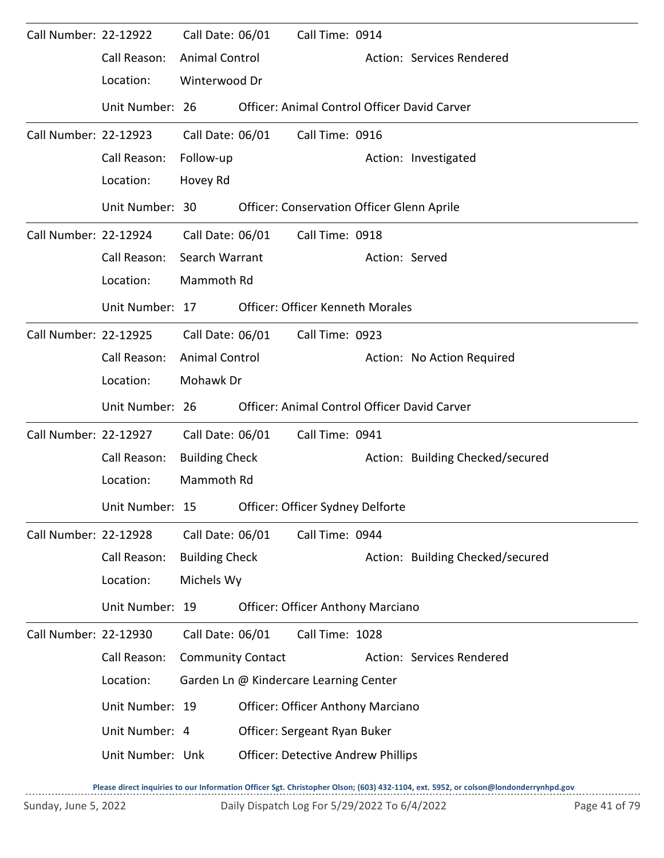| Call Number: 22-12922 |                                                  | Call Date: 06/01         |                  | Call Time: 0914                                   |                |                                              |
|-----------------------|--------------------------------------------------|--------------------------|------------------|---------------------------------------------------|----------------|----------------------------------------------|
|                       | Call Reason:                                     | <b>Animal Control</b>    |                  |                                                   |                | Action: Services Rendered                    |
|                       | Location:                                        | Winterwood Dr            |                  |                                                   |                |                                              |
|                       | Unit Number: 26                                  |                          |                  |                                                   |                | Officer: Animal Control Officer David Carver |
| Call Number: 22-12923 |                                                  | Call Date: 06/01         |                  | Call Time: 0916                                   |                |                                              |
|                       | Call Reason:                                     | Follow-up                |                  |                                                   |                | Action: Investigated                         |
|                       | Location:                                        | Hovey Rd                 |                  |                                                   |                |                                              |
|                       | Unit Number: 30                                  |                          |                  | <b>Officer: Conservation Officer Glenn Aprile</b> |                |                                              |
| Call Number: 22-12924 |                                                  |                          | Call Date: 06/01 | Call Time: 0918                                   |                |                                              |
|                       | Call Reason:                                     | Search Warrant           |                  |                                                   | Action: Served |                                              |
|                       | Location:                                        | Mammoth Rd               |                  |                                                   |                |                                              |
|                       | Unit Number: 17                                  |                          |                  | <b>Officer: Officer Kenneth Morales</b>           |                |                                              |
| Call Number: 22-12925 |                                                  |                          | Call Date: 06/01 | Call Time: 0923                                   |                |                                              |
|                       | Call Reason:                                     | <b>Animal Control</b>    |                  |                                                   |                | Action: No Action Required                   |
|                       | Location:                                        | Mohawk Dr                |                  |                                                   |                |                                              |
|                       | Unit Number: 26                                  |                          |                  |                                                   |                | Officer: Animal Control Officer David Carver |
| Call Number: 22-12927 |                                                  | Call Date: 06/01         |                  | Call Time: 0941                                   |                |                                              |
|                       | Call Reason:                                     | <b>Building Check</b>    |                  |                                                   |                | Action: Building Checked/secured             |
|                       | Location:                                        | Mammoth Rd               |                  |                                                   |                |                                              |
|                       | Unit Number: 15 Officer: Officer Sydney Delforte |                          |                  |                                                   |                |                                              |
| Call Number: 22-12928 |                                                  | Call Date: 06/01         |                  | Call Time: 0944                                   |                |                                              |
|                       | Call Reason:                                     | <b>Building Check</b>    |                  |                                                   |                | Action: Building Checked/secured             |
|                       | Location:                                        | Michels Wy               |                  |                                                   |                |                                              |
|                       | Unit Number: 19                                  |                          |                  | <b>Officer: Officer Anthony Marciano</b>          |                |                                              |
| Call Number: 22-12930 |                                                  | Call Date: 06/01         |                  | Call Time: 1028                                   |                |                                              |
|                       | Call Reason:                                     | <b>Community Contact</b> |                  |                                                   |                | Action: Services Rendered                    |
|                       | Location:                                        |                          |                  | Garden Ln @ Kindercare Learning Center            |                |                                              |
|                       | Unit Number: 19                                  |                          |                  | <b>Officer: Officer Anthony Marciano</b>          |                |                                              |
|                       | Unit Number: 4                                   |                          |                  | Officer: Sergeant Ryan Buker                      |                |                                              |
|                       | Unit Number: Unk                                 |                          |                  | <b>Officer: Detective Andrew Phillips</b>         |                |                                              |
|                       |                                                  |                          |                  |                                                   |                |                                              |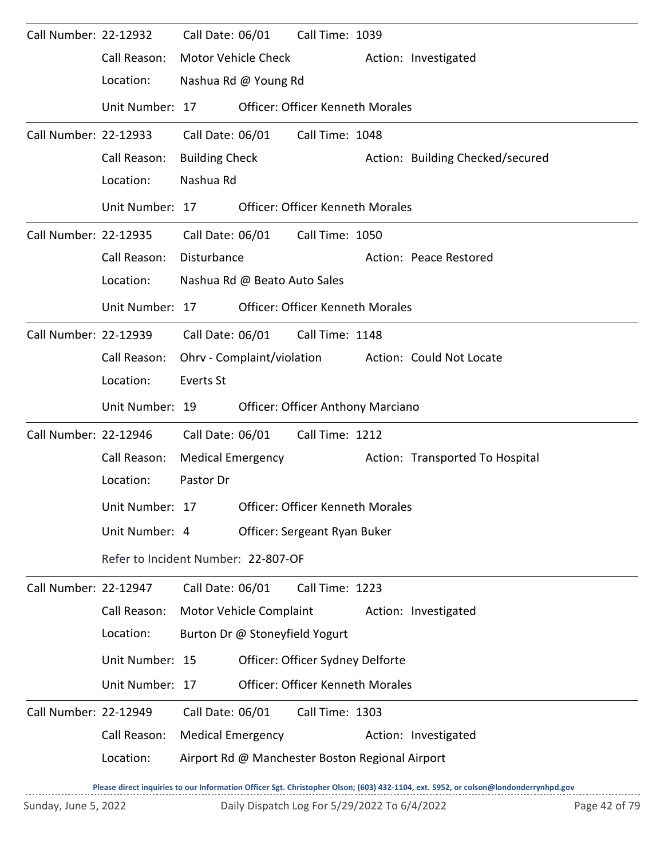| Call Number: 22-12932 |                                     | Call Date: 06/01           |                                | Call Time: 1039                                 |                                  |
|-----------------------|-------------------------------------|----------------------------|--------------------------------|-------------------------------------------------|----------------------------------|
|                       | Call Reason:                        | <b>Motor Vehicle Check</b> |                                |                                                 | Action: Investigated             |
|                       | Location:                           |                            | Nashua Rd @ Young Rd           |                                                 |                                  |
|                       | Unit Number: 17                     |                            |                                | Officer: Officer Kenneth Morales                |                                  |
| Call Number: 22-12933 |                                     | Call Date: 06/01           |                                | Call Time: 1048                                 |                                  |
|                       | Call Reason:                        | <b>Building Check</b>      |                                |                                                 | Action: Building Checked/secured |
|                       | Location:                           | Nashua Rd                  |                                |                                                 |                                  |
|                       | Unit Number: 17                     |                            |                                | <b>Officer: Officer Kenneth Morales</b>         |                                  |
| Call Number: 22-12935 |                                     | Call Date: 06/01           |                                | Call Time: 1050                                 |                                  |
|                       | Call Reason:                        | Disturbance                |                                |                                                 | Action: Peace Restored           |
|                       | Location:                           |                            | Nashua Rd @ Beato Auto Sales   |                                                 |                                  |
|                       | Unit Number: 17                     |                            |                                | <b>Officer: Officer Kenneth Morales</b>         |                                  |
| Call Number: 22-12939 |                                     | Call Date: 06/01           |                                | Call Time: 1148                                 |                                  |
|                       | Call Reason:                        |                            | Ohrv - Complaint/violation     |                                                 | Action: Could Not Locate         |
|                       | Location:                           | <b>Everts St</b>           |                                |                                                 |                                  |
|                       | Unit Number: 19                     |                            |                                | <b>Officer: Officer Anthony Marciano</b>        |                                  |
| Call Number: 22-12946 |                                     | Call Date: 06/01           |                                | Call Time: 1212                                 |                                  |
|                       | Call Reason:                        | <b>Medical Emergency</b>   |                                |                                                 | Action: Transported To Hospital  |
|                       | Location:                           | Pastor Dr                  |                                |                                                 |                                  |
|                       | Unit Number: 17                     |                            |                                | <b>Officer: Officer Kenneth Morales</b>         |                                  |
|                       | Unit Number: 4                      |                            |                                | Officer: Sergeant Ryan Buker                    |                                  |
|                       | Refer to Incident Number: 22-807-OF |                            |                                |                                                 |                                  |
| Call Number: 22-12947 |                                     | Call Date: 06/01           |                                | Call Time: 1223                                 |                                  |
|                       | Call Reason:                        | Motor Vehicle Complaint    |                                |                                                 | Action: Investigated             |
|                       | Location:                           |                            | Burton Dr @ Stoneyfield Yogurt |                                                 |                                  |
|                       | Unit Number: 15                     |                            |                                | Officer: Officer Sydney Delforte                |                                  |
|                       | Unit Number: 17                     |                            |                                | Officer: Officer Kenneth Morales                |                                  |
| Call Number: 22-12949 |                                     | Call Date: 06/01           |                                | Call Time: 1303                                 |                                  |
|                       | Call Reason:                        | <b>Medical Emergency</b>   |                                |                                                 | Action: Investigated             |
|                       | Location:                           |                            |                                | Airport Rd @ Manchester Boston Regional Airport |                                  |
|                       |                                     |                            |                                |                                                 |                                  |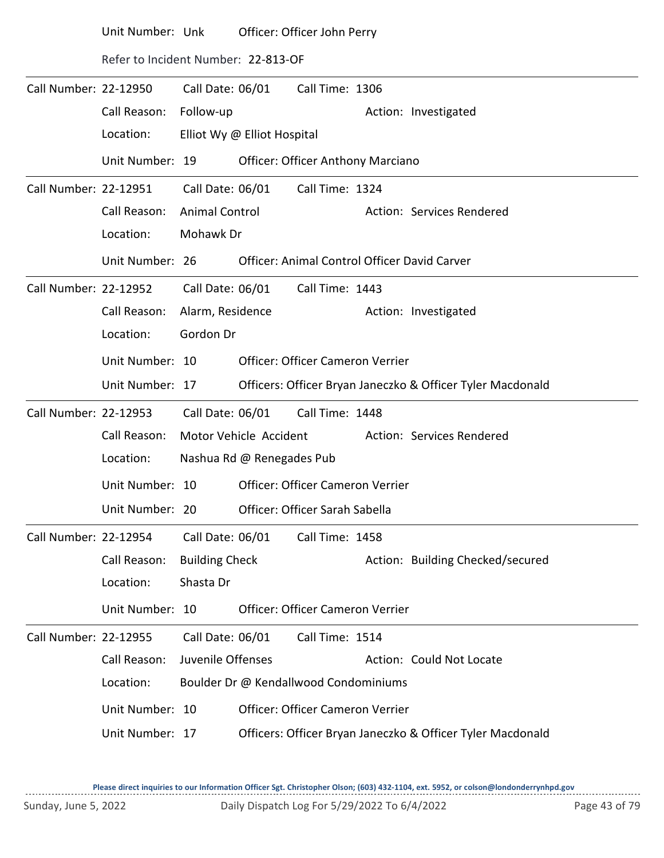|                       | Unit Number: Unk                    |                       | Officer: Officer John Perry |                                          |  |                                                            |  |  |
|-----------------------|-------------------------------------|-----------------------|-----------------------------|------------------------------------------|--|------------------------------------------------------------|--|--|
|                       | Refer to Incident Number: 22-813-OF |                       |                             |                                          |  |                                                            |  |  |
| Call Number: 22-12950 |                                     | Call Date: 06/01      |                             | Call Time: 1306                          |  |                                                            |  |  |
|                       | Call Reason:                        | Follow-up             |                             |                                          |  | Action: Investigated                                       |  |  |
|                       | Location:                           |                       | Elliot Wy @ Elliot Hospital |                                          |  |                                                            |  |  |
|                       | Unit Number: 19                     |                       |                             | <b>Officer: Officer Anthony Marciano</b> |  |                                                            |  |  |
| Call Number: 22-12951 |                                     | Call Date: 06/01      |                             | Call Time: 1324                          |  |                                                            |  |  |
|                       | Call Reason:                        | Animal Control        |                             |                                          |  | Action: Services Rendered                                  |  |  |
|                       | Location:                           | Mohawk Dr             |                             |                                          |  |                                                            |  |  |
|                       | Unit Number: 26                     |                       |                             |                                          |  | Officer: Animal Control Officer David Carver               |  |  |
| Call Number: 22-12952 |                                     | Call Date: 06/01      |                             | Call Time: 1443                          |  |                                                            |  |  |
|                       | Call Reason:                        | Alarm, Residence      |                             |                                          |  | Action: Investigated                                       |  |  |
|                       | Location:                           | Gordon Dr             |                             |                                          |  |                                                            |  |  |
|                       | Unit Number: 10                     |                       |                             | <b>Officer: Officer Cameron Verrier</b>  |  |                                                            |  |  |
|                       | Unit Number: 17                     |                       |                             |                                          |  | Officers: Officer Bryan Janeczko & Officer Tyler Macdonald |  |  |
| Call Number: 22-12953 |                                     | Call Date: 06/01      |                             | Call Time: 1448                          |  |                                                            |  |  |
|                       | Call Reason:                        |                       | Motor Vehicle Accident      |                                          |  | Action: Services Rendered                                  |  |  |
|                       | Location:                           |                       | Nashua Rd @ Renegades Pub   |                                          |  |                                                            |  |  |
|                       | Unit Number: 10                     |                       |                             | Officer: Officer Cameron Verrier         |  |                                                            |  |  |
|                       | Unit Number: 20                     |                       |                             | Officer: Officer Sarah Sabella           |  |                                                            |  |  |
| Call Number: 22-12954 |                                     | Call Date: 06/01      |                             | Call Time: 1458                          |  |                                                            |  |  |
|                       | Call Reason:                        | <b>Building Check</b> |                             |                                          |  | Action: Building Checked/secured                           |  |  |
|                       | Location:                           | Shasta Dr             |                             |                                          |  |                                                            |  |  |
|                       | Unit Number: 10                     |                       |                             | <b>Officer: Officer Cameron Verrier</b>  |  |                                                            |  |  |
| Call Number: 22-12955 |                                     | Call Date: 06/01      |                             | Call Time: 1514                          |  |                                                            |  |  |
|                       | Call Reason:                        | Juvenile Offenses     |                             |                                          |  | Action: Could Not Locate                                   |  |  |
|                       | Location:                           |                       |                             | Boulder Dr @ Kendallwood Condominiums    |  |                                                            |  |  |
|                       | Unit Number: 10                     |                       |                             | Officer: Officer Cameron Verrier         |  |                                                            |  |  |
|                       | Unit Number: 17                     |                       |                             |                                          |  | Officers: Officer Bryan Janeczko & Officer Tyler Macdonald |  |  |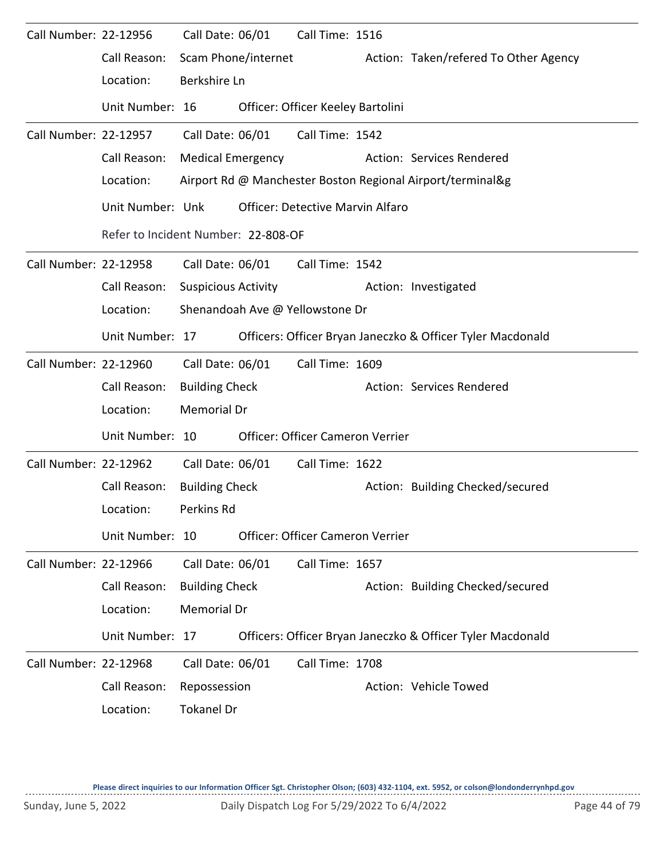| Call Number: 22-12956 |                                     | Call Date: 06/01           | Call Time: 1516                         |                                                            |
|-----------------------|-------------------------------------|----------------------------|-----------------------------------------|------------------------------------------------------------|
|                       | Call Reason:                        | Scam Phone/internet        |                                         | Action: Taken/refered To Other Agency                      |
|                       | Location:                           | Berkshire Ln               |                                         |                                                            |
|                       | Unit Number: 16                     |                            | Officer: Officer Keeley Bartolini       |                                                            |
| Call Number: 22-12957 |                                     | Call Date: 06/01           | Call Time: 1542                         |                                                            |
|                       | Call Reason:                        | <b>Medical Emergency</b>   |                                         | Action: Services Rendered                                  |
|                       | Location:                           |                            |                                         | Airport Rd @ Manchester Boston Regional Airport/terminal&g |
|                       | Unit Number: Unk                    |                            | <b>Officer: Detective Marvin Alfaro</b> |                                                            |
|                       | Refer to Incident Number: 22-808-OF |                            |                                         |                                                            |
| Call Number: 22-12958 |                                     | Call Date: 06/01           | Call Time: 1542                         |                                                            |
|                       | Call Reason:                        | <b>Suspicious Activity</b> |                                         | Action: Investigated                                       |
|                       | Location:                           |                            | Shenandoah Ave @ Yellowstone Dr         |                                                            |
|                       | Unit Number: 17                     |                            |                                         | Officers: Officer Bryan Janeczko & Officer Tyler Macdonald |
| Call Number: 22-12960 |                                     | Call Date: 06/01           | Call Time: 1609                         |                                                            |
|                       | Call Reason:                        | <b>Building Check</b>      |                                         | Action: Services Rendered                                  |
|                       | Location:                           | Memorial Dr                |                                         |                                                            |
|                       | Unit Number: 10                     |                            | Officer: Officer Cameron Verrier        |                                                            |
| Call Number: 22-12962 |                                     | Call Date: 06/01           | Call Time: 1622                         |                                                            |
|                       | Call Reason:                        | <b>Building Check</b>      |                                         | Action: Building Checked/secured                           |
|                       | Location:                           | Perkins Rd                 |                                         |                                                            |
|                       | Unit Number: 10                     |                            | Officer: Officer Cameron Verrier        |                                                            |
| Call Number: 22-12966 |                                     | Call Date: 06/01           | Call Time: 1657                         |                                                            |
|                       | Call Reason:                        | <b>Building Check</b>      |                                         | Action: Building Checked/secured                           |
|                       | Location:                           | Memorial Dr                |                                         |                                                            |
|                       | Unit Number: 17                     |                            |                                         | Officers: Officer Bryan Janeczko & Officer Tyler Macdonald |
| Call Number: 22-12968 |                                     | Call Date: 06/01           | Call Time: 1708                         |                                                            |
|                       | Call Reason:                        | Repossession               |                                         | Action: Vehicle Towed                                      |
|                       | Location:                           | <b>Tokanel Dr</b>          |                                         |                                                            |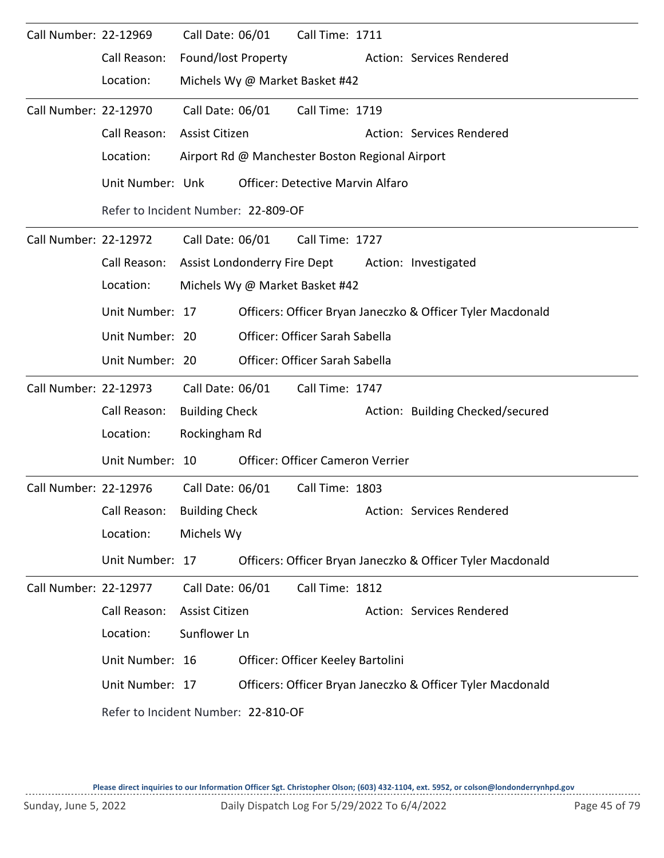| Call Number: 22-12969 |                                     | Call Date: 06/01             |  | Call Time: 1711                                 |  |                                                            |  |  |  |
|-----------------------|-------------------------------------|------------------------------|--|-------------------------------------------------|--|------------------------------------------------------------|--|--|--|
|                       | Call Reason:                        | Found/lost Property          |  |                                                 |  | Action: Services Rendered                                  |  |  |  |
|                       | Location:                           |                              |  | Michels Wy @ Market Basket #42                  |  |                                                            |  |  |  |
| Call Number: 22-12970 |                                     | Call Date: 06/01             |  | Call Time: 1719                                 |  |                                                            |  |  |  |
|                       | Call Reason:                        | Assist Citizen               |  |                                                 |  | Action: Services Rendered                                  |  |  |  |
|                       | Location:                           |                              |  | Airport Rd @ Manchester Boston Regional Airport |  |                                                            |  |  |  |
|                       | Unit Number: Unk                    |                              |  | <b>Officer: Detective Marvin Alfaro</b>         |  |                                                            |  |  |  |
|                       | Refer to Incident Number: 22-809-OF |                              |  |                                                 |  |                                                            |  |  |  |
| Call Number: 22-12972 |                                     | Call Date: 06/01             |  | Call Time: 1727                                 |  |                                                            |  |  |  |
|                       | Call Reason:                        | Assist Londonderry Fire Dept |  |                                                 |  | Action: Investigated                                       |  |  |  |
|                       | Location:                           |                              |  | Michels Wy @ Market Basket #42                  |  |                                                            |  |  |  |
|                       | Unit Number: 17                     |                              |  |                                                 |  | Officers: Officer Bryan Janeczko & Officer Tyler Macdonald |  |  |  |
|                       | Unit Number: 20                     |                              |  | Officer: Officer Sarah Sabella                  |  |                                                            |  |  |  |
|                       | Unit Number: 20                     |                              |  | Officer: Officer Sarah Sabella                  |  |                                                            |  |  |  |
| Call Number: 22-12973 |                                     | Call Date: 06/01             |  | Call Time: 1747                                 |  |                                                            |  |  |  |
|                       | Call Reason:                        | <b>Building Check</b>        |  |                                                 |  | Action: Building Checked/secured                           |  |  |  |
|                       | Location:                           | Rockingham Rd                |  |                                                 |  |                                                            |  |  |  |
|                       | Unit Number: 10                     |                              |  | Officer: Officer Cameron Verrier                |  |                                                            |  |  |  |
| Call Number: 22-12976 |                                     | Call Date: 06/01             |  | Call Time: 1803                                 |  |                                                            |  |  |  |
|                       | Call Reason:                        | <b>Building Check</b>        |  |                                                 |  | Action: Services Rendered                                  |  |  |  |
|                       | Location:                           | Michels Wy                   |  |                                                 |  |                                                            |  |  |  |
|                       | Unit Number: 17                     |                              |  |                                                 |  | Officers: Officer Bryan Janeczko & Officer Tyler Macdonald |  |  |  |
| Call Number: 22-12977 |                                     | Call Date: 06/01             |  | Call Time: 1812                                 |  |                                                            |  |  |  |
|                       | Call Reason:                        | Assist Citizen               |  |                                                 |  | Action: Services Rendered                                  |  |  |  |
|                       | Location:                           | Sunflower Ln                 |  |                                                 |  |                                                            |  |  |  |
|                       | Unit Number: 16                     |                              |  | Officer: Officer Keeley Bartolini               |  |                                                            |  |  |  |
|                       | Unit Number: 17                     |                              |  |                                                 |  | Officers: Officer Bryan Janeczko & Officer Tyler Macdonald |  |  |  |
|                       | Refer to Incident Number: 22-810-OF |                              |  |                                                 |  |                                                            |  |  |  |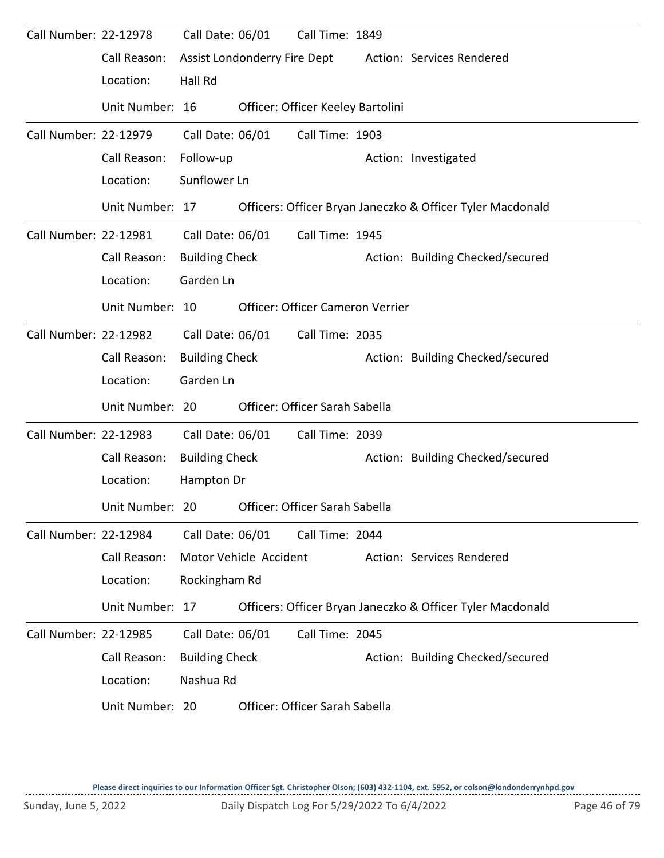| Call Number: 22-12978 |                 | Call Date: 06/01      |                              | Call Time: 1849                         |                                                            |
|-----------------------|-----------------|-----------------------|------------------------------|-----------------------------------------|------------------------------------------------------------|
|                       | Call Reason:    |                       | Assist Londonderry Fire Dept |                                         | Action: Services Rendered                                  |
|                       | Location:       | Hall Rd               |                              |                                         |                                                            |
|                       | Unit Number: 16 |                       |                              | Officer: Officer Keeley Bartolini       |                                                            |
| Call Number: 22-12979 |                 | Call Date: 06/01      |                              | Call Time: 1903                         |                                                            |
|                       | Call Reason:    | Follow-up             |                              |                                         | Action: Investigated                                       |
|                       | Location:       | Sunflower Ln          |                              |                                         |                                                            |
|                       | Unit Number: 17 |                       |                              |                                         | Officers: Officer Bryan Janeczko & Officer Tyler Macdonald |
| Call Number: 22-12981 |                 | Call Date: 06/01      |                              | Call Time: 1945                         |                                                            |
|                       | Call Reason:    | <b>Building Check</b> |                              |                                         | Action: Building Checked/secured                           |
|                       | Location:       | Garden Ln             |                              |                                         |                                                            |
|                       | Unit Number: 10 |                       |                              | <b>Officer: Officer Cameron Verrier</b> |                                                            |
| Call Number: 22-12982 |                 | Call Date: 06/01      |                              | Call Time: 2035                         |                                                            |
|                       | Call Reason:    | <b>Building Check</b> |                              |                                         | Action: Building Checked/secured                           |
|                       | Location:       | Garden Ln             |                              |                                         |                                                            |
|                       | Unit Number: 20 |                       |                              | Officer: Officer Sarah Sabella          |                                                            |
| Call Number: 22-12983 |                 | Call Date: 06/01      |                              | Call Time: 2039                         |                                                            |
|                       | Call Reason:    | <b>Building Check</b> |                              |                                         | Action: Building Checked/secured                           |
|                       | Location:       | Hampton Dr            |                              |                                         |                                                            |
|                       | Unit Number: 20 |                       |                              | Officer: Officer Sarah Sabella          |                                                            |
| Call Number: 22-12984 |                 | Call Date: 06/01      |                              | Call Time: 2044                         |                                                            |
|                       | Call Reason:    |                       | Motor Vehicle Accident       |                                         | Action: Services Rendered                                  |
|                       | Location:       | Rockingham Rd         |                              |                                         |                                                            |
|                       | Unit Number: 17 |                       |                              |                                         | Officers: Officer Bryan Janeczko & Officer Tyler Macdonald |
| Call Number: 22-12985 |                 | Call Date: 06/01      |                              | Call Time: 2045                         |                                                            |
|                       | Call Reason:    | <b>Building Check</b> |                              |                                         | Action: Building Checked/secured                           |
|                       | Location:       | Nashua Rd             |                              |                                         |                                                            |
|                       | Unit Number: 20 |                       |                              | Officer: Officer Sarah Sabella          |                                                            |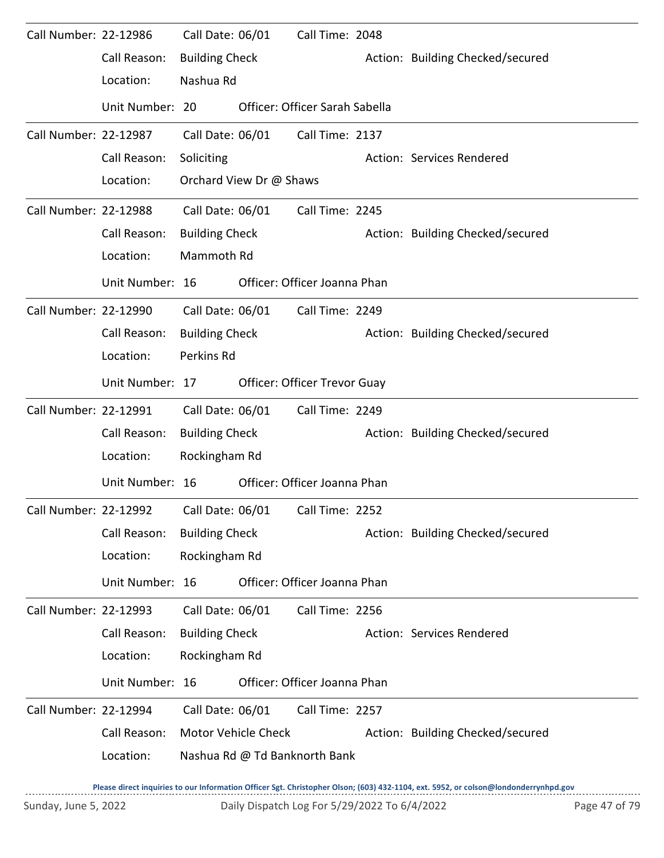| Call Number: 22-12986 |                                                              | Call Date: 06/01      |                         | Call Time: 2048                |                                  |
|-----------------------|--------------------------------------------------------------|-----------------------|-------------------------|--------------------------------|----------------------------------|
|                       | Call Reason:                                                 | <b>Building Check</b> |                         |                                | Action: Building Checked/secured |
|                       | Location:                                                    | Nashua Rd             |                         |                                |                                  |
|                       | Unit Number: 20                                              |                       |                         | Officer: Officer Sarah Sabella |                                  |
| Call Number: 22-12987 |                                                              | Call Date: 06/01      |                         | Call Time: 2137                |                                  |
|                       | Call Reason:                                                 | Soliciting            |                         |                                | Action: Services Rendered        |
|                       | Location:                                                    |                       | Orchard View Dr @ Shaws |                                |                                  |
| Call Number: 22-12988 |                                                              |                       | Call Date: 06/01        | Call Time: 2245                |                                  |
|                       | Call Reason:                                                 | <b>Building Check</b> |                         |                                | Action: Building Checked/secured |
|                       | Location:                                                    | Mammoth Rd            |                         |                                |                                  |
|                       | Unit Number: 16                                              |                       |                         | Officer: Officer Joanna Phan   |                                  |
| Call Number: 22-12990 |                                                              | Call Date: 06/01      |                         | Call Time: 2249                |                                  |
|                       | Call Reason:                                                 | <b>Building Check</b> |                         |                                | Action: Building Checked/secured |
|                       | Location:                                                    | Perkins Rd            |                         |                                |                                  |
|                       | Unit Number: 17                                              |                       |                         | Officer: Officer Trevor Guay   |                                  |
| Call Number: 22-12991 |                                                              | Call Date: 06/01      |                         | Call Time: 2249                |                                  |
|                       | Call Reason:                                                 | <b>Building Check</b> |                         |                                | Action: Building Checked/secured |
|                       | Location:                                                    | Rockingham Rd         |                         |                                |                                  |
|                       | Unit Number: 16                                              |                       |                         | Officer: Officer Joanna Phan   |                                  |
|                       | Call Number: 22-12992    Call Date: 06/01    Call Time: 2252 |                       |                         |                                |                                  |
|                       | Call Reason:                                                 | <b>Building Check</b> |                         |                                | Action: Building Checked/secured |
|                       | Location:                                                    | Rockingham Rd         |                         |                                |                                  |
|                       | Unit Number: 16                                              |                       |                         | Officer: Officer Joanna Phan   |                                  |
| Call Number: 22-12993 |                                                              | Call Date: 06/01      |                         | Call Time: 2256                |                                  |
|                       | Call Reason:                                                 | <b>Building Check</b> |                         |                                | Action: Services Rendered        |
|                       | Location:                                                    | Rockingham Rd         |                         |                                |                                  |
|                       | Unit Number: 16                                              |                       |                         | Officer: Officer Joanna Phan   |                                  |
| Call Number: 22-12994 |                                                              | Call Date: 06/01      |                         | Call Time: 2257                |                                  |
|                       | Call Reason:                                                 |                       | Motor Vehicle Check     |                                | Action: Building Checked/secured |
|                       | Location:                                                    |                       |                         | Nashua Rd @ Td Banknorth Bank  |                                  |
|                       |                                                              |                       |                         |                                |                                  |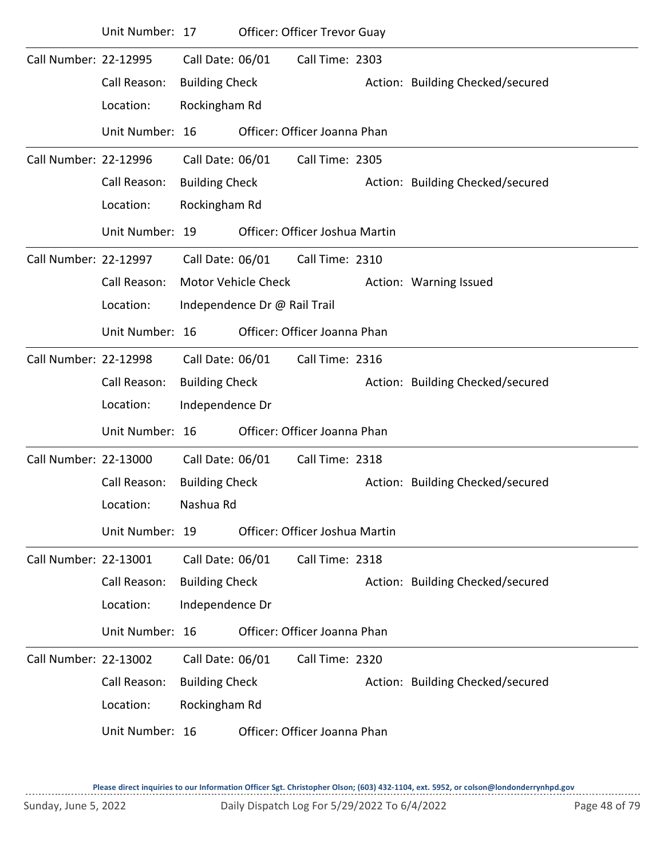|                       | Unit Number: 17 |                       |                              | <b>Officer: Officer Trevor Guay</b> |                                  |
|-----------------------|-----------------|-----------------------|------------------------------|-------------------------------------|----------------------------------|
| Call Number: 22-12995 |                 | Call Date: 06/01      |                              | Call Time: 2303                     |                                  |
|                       | Call Reason:    | <b>Building Check</b> |                              |                                     | Action: Building Checked/secured |
|                       | Location:       | Rockingham Rd         |                              |                                     |                                  |
|                       | Unit Number: 16 |                       |                              | Officer: Officer Joanna Phan        |                                  |
| Call Number: 22-12996 |                 | Call Date: 06/01      |                              | Call Time: 2305                     |                                  |
|                       | Call Reason:    | <b>Building Check</b> |                              |                                     | Action: Building Checked/secured |
|                       | Location:       | Rockingham Rd         |                              |                                     |                                  |
|                       | Unit Number: 19 |                       |                              | Officer: Officer Joshua Martin      |                                  |
| Call Number: 22-12997 |                 | Call Date: 06/01      |                              | Call Time: 2310                     |                                  |
|                       | Call Reason:    |                       | <b>Motor Vehicle Check</b>   |                                     | Action: Warning Issued           |
|                       | Location:       |                       | Independence Dr @ Rail Trail |                                     |                                  |
|                       | Unit Number: 16 |                       |                              | Officer: Officer Joanna Phan        |                                  |
| Call Number: 22-12998 |                 | Call Date: 06/01      |                              | Call Time: 2316                     |                                  |
|                       | Call Reason:    | <b>Building Check</b> |                              |                                     | Action: Building Checked/secured |
|                       | Location:       | Independence Dr       |                              |                                     |                                  |
|                       | Unit Number: 16 |                       |                              | Officer: Officer Joanna Phan        |                                  |
| Call Number: 22-13000 |                 | Call Date: 06/01      |                              | Call Time: 2318                     |                                  |
|                       | Call Reason:    | <b>Building Check</b> |                              |                                     | Action: Building Checked/secured |
|                       | Location:       | Nashua Rd             |                              |                                     |                                  |
|                       | Unit Number: 19 |                       |                              | Officer: Officer Joshua Martin      |                                  |
| Call Number: 22-13001 |                 | Call Date: 06/01      |                              | Call Time: 2318                     |                                  |
|                       | Call Reason:    | <b>Building Check</b> |                              |                                     | Action: Building Checked/secured |
|                       | Location:       | Independence Dr       |                              |                                     |                                  |
|                       | Unit Number: 16 |                       |                              | Officer: Officer Joanna Phan        |                                  |
| Call Number: 22-13002 |                 | Call Date: 06/01      |                              | Call Time: 2320                     |                                  |
|                       | Call Reason:    | <b>Building Check</b> |                              |                                     | Action: Building Checked/secured |
|                       | Location:       | Rockingham Rd         |                              |                                     |                                  |
|                       | Unit Number: 16 |                       |                              | Officer: Officer Joanna Phan        |                                  |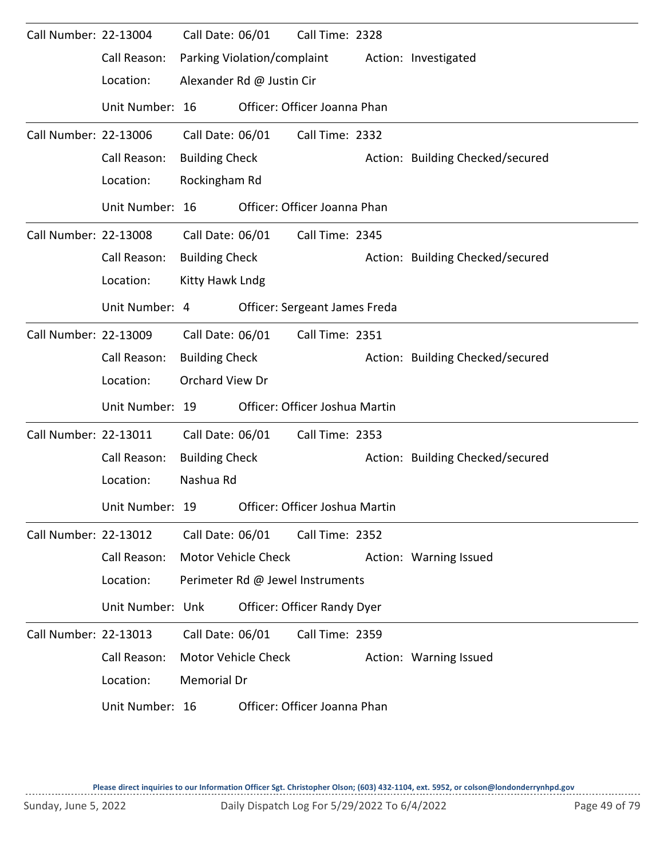| Call Number: 22-13004 |                  | Call Date: 06/01      |                             | Call Time: 2328                  |                                  |
|-----------------------|------------------|-----------------------|-----------------------------|----------------------------------|----------------------------------|
|                       | Call Reason:     |                       | Parking Violation/complaint |                                  | Action: Investigated             |
|                       | Location:        |                       | Alexander Rd @ Justin Cir   |                                  |                                  |
|                       | Unit Number: 16  |                       |                             | Officer: Officer Joanna Phan     |                                  |
| Call Number: 22-13006 |                  | Call Date: 06/01      |                             | Call Time: 2332                  |                                  |
|                       | Call Reason:     | <b>Building Check</b> |                             |                                  | Action: Building Checked/secured |
|                       | Location:        | Rockingham Rd         |                             |                                  |                                  |
|                       | Unit Number: 16  |                       |                             | Officer: Officer Joanna Phan     |                                  |
| Call Number: 22-13008 |                  | Call Date: 06/01      |                             | Call Time: 2345                  |                                  |
|                       | Call Reason:     | <b>Building Check</b> |                             |                                  | Action: Building Checked/secured |
|                       | Location:        | Kitty Hawk Lndg       |                             |                                  |                                  |
|                       | Unit Number: 4   |                       |                             | Officer: Sergeant James Freda    |                                  |
| Call Number: 22-13009 |                  | Call Date: 06/01      |                             | Call Time: 2351                  |                                  |
|                       | Call Reason:     | <b>Building Check</b> |                             |                                  | Action: Building Checked/secured |
|                       | Location:        | Orchard View Dr       |                             |                                  |                                  |
|                       | Unit Number: 19  |                       |                             | Officer: Officer Joshua Martin   |                                  |
| Call Number: 22-13011 |                  | Call Date: 06/01      |                             | Call Time: 2353                  |                                  |
|                       | Call Reason:     | <b>Building Check</b> |                             |                                  | Action: Building Checked/secured |
|                       | Location:        | Nashua Rd             |                             |                                  |                                  |
|                       | Unit Number: 19  |                       |                             | Officer: Officer Joshua Martin   |                                  |
| Call Number: 22-13012 |                  | Call Date: 06/01      |                             | Call Time: 2352                  |                                  |
|                       | Call Reason:     |                       | Motor Vehicle Check         |                                  | Action: Warning Issued           |
|                       | Location:        |                       |                             | Perimeter Rd @ Jewel Instruments |                                  |
|                       | Unit Number: Unk |                       |                             | Officer: Officer Randy Dyer      |                                  |
| Call Number: 22-13013 |                  | Call Date: 06/01      |                             | Call Time: 2359                  |                                  |
|                       | Call Reason:     |                       | Motor Vehicle Check         |                                  | Action: Warning Issued           |
|                       | Location:        | Memorial Dr           |                             |                                  |                                  |
|                       | Unit Number: 16  |                       |                             | Officer: Officer Joanna Phan     |                                  |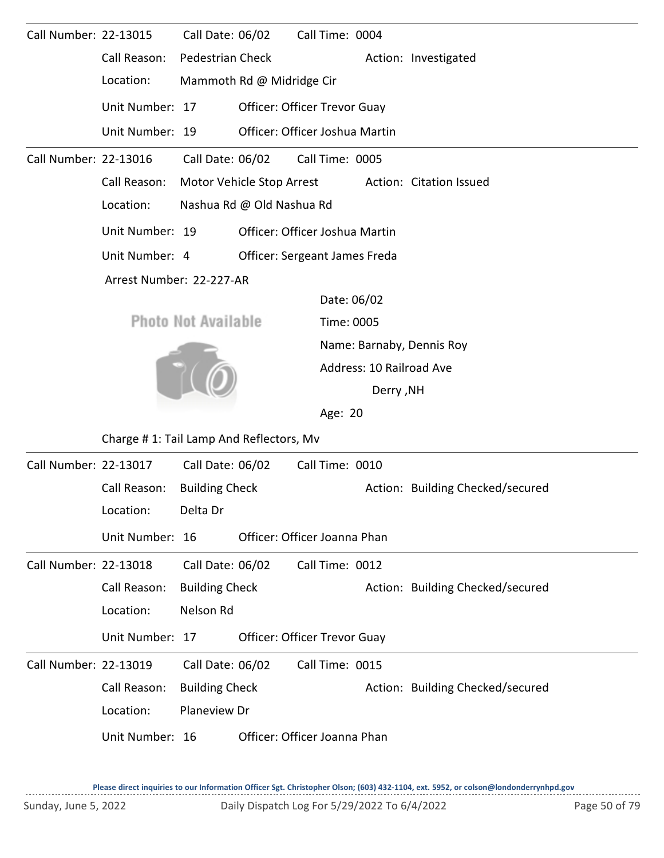| Call Number: 22-13015 |                                         | Call Date: 06/02           |                           | Call Time: 0004                |                          |                                  |  |  |  |
|-----------------------|-----------------------------------------|----------------------------|---------------------------|--------------------------------|--------------------------|----------------------------------|--|--|--|
|                       | Call Reason:                            | Pedestrian Check           |                           |                                |                          | Action: Investigated             |  |  |  |
|                       | Location:                               |                            | Mammoth Rd @ Midridge Cir |                                |                          |                                  |  |  |  |
|                       | Unit Number: 17                         |                            |                           | Officer: Officer Trevor Guay   |                          |                                  |  |  |  |
|                       | Unit Number: 19                         |                            |                           | Officer: Officer Joshua Martin |                          |                                  |  |  |  |
| Call Number: 22-13016 |                                         | Call Date: 06/02           |                           | Call Time: 0005                |                          |                                  |  |  |  |
|                       | Call Reason:                            |                            | Motor Vehicle Stop Arrest |                                |                          | Action: Citation Issued          |  |  |  |
|                       | Location:                               |                            | Nashua Rd @ Old Nashua Rd |                                |                          |                                  |  |  |  |
|                       | Unit Number: 19                         |                            |                           | Officer: Officer Joshua Martin |                          |                                  |  |  |  |
|                       | Unit Number: 4                          |                            |                           | Officer: Sergeant James Freda  |                          |                                  |  |  |  |
|                       | Arrest Number: 22-227-AR                |                            |                           |                                |                          |                                  |  |  |  |
|                       |                                         |                            |                           |                                | Date: 06/02              |                                  |  |  |  |
|                       |                                         | <b>Photo Not Available</b> |                           |                                | Time: 0005               |                                  |  |  |  |
|                       |                                         |                            |                           |                                |                          | Name: Barnaby, Dennis Roy        |  |  |  |
|                       |                                         |                            |                           |                                | Address: 10 Railroad Ave |                                  |  |  |  |
|                       |                                         |                            |                           |                                | <b>Derry, NH</b>         |                                  |  |  |  |
|                       |                                         |                            |                           |                                | Age: 20                  |                                  |  |  |  |
|                       | Charge #1: Tail Lamp And Reflectors, Mv |                            |                           |                                |                          |                                  |  |  |  |
| Call Number: 22-13017 |                                         | Call Date: 06/02           |                           | Call Time: 0010                |                          |                                  |  |  |  |
|                       | Call Reason:                            | <b>Building Check</b>      |                           |                                |                          | Action: Building Checked/secured |  |  |  |
|                       | Location:                               | Delta Dr                   |                           |                                |                          |                                  |  |  |  |
|                       | Unit Number: 16                         |                            |                           | Officer: Officer Joanna Phan   |                          |                                  |  |  |  |
| Call Number: 22-13018 |                                         | Call Date: 06/02           |                           | Call Time: 0012                |                          |                                  |  |  |  |
|                       | Call Reason:                            | <b>Building Check</b>      |                           |                                |                          | Action: Building Checked/secured |  |  |  |
|                       | Location:                               | Nelson Rd                  |                           |                                |                          |                                  |  |  |  |
|                       | Unit Number: 17                         |                            |                           | Officer: Officer Trevor Guay   |                          |                                  |  |  |  |
| Call Number: 22-13019 |                                         | Call Date: 06/02           |                           | Call Time: 0015                |                          |                                  |  |  |  |
|                       | Call Reason:                            | <b>Building Check</b>      |                           |                                |                          | Action: Building Checked/secured |  |  |  |
|                       | Location:                               | Planeview Dr               |                           |                                |                          |                                  |  |  |  |
|                       | Unit Number: 16                         |                            |                           | Officer: Officer Joanna Phan   |                          |                                  |  |  |  |
|                       |                                         |                            |                           |                                |                          |                                  |  |  |  |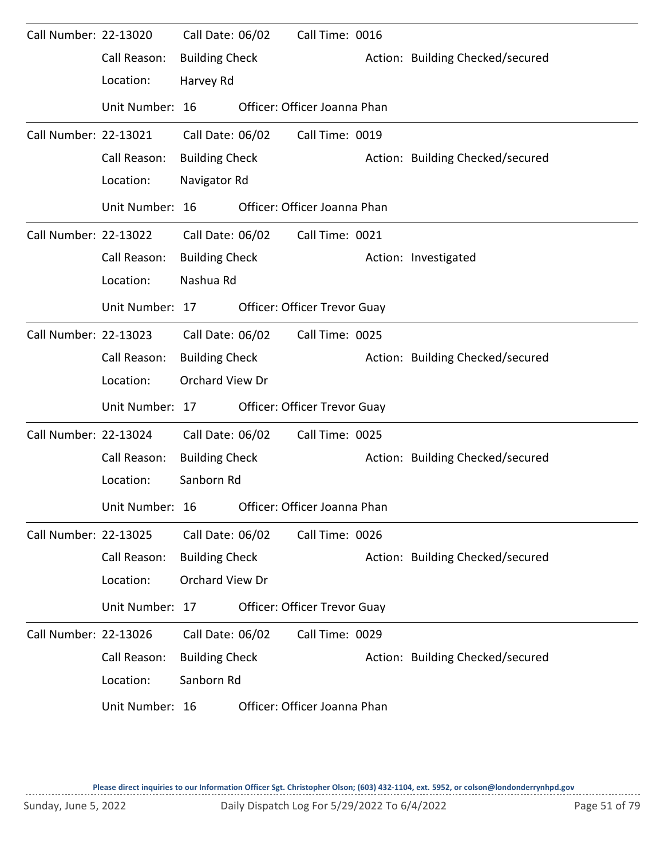| Call Number: 22-13020 |                 | Call Date: 06/02      | Call Time: 0016                     |                                  |
|-----------------------|-----------------|-----------------------|-------------------------------------|----------------------------------|
|                       | Call Reason:    | <b>Building Check</b> |                                     | Action: Building Checked/secured |
|                       | Location:       | Harvey Rd             |                                     |                                  |
|                       | Unit Number: 16 |                       | Officer: Officer Joanna Phan        |                                  |
| Call Number: 22-13021 |                 | Call Date: 06/02      | Call Time: 0019                     |                                  |
|                       | Call Reason:    | <b>Building Check</b> |                                     | Action: Building Checked/secured |
|                       | Location:       | Navigator Rd          |                                     |                                  |
|                       | Unit Number: 16 |                       | Officer: Officer Joanna Phan        |                                  |
| Call Number: 22-13022 |                 | Call Date: 06/02      | Call Time: 0021                     |                                  |
|                       | Call Reason:    | <b>Building Check</b> |                                     | Action: Investigated             |
|                       | Location:       | Nashua Rd             |                                     |                                  |
|                       | Unit Number: 17 |                       | <b>Officer: Officer Trevor Guay</b> |                                  |
| Call Number: 22-13023 |                 | Call Date: 06/02      | Call Time: 0025                     |                                  |
|                       | Call Reason:    | <b>Building Check</b> |                                     | Action: Building Checked/secured |
|                       | Location:       | Orchard View Dr       |                                     |                                  |
|                       | Unit Number: 17 |                       | Officer: Officer Trevor Guay        |                                  |
| Call Number: 22-13024 |                 | Call Date: 06/02      | Call Time: 0025                     |                                  |
|                       | Call Reason:    | <b>Building Check</b> |                                     | Action: Building Checked/secured |
|                       | Location:       | Sanborn Rd            |                                     |                                  |
|                       | Unit Number: 16 |                       | Officer: Officer Joanna Phan        |                                  |
| Call Number: 22-13025 |                 | Call Date: 06/02      | Call Time: 0026                     |                                  |
|                       | Call Reason:    | <b>Building Check</b> |                                     | Action: Building Checked/secured |
|                       | Location:       | Orchard View Dr       |                                     |                                  |
|                       | Unit Number: 17 |                       | <b>Officer: Officer Trevor Guay</b> |                                  |
| Call Number: 22-13026 |                 | Call Date: 06/02      | Call Time: 0029                     |                                  |
|                       | Call Reason:    | <b>Building Check</b> |                                     | Action: Building Checked/secured |
|                       | Location:       | Sanborn Rd            |                                     |                                  |
|                       | Unit Number: 16 |                       | Officer: Officer Joanna Phan        |                                  |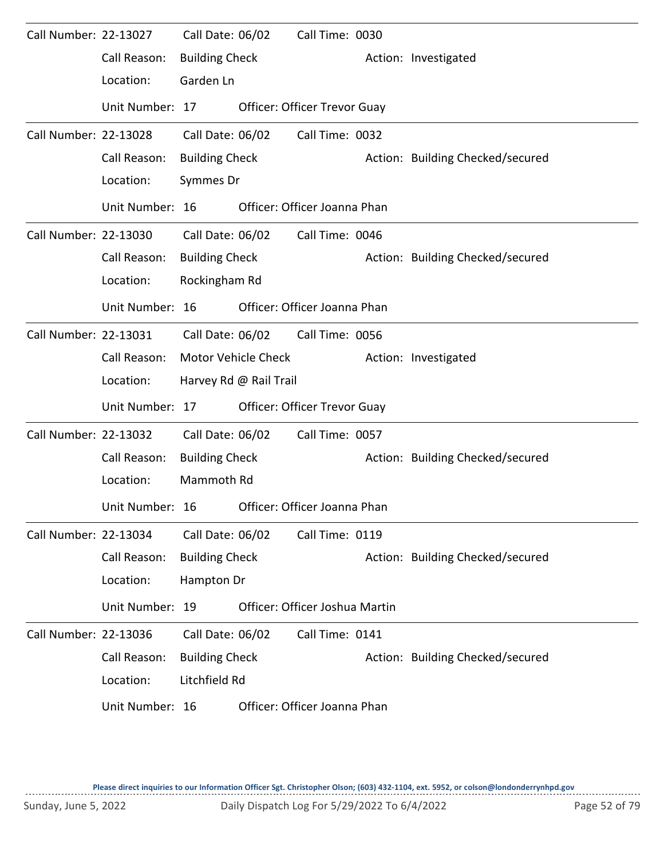| Call Number: 22-13027 |                 | Call Date: 06/02      |                        | Call Time: 0030                     |                                  |
|-----------------------|-----------------|-----------------------|------------------------|-------------------------------------|----------------------------------|
|                       | Call Reason:    | <b>Building Check</b> |                        |                                     | Action: Investigated             |
|                       | Location:       | Garden Ln             |                        |                                     |                                  |
|                       | Unit Number: 17 |                       |                        | <b>Officer: Officer Trevor Guay</b> |                                  |
| Call Number: 22-13028 |                 | Call Date: 06/02      |                        | Call Time: 0032                     |                                  |
|                       | Call Reason:    | <b>Building Check</b> |                        |                                     | Action: Building Checked/secured |
|                       | Location:       | Symmes Dr             |                        |                                     |                                  |
|                       | Unit Number: 16 |                       |                        | Officer: Officer Joanna Phan        |                                  |
| Call Number: 22-13030 |                 | Call Date: 06/02      |                        | Call Time: 0046                     |                                  |
|                       | Call Reason:    | <b>Building Check</b> |                        |                                     | Action: Building Checked/secured |
|                       | Location:       | Rockingham Rd         |                        |                                     |                                  |
|                       | Unit Number: 16 |                       |                        | Officer: Officer Joanna Phan        |                                  |
| Call Number: 22-13031 |                 | Call Date: 06/02      |                        | Call Time: 0056                     |                                  |
|                       | Call Reason:    |                       | Motor Vehicle Check    |                                     | Action: Investigated             |
|                       | Location:       |                       | Harvey Rd @ Rail Trail |                                     |                                  |
|                       | Unit Number: 17 |                       |                        | Officer: Officer Trevor Guay        |                                  |
| Call Number: 22-13032 |                 | Call Date: 06/02      |                        | Call Time: 0057                     |                                  |
|                       | Call Reason:    | <b>Building Check</b> |                        |                                     | Action: Building Checked/secured |
|                       | Location:       | Mammoth Rd            |                        |                                     |                                  |
|                       | Unit Number: 16 |                       |                        | Officer: Officer Joanna Phan        |                                  |
| Call Number: 22-13034 |                 | Call Date: 06/02      |                        | Call Time: 0119                     |                                  |
|                       | Call Reason:    | <b>Building Check</b> |                        |                                     | Action: Building Checked/secured |
|                       | Location:       | Hampton Dr            |                        |                                     |                                  |
|                       | Unit Number: 19 |                       |                        | Officer: Officer Joshua Martin      |                                  |
| Call Number: 22-13036 |                 | Call Date: 06/02      |                        | Call Time: 0141                     |                                  |
|                       | Call Reason:    | <b>Building Check</b> |                        |                                     | Action: Building Checked/secured |
|                       | Location:       | Litchfield Rd         |                        |                                     |                                  |
|                       | Unit Number: 16 |                       |                        | Officer: Officer Joanna Phan        |                                  |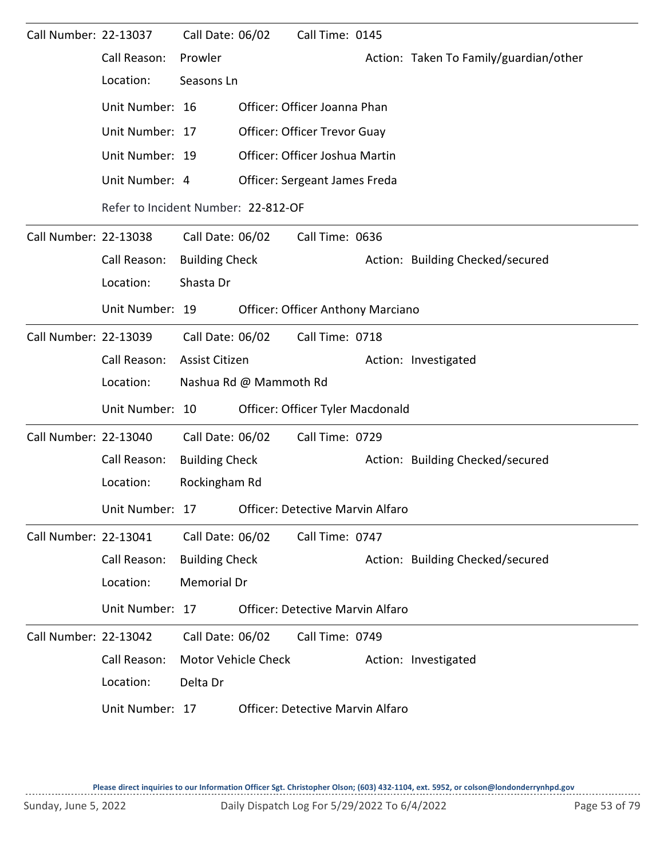| Call Number: 22-13037 |                                                  | Call Date: 06/02      |                                     | Call Time: 0145                          |  |                                        |  |  |  |
|-----------------------|--------------------------------------------------|-----------------------|-------------------------------------|------------------------------------------|--|----------------------------------------|--|--|--|
|                       | Call Reason:                                     | Prowler               |                                     |                                          |  | Action: Taken To Family/guardian/other |  |  |  |
|                       | Location:                                        | Seasons Ln            |                                     |                                          |  |                                        |  |  |  |
|                       | Unit Number: 16                                  |                       |                                     | Officer: Officer Joanna Phan             |  |                                        |  |  |  |
|                       | Unit Number: 17                                  |                       |                                     | <b>Officer: Officer Trevor Guay</b>      |  |                                        |  |  |  |
|                       | Unit Number: 19                                  |                       |                                     | Officer: Officer Joshua Martin           |  |                                        |  |  |  |
|                       | Unit Number: 4                                   |                       |                                     | Officer: Sergeant James Freda            |  |                                        |  |  |  |
|                       |                                                  |                       | Refer to Incident Number: 22-812-OF |                                          |  |                                        |  |  |  |
| Call Number: 22-13038 |                                                  | Call Date: 06/02      |                                     | Call Time: 0636                          |  |                                        |  |  |  |
|                       | Call Reason:                                     | <b>Building Check</b> |                                     |                                          |  | Action: Building Checked/secured       |  |  |  |
|                       | Location:                                        | Shasta Dr             |                                     |                                          |  |                                        |  |  |  |
|                       | Unit Number: 19                                  |                       |                                     | <b>Officer: Officer Anthony Marciano</b> |  |                                        |  |  |  |
| Call Number: 22-13039 |                                                  | Call Date: 06/02      |                                     | Call Time: 0718                          |  |                                        |  |  |  |
|                       | Call Reason:                                     | Assist Citizen        |                                     |                                          |  | Action: Investigated                   |  |  |  |
|                       | Location:                                        |                       | Nashua Rd @ Mammoth Rd              |                                          |  |                                        |  |  |  |
|                       | Unit Number: 10                                  |                       |                                     | Officer: Officer Tyler Macdonald         |  |                                        |  |  |  |
| Call Number: 22-13040 |                                                  | Call Date: 06/02      |                                     | Call Time: 0729                          |  |                                        |  |  |  |
|                       | Call Reason:                                     | <b>Building Check</b> |                                     |                                          |  | Action: Building Checked/secured       |  |  |  |
|                       | Location:                                        | Rockingham Rd         |                                     |                                          |  |                                        |  |  |  |
|                       | Unit Number: 17 Officer: Detective Marvin Alfaro |                       |                                     |                                          |  |                                        |  |  |  |
| Call Number: 22-13041 |                                                  | Call Date: 06/02      |                                     | Call Time: 0747                          |  |                                        |  |  |  |
|                       | Call Reason:                                     | <b>Building Check</b> |                                     |                                          |  | Action: Building Checked/secured       |  |  |  |
|                       | Location:                                        | <b>Memorial Dr</b>    |                                     |                                          |  |                                        |  |  |  |
|                       | Unit Number: 17                                  |                       |                                     | Officer: Detective Marvin Alfaro         |  |                                        |  |  |  |
| Call Number: 22-13042 |                                                  | Call Date: 06/02      |                                     | Call Time: 0749                          |  |                                        |  |  |  |
|                       | Call Reason:                                     | Motor Vehicle Check   |                                     |                                          |  | Action: Investigated                   |  |  |  |
|                       | Location:                                        | Delta Dr              |                                     |                                          |  |                                        |  |  |  |
|                       | Unit Number: 17                                  |                       |                                     | <b>Officer: Detective Marvin Alfaro</b>  |  |                                        |  |  |  |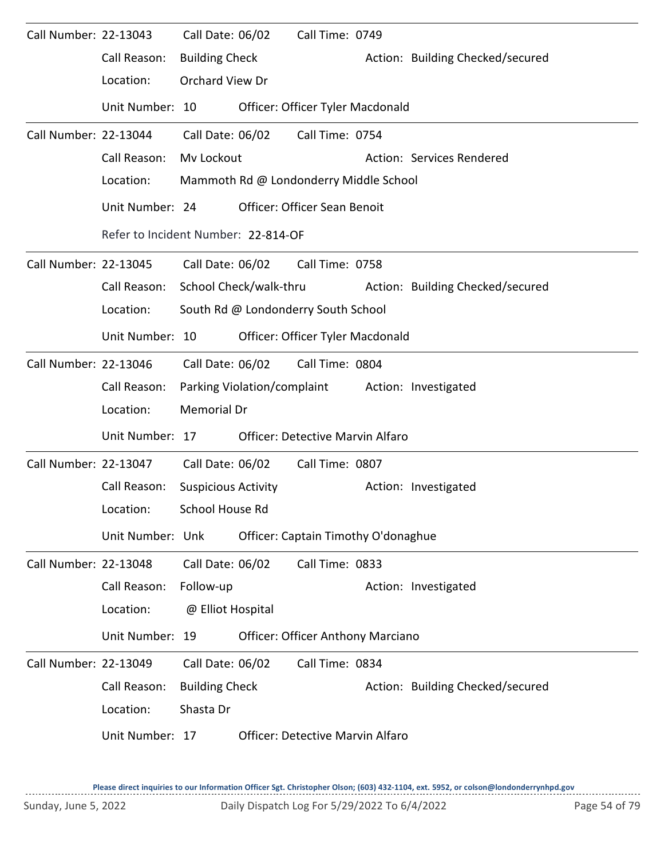| Call Number: 22-13043 |                  | Call Date: 06/02                    |  | Call Time: 0749                          |  |                                                  |  |  |  |  |
|-----------------------|------------------|-------------------------------------|--|------------------------------------------|--|--------------------------------------------------|--|--|--|--|
|                       | Call Reason:     | <b>Building Check</b>               |  |                                          |  | Action: Building Checked/secured                 |  |  |  |  |
|                       | Location:        | Orchard View Dr                     |  |                                          |  |                                                  |  |  |  |  |
|                       | Unit Number: 10  |                                     |  | Officer: Officer Tyler Macdonald         |  |                                                  |  |  |  |  |
| Call Number: 22-13044 |                  | Call Date: 06/02                    |  | Call Time: 0754                          |  |                                                  |  |  |  |  |
|                       | Call Reason:     | Mv Lockout                          |  |                                          |  | Action: Services Rendered                        |  |  |  |  |
|                       | Location:        |                                     |  | Mammoth Rd @ Londonderry Middle School   |  |                                                  |  |  |  |  |
|                       | Unit Number: 24  |                                     |  | Officer: Officer Sean Benoit             |  |                                                  |  |  |  |  |
|                       |                  | Refer to Incident Number: 22-814-OF |  |                                          |  |                                                  |  |  |  |  |
| Call Number: 22-13045 |                  | Call Date: 06/02                    |  | Call Time: 0758                          |  |                                                  |  |  |  |  |
|                       | Call Reason:     | School Check/walk-thru              |  |                                          |  | Action: Building Checked/secured                 |  |  |  |  |
|                       | Location:        | South Rd @ Londonderry South School |  |                                          |  |                                                  |  |  |  |  |
|                       | Unit Number: 10  |                                     |  | Officer: Officer Tyler Macdonald         |  |                                                  |  |  |  |  |
| Call Number: 22-13046 |                  | Call Date: 06/02                    |  | Call Time: 0804                          |  |                                                  |  |  |  |  |
|                       | Call Reason:     |                                     |  |                                          |  | Parking Violation/complaint Action: Investigated |  |  |  |  |
|                       | Location:        | Memorial Dr                         |  |                                          |  |                                                  |  |  |  |  |
|                       | Unit Number: 17  |                                     |  | Officer: Detective Marvin Alfaro         |  |                                                  |  |  |  |  |
| Call Number: 22-13047 |                  | Call Date: 06/02                    |  | Call Time: 0807                          |  |                                                  |  |  |  |  |
|                       | Call Reason:     | <b>Suspicious Activity</b>          |  |                                          |  | Action: Investigated                             |  |  |  |  |
|                       | Location:        | School House Rd                     |  |                                          |  |                                                  |  |  |  |  |
|                       | Unit Number: Unk |                                     |  | Officer: Captain Timothy O'donaghue      |  |                                                  |  |  |  |  |
| Call Number: 22-13048 |                  | Call Date: 06/02                    |  | Call Time: 0833                          |  |                                                  |  |  |  |  |
|                       | Call Reason:     | Follow-up                           |  |                                          |  | Action: Investigated                             |  |  |  |  |
|                       | Location:        | @ Elliot Hospital                   |  |                                          |  |                                                  |  |  |  |  |
|                       | Unit Number: 19  |                                     |  | <b>Officer: Officer Anthony Marciano</b> |  |                                                  |  |  |  |  |
| Call Number: 22-13049 |                  | Call Date: 06/02                    |  | Call Time: 0834                          |  |                                                  |  |  |  |  |
|                       | Call Reason:     | <b>Building Check</b>               |  |                                          |  | Action: Building Checked/secured                 |  |  |  |  |
|                       | Location:        | Shasta Dr                           |  |                                          |  |                                                  |  |  |  |  |
|                       | Unit Number: 17  |                                     |  | <b>Officer: Detective Marvin Alfaro</b>  |  |                                                  |  |  |  |  |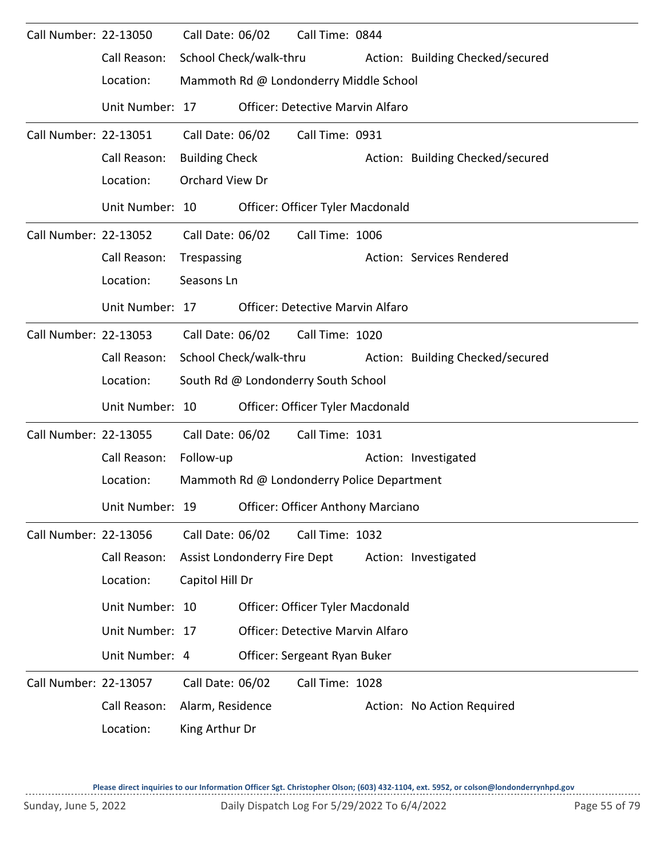| Call Number: 22-13050 |                 | Call Date: 06/02       |                                     | Call Time: 0844                            |  |                                  |  |  |  |
|-----------------------|-----------------|------------------------|-------------------------------------|--------------------------------------------|--|----------------------------------|--|--|--|
|                       | Call Reason:    |                        | School Check/walk-thru              |                                            |  | Action: Building Checked/secured |  |  |  |
|                       | Location:       |                        |                                     | Mammoth Rd @ Londonderry Middle School     |  |                                  |  |  |  |
|                       | Unit Number: 17 |                        |                                     | <b>Officer: Detective Marvin Alfaro</b>    |  |                                  |  |  |  |
| Call Number: 22-13051 |                 | Call Date: 06/02       |                                     | Call Time: 0931                            |  |                                  |  |  |  |
|                       | Call Reason:    | <b>Building Check</b>  |                                     |                                            |  | Action: Building Checked/secured |  |  |  |
|                       | Location:       | Orchard View Dr        |                                     |                                            |  |                                  |  |  |  |
|                       | Unit Number: 10 |                        |                                     | Officer: Officer Tyler Macdonald           |  |                                  |  |  |  |
| Call Number: 22-13052 |                 | Call Date: 06/02       |                                     | Call Time: 1006                            |  |                                  |  |  |  |
|                       | Call Reason:    | Trespassing            |                                     |                                            |  | Action: Services Rendered        |  |  |  |
|                       | Location:       | Seasons Ln             |                                     |                                            |  |                                  |  |  |  |
|                       | Unit Number: 17 |                        |                                     | <b>Officer: Detective Marvin Alfaro</b>    |  |                                  |  |  |  |
| Call Number: 22-13053 |                 | Call Date: 06/02       |                                     | Call Time: 1020                            |  |                                  |  |  |  |
|                       | Call Reason:    | School Check/walk-thru | Action: Building Checked/secured    |                                            |  |                                  |  |  |  |
|                       | Location:       |                        | South Rd @ Londonderry South School |                                            |  |                                  |  |  |  |
|                       | Unit Number: 10 |                        |                                     | Officer: Officer Tyler Macdonald           |  |                                  |  |  |  |
| Call Number: 22-13055 |                 | Call Date: 06/02       |                                     | Call Time: 1031                            |  |                                  |  |  |  |
|                       | Call Reason:    | Follow-up              |                                     |                                            |  | Action: Investigated             |  |  |  |
|                       | Location:       |                        |                                     | Mammoth Rd @ Londonderry Police Department |  |                                  |  |  |  |
|                       | Unit Number: 19 |                        |                                     | <b>Officer: Officer Anthony Marciano</b>   |  |                                  |  |  |  |
| Call Number: 22-13056 |                 | Call Date: 06/02       |                                     | Call Time: 1032                            |  |                                  |  |  |  |
|                       | Call Reason:    |                        | Assist Londonderry Fire Dept        |                                            |  | Action: Investigated             |  |  |  |
|                       | Location:       | Capitol Hill Dr        |                                     |                                            |  |                                  |  |  |  |
|                       | Unit Number: 10 |                        |                                     | Officer: Officer Tyler Macdonald           |  |                                  |  |  |  |
|                       | Unit Number: 17 |                        |                                     | Officer: Detective Marvin Alfaro           |  |                                  |  |  |  |
|                       | Unit Number: 4  |                        |                                     | Officer: Sergeant Ryan Buker               |  |                                  |  |  |  |
| Call Number: 22-13057 |                 | Call Date: 06/02       |                                     | Call Time: 1028                            |  |                                  |  |  |  |
|                       | Call Reason:    | Alarm, Residence       |                                     |                                            |  | Action: No Action Required       |  |  |  |
|                       | Location:       | King Arthur Dr         |                                     |                                            |  |                                  |  |  |  |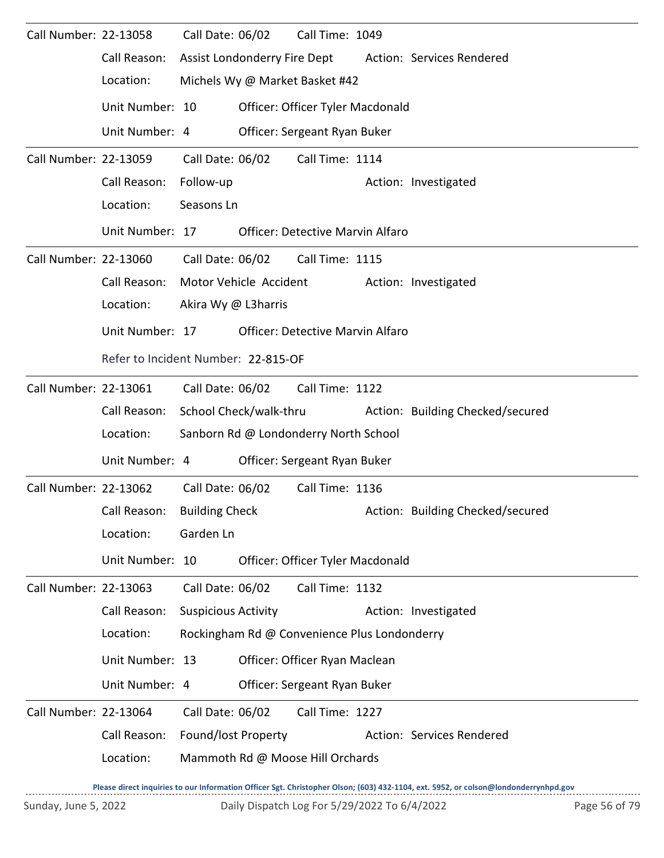| Call Number: 22-13058 |                 | Call Date: 06/02                    |                                  | Call Time: 1049                              |  |                                  |  |  |  |  |
|-----------------------|-----------------|-------------------------------------|----------------------------------|----------------------------------------------|--|----------------------------------|--|--|--|--|
|                       | Call Reason:    |                                     | Assist Londonderry Fire Dept     |                                              |  | Action: Services Rendered        |  |  |  |  |
|                       | Location:       |                                     |                                  | Michels Wy @ Market Basket #42               |  |                                  |  |  |  |  |
|                       | Unit Number: 10 |                                     |                                  | Officer: Officer Tyler Macdonald             |  |                                  |  |  |  |  |
|                       | Unit Number: 4  |                                     |                                  | Officer: Sergeant Ryan Buker                 |  |                                  |  |  |  |  |
| Call Number: 22-13059 |                 | Call Date: 06/02                    |                                  | Call Time: 1114                              |  |                                  |  |  |  |  |
|                       | Call Reason:    | Follow-up                           |                                  |                                              |  | Action: Investigated             |  |  |  |  |
|                       | Location:       | Seasons Ln                          |                                  |                                              |  |                                  |  |  |  |  |
|                       | Unit Number: 17 |                                     |                                  | <b>Officer: Detective Marvin Alfaro</b>      |  |                                  |  |  |  |  |
| Call Number: 22-13060 |                 |                                     | Call Date: 06/02                 | Call Time: 1115                              |  |                                  |  |  |  |  |
|                       | Call Reason:    |                                     | Motor Vehicle Accident           |                                              |  | Action: Investigated             |  |  |  |  |
|                       | Location:       | Akira Wy @ L3harris                 |                                  |                                              |  |                                  |  |  |  |  |
|                       | Unit Number: 17 |                                     |                                  | Officer: Detective Marvin Alfaro             |  |                                  |  |  |  |  |
|                       |                 | Refer to Incident Number: 22-815-OF |                                  |                                              |  |                                  |  |  |  |  |
| Call Number: 22-13061 |                 |                                     | Call Date: 06/02                 | Call Time: 1122                              |  |                                  |  |  |  |  |
|                       | Call Reason:    | School Check/walk-thru              | Action: Building Checked/secured |                                              |  |                                  |  |  |  |  |
|                       | Location:       |                                     |                                  | Sanborn Rd @ Londonderry North School        |  |                                  |  |  |  |  |
|                       | Unit Number: 4  |                                     |                                  | Officer: Sergeant Ryan Buker                 |  |                                  |  |  |  |  |
| Call Number: 22-13062 |                 | Call Date: 06/02                    |                                  | Call Time: 1136                              |  |                                  |  |  |  |  |
|                       | Call Reason:    | <b>Building Check</b>               |                                  |                                              |  | Action: Building Checked/secured |  |  |  |  |
|                       | Location:       | Garden Ln                           |                                  |                                              |  |                                  |  |  |  |  |
|                       | Unit Number: 10 |                                     |                                  | Officer: Officer Tyler Macdonald             |  |                                  |  |  |  |  |
| Call Number: 22-13063 |                 | Call Date: 06/02                    |                                  | Call Time: 1132                              |  |                                  |  |  |  |  |
|                       | Call Reason:    | <b>Suspicious Activity</b>          |                                  |                                              |  | Action: Investigated             |  |  |  |  |
|                       | Location:       |                                     |                                  | Rockingham Rd @ Convenience Plus Londonderry |  |                                  |  |  |  |  |
|                       | Unit Number: 13 |                                     |                                  | Officer: Officer Ryan Maclean                |  |                                  |  |  |  |  |
|                       | Unit Number: 4  |                                     |                                  | Officer: Sergeant Ryan Buker                 |  |                                  |  |  |  |  |
| Call Number: 22-13064 |                 | Call Date: 06/02                    |                                  | Call Time: 1227                              |  |                                  |  |  |  |  |
|                       | Call Reason:    | Found/lost Property                 |                                  |                                              |  | Action: Services Rendered        |  |  |  |  |
|                       | Location:       |                                     |                                  | Mammoth Rd @ Moose Hill Orchards             |  |                                  |  |  |  |  |
|                       |                 |                                     |                                  |                                              |  |                                  |  |  |  |  |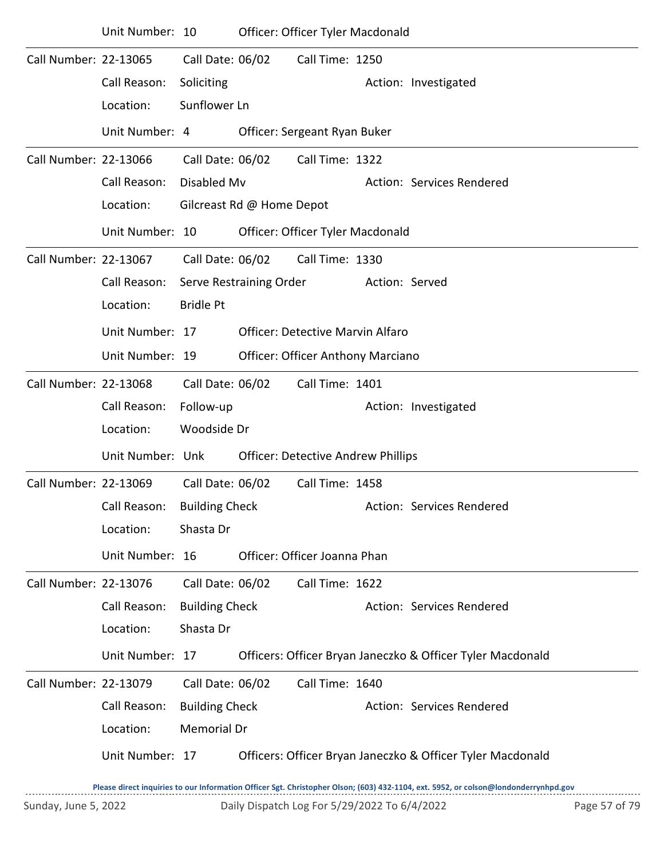|                       | Unit Number: 10  |                       |                           | Officer: Officer Tyler Macdonald          |                |                                                            |
|-----------------------|------------------|-----------------------|---------------------------|-------------------------------------------|----------------|------------------------------------------------------------|
| Call Number: 22-13065 |                  | Call Date: 06/02      |                           | Call Time: 1250                           |                |                                                            |
|                       | Call Reason:     | Soliciting            |                           |                                           |                | Action: Investigated                                       |
|                       | Location:        | Sunflower Ln          |                           |                                           |                |                                                            |
|                       | Unit Number: 4   |                       |                           | Officer: Sergeant Ryan Buker              |                |                                                            |
| Call Number: 22-13066 |                  | Call Date: 06/02      |                           | Call Time: 1322                           |                |                                                            |
|                       | Call Reason:     | Disabled Mv           |                           |                                           |                | Action: Services Rendered                                  |
|                       | Location:        |                       | Gilcreast Rd @ Home Depot |                                           |                |                                                            |
|                       | Unit Number: 10  |                       |                           | Officer: Officer Tyler Macdonald          |                |                                                            |
| Call Number: 22-13067 |                  | Call Date: 06/02      |                           | Call Time: 1330                           |                |                                                            |
|                       | Call Reason:     |                       | Serve Restraining Order   |                                           | Action: Served |                                                            |
|                       | Location:        | <b>Bridle Pt</b>      |                           |                                           |                |                                                            |
|                       | Unit Number: 17  |                       |                           | <b>Officer: Detective Marvin Alfaro</b>   |                |                                                            |
|                       | Unit Number: 19  |                       |                           | <b>Officer: Officer Anthony Marciano</b>  |                |                                                            |
| Call Number: 22-13068 |                  | Call Date: 06/02      |                           | Call Time: 1401                           |                |                                                            |
|                       | Call Reason:     | Follow-up             |                           |                                           |                | Action: Investigated                                       |
|                       | Location:        | Woodside Dr           |                           |                                           |                |                                                            |
|                       | Unit Number: Unk |                       |                           | <b>Officer: Detective Andrew Phillips</b> |                |                                                            |
| Call Number: 22-13069 |                  | Call Date: 06/02      |                           | Call Time: 1458                           |                |                                                            |
|                       | Call Reason:     | <b>Building Check</b> |                           |                                           |                | Action: Services Rendered                                  |
|                       | Location:        | Shasta Dr             |                           |                                           |                |                                                            |
|                       | Unit Number: 16  |                       |                           | Officer: Officer Joanna Phan              |                |                                                            |
| Call Number: 22-13076 |                  | Call Date: 06/02      |                           | Call Time: 1622                           |                |                                                            |
|                       | Call Reason:     | <b>Building Check</b> |                           |                                           |                | Action: Services Rendered                                  |
|                       | Location:        | Shasta Dr             |                           |                                           |                |                                                            |
|                       | Unit Number: 17  |                       |                           |                                           |                | Officers: Officer Bryan Janeczko & Officer Tyler Macdonald |
| Call Number: 22-13079 |                  | Call Date: 06/02      |                           | Call Time: 1640                           |                |                                                            |
|                       | Call Reason:     | <b>Building Check</b> |                           |                                           |                | Action: Services Rendered                                  |
|                       | Location:        | Memorial Dr           |                           |                                           |                |                                                            |
|                       | Unit Number: 17  |                       |                           |                                           |                | Officers: Officer Bryan Janeczko & Officer Tyler Macdonald |
|                       |                  |                       |                           |                                           |                |                                                            |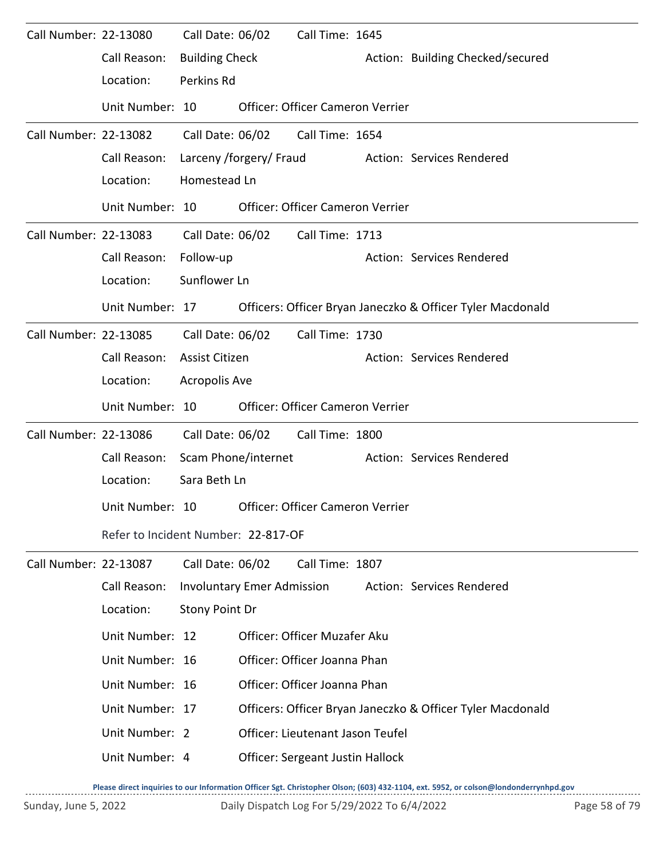| Call Number: 22-13080 |                                     | Call Date: 06/02      |                                   | Call Time: 1645                         |                                                            |
|-----------------------|-------------------------------------|-----------------------|-----------------------------------|-----------------------------------------|------------------------------------------------------------|
|                       | Call Reason:                        | <b>Building Check</b> |                                   |                                         | Action: Building Checked/secured                           |
|                       | Location:                           | Perkins Rd            |                                   |                                         |                                                            |
|                       | Unit Number: 10                     |                       |                                   | <b>Officer: Officer Cameron Verrier</b> |                                                            |
| Call Number: 22-13082 |                                     | Call Date: 06/02      |                                   | Call Time: 1654                         |                                                            |
|                       | Call Reason:                        |                       | Larceny /forgery/ Fraud           |                                         | Action: Services Rendered                                  |
|                       | Location:                           | Homestead Ln          |                                   |                                         |                                                            |
|                       | Unit Number: 10                     |                       |                                   | Officer: Officer Cameron Verrier        |                                                            |
| Call Number: 22-13083 |                                     | Call Date: 06/02      |                                   | Call Time: 1713                         |                                                            |
|                       | Call Reason:                        | Follow-up             |                                   |                                         | Action: Services Rendered                                  |
|                       | Location:                           | Sunflower Ln          |                                   |                                         |                                                            |
|                       | Unit Number: 17                     |                       |                                   |                                         | Officers: Officer Bryan Janeczko & Officer Tyler Macdonald |
| Call Number: 22-13085 |                                     | Call Date: 06/02      |                                   | Call Time: 1730                         |                                                            |
|                       | Call Reason:                        | Assist Citizen        |                                   |                                         | Action: Services Rendered                                  |
|                       | Location:                           | <b>Acropolis Ave</b>  |                                   |                                         |                                                            |
|                       | Unit Number: 10                     |                       |                                   | <b>Officer: Officer Cameron Verrier</b> |                                                            |
| Call Number: 22-13086 |                                     | Call Date: 06/02      |                                   | Call Time: 1800                         |                                                            |
|                       | Call Reason:                        | Scam Phone/internet   |                                   |                                         | Action: Services Rendered                                  |
|                       | Location:                           | Sara Beth Ln          |                                   |                                         |                                                            |
|                       | Unit Number: 10                     |                       |                                   | Officer: Officer Cameron Verrier        |                                                            |
|                       | Refer to Incident Number: 22-817-OF |                       |                                   |                                         |                                                            |
| Call Number: 22-13087 |                                     | Call Date: 06/02      |                                   | Call Time: 1807                         |                                                            |
|                       | Call Reason:                        |                       | <b>Involuntary Emer Admission</b> |                                         | Action: Services Rendered                                  |
|                       | Location:                           | Stony Point Dr        |                                   |                                         |                                                            |
|                       | Unit Number: 12                     |                       |                                   | Officer: Officer Muzafer Aku            |                                                            |
|                       | Unit Number: 16                     |                       |                                   | Officer: Officer Joanna Phan            |                                                            |
|                       | Unit Number: 16                     |                       |                                   | Officer: Officer Joanna Phan            |                                                            |
|                       | Unit Number: 17                     |                       |                                   |                                         | Officers: Officer Bryan Janeczko & Officer Tyler Macdonald |
|                       | Unit Number: 2                      |                       |                                   | Officer: Lieutenant Jason Teufel        |                                                            |
|                       | Unit Number: 4                      |                       |                                   | <b>Officer: Sergeant Justin Hallock</b> |                                                            |
|                       |                                     |                       |                                   |                                         |                                                            |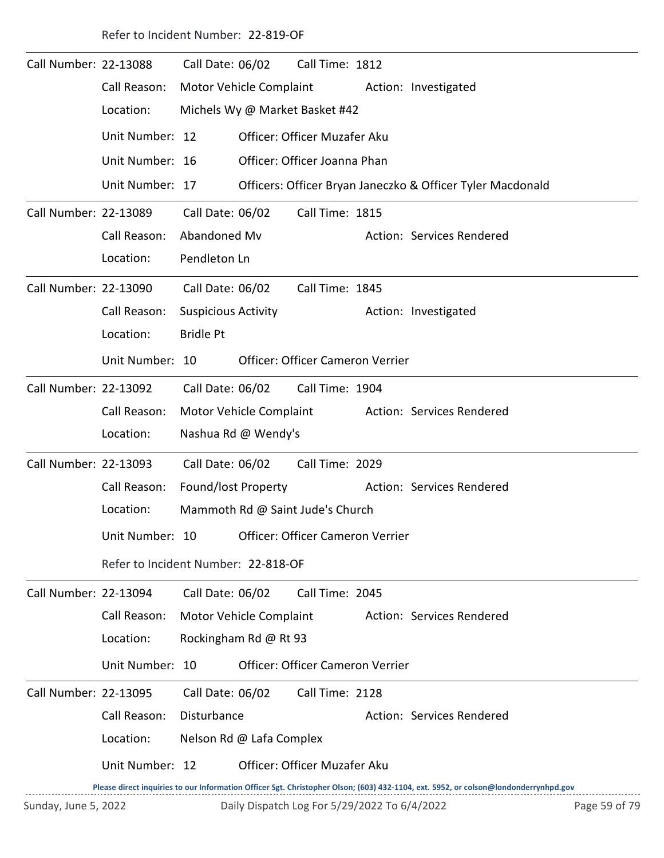Refer to Incident Number: 22-819-OF

| Call Number: 22-13088 |                                     | Call Date: 06/02           |                          | Call Time: 1812                         |  |                                                                                                                                     |  |  |
|-----------------------|-------------------------------------|----------------------------|--------------------------|-----------------------------------------|--|-------------------------------------------------------------------------------------------------------------------------------------|--|--|
|                       | Call Reason:                        |                            |                          | Motor Vehicle Complaint                 |  | Action: Investigated                                                                                                                |  |  |
|                       | Location:                           |                            |                          | Michels Wy @ Market Basket #42          |  |                                                                                                                                     |  |  |
|                       | Unit Number: 12                     |                            |                          | Officer: Officer Muzafer Aku            |  |                                                                                                                                     |  |  |
|                       | Unit Number: 16                     |                            |                          | Officer: Officer Joanna Phan            |  |                                                                                                                                     |  |  |
|                       | Unit Number: 17                     |                            |                          |                                         |  | Officers: Officer Bryan Janeczko & Officer Tyler Macdonald                                                                          |  |  |
| Call Number: 22-13089 |                                     | Call Date: 06/02           |                          | Call Time: 1815                         |  |                                                                                                                                     |  |  |
|                       | Call Reason:                        | Abandoned Mv               |                          |                                         |  | Action: Services Rendered                                                                                                           |  |  |
|                       | Location:                           | Pendleton Ln               |                          |                                         |  |                                                                                                                                     |  |  |
| Call Number: 22-13090 |                                     | Call Date: 06/02           |                          | Call Time: 1845                         |  |                                                                                                                                     |  |  |
|                       | Call Reason:                        | <b>Suspicious Activity</b> |                          |                                         |  | Action: Investigated                                                                                                                |  |  |
|                       | Location:                           | <b>Bridle Pt</b>           |                          |                                         |  |                                                                                                                                     |  |  |
|                       | Unit Number: 10                     |                            |                          | <b>Officer: Officer Cameron Verrier</b> |  |                                                                                                                                     |  |  |
| Call Number: 22-13092 |                                     | Call Date: 06/02           |                          | Call Time: 1904                         |  |                                                                                                                                     |  |  |
|                       | Call Reason:                        |                            | Motor Vehicle Complaint  |                                         |  | Action: Services Rendered                                                                                                           |  |  |
|                       | Location:                           |                            | Nashua Rd @ Wendy's      |                                         |  |                                                                                                                                     |  |  |
| Call Number: 22-13093 |                                     | Call Date: 06/02           |                          | Call Time: 2029                         |  |                                                                                                                                     |  |  |
|                       | Call Reason:                        | Found/lost Property        |                          |                                         |  | Action: Services Rendered                                                                                                           |  |  |
|                       | Location:                           |                            |                          | Mammoth Rd @ Saint Jude's Church        |  |                                                                                                                                     |  |  |
|                       | Unit Number: 10                     |                            |                          | Officer: Officer Cameron Verrier        |  |                                                                                                                                     |  |  |
|                       | Refer to Incident Number: 22-818-OF |                            |                          |                                         |  |                                                                                                                                     |  |  |
| Call Number: 22-13094 |                                     | Call Date: 06/02           |                          | Call Time: 2045                         |  |                                                                                                                                     |  |  |
|                       | Call Reason:                        |                            | Motor Vehicle Complaint  |                                         |  | Action: Services Rendered                                                                                                           |  |  |
|                       | Location:                           |                            | Rockingham Rd @ Rt 93    |                                         |  |                                                                                                                                     |  |  |
|                       | Unit Number: 10                     |                            |                          | Officer: Officer Cameron Verrier        |  |                                                                                                                                     |  |  |
| Call Number: 22-13095 |                                     | Call Date: 06/02           |                          | Call Time: 2128                         |  |                                                                                                                                     |  |  |
|                       | Call Reason:                        | Disturbance                |                          |                                         |  | Action: Services Rendered                                                                                                           |  |  |
|                       | Location:                           |                            | Nelson Rd @ Lafa Complex |                                         |  |                                                                                                                                     |  |  |
|                       | Unit Number: 12                     |                            |                          | Officer: Officer Muzafer Aku            |  |                                                                                                                                     |  |  |
|                       |                                     |                            |                          |                                         |  | Please direct inquiries to our Information Officer Sgt. Christopher Olson; (603) 432-1104, ext. 5952, or colson@londonderrynhpd.gov |  |  |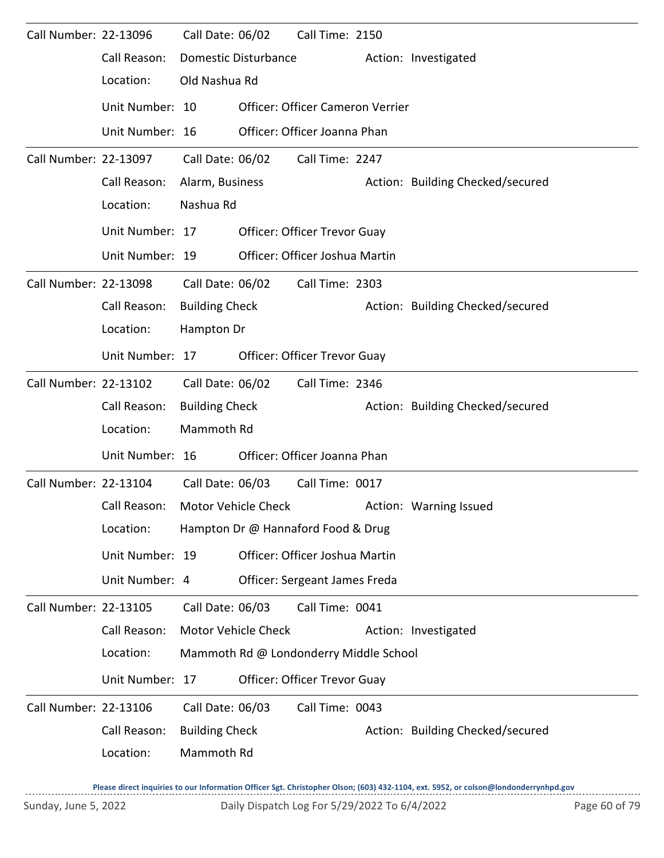| Call Number: 22-13096 |                 | Call Date: 06/02      |                             | Call Time: 2150                        |  |                                  |  |  |  |  |
|-----------------------|-----------------|-----------------------|-----------------------------|----------------------------------------|--|----------------------------------|--|--|--|--|
|                       | Call Reason:    |                       | <b>Domestic Disturbance</b> |                                        |  | Action: Investigated             |  |  |  |  |
|                       | Location:       | Old Nashua Rd         |                             |                                        |  |                                  |  |  |  |  |
|                       | Unit Number: 10 |                       |                             | Officer: Officer Cameron Verrier       |  |                                  |  |  |  |  |
|                       | Unit Number: 16 |                       |                             | Officer: Officer Joanna Phan           |  |                                  |  |  |  |  |
| Call Number: 22-13097 |                 | Call Date: 06/02      |                             | Call Time: 2247                        |  |                                  |  |  |  |  |
|                       | Call Reason:    | Alarm, Business       |                             |                                        |  | Action: Building Checked/secured |  |  |  |  |
|                       | Location:       | Nashua Rd             |                             |                                        |  |                                  |  |  |  |  |
|                       | Unit Number: 17 |                       |                             | <b>Officer: Officer Trevor Guay</b>    |  |                                  |  |  |  |  |
|                       | Unit Number: 19 |                       |                             | Officer: Officer Joshua Martin         |  |                                  |  |  |  |  |
| Call Number: 22-13098 |                 | Call Date: 06/02      |                             | Call Time: 2303                        |  |                                  |  |  |  |  |
|                       | Call Reason:    | <b>Building Check</b> |                             |                                        |  | Action: Building Checked/secured |  |  |  |  |
|                       | Location:       |                       | Hampton Dr                  |                                        |  |                                  |  |  |  |  |
|                       | Unit Number: 17 |                       |                             | <b>Officer: Officer Trevor Guay</b>    |  |                                  |  |  |  |  |
| Call Number: 22-13102 |                 | Call Date: 06/02      |                             | Call Time: 2346                        |  |                                  |  |  |  |  |
|                       | Call Reason:    | <b>Building Check</b> |                             |                                        |  | Action: Building Checked/secured |  |  |  |  |
|                       | Location:       | Mammoth Rd            |                             |                                        |  |                                  |  |  |  |  |
|                       | Unit Number: 16 |                       |                             | Officer: Officer Joanna Phan           |  |                                  |  |  |  |  |
| Call Number: 22-13104 |                 | Call Date: 06/03      |                             | Call Time: 0017                        |  |                                  |  |  |  |  |
|                       | Call Reason:    |                       | Motor Vehicle Check         |                                        |  | Action: Warning Issued           |  |  |  |  |
|                       | Location:       |                       |                             | Hampton Dr @ Hannaford Food & Drug     |  |                                  |  |  |  |  |
|                       | Unit Number: 19 |                       |                             | Officer: Officer Joshua Martin         |  |                                  |  |  |  |  |
|                       | Unit Number: 4  |                       |                             | Officer: Sergeant James Freda          |  |                                  |  |  |  |  |
| Call Number: 22-13105 |                 | Call Date: 06/03      |                             | Call Time: 0041                        |  |                                  |  |  |  |  |
|                       | Call Reason:    |                       | Motor Vehicle Check         |                                        |  | Action: Investigated             |  |  |  |  |
|                       | Location:       |                       |                             | Mammoth Rd @ Londonderry Middle School |  |                                  |  |  |  |  |
|                       | Unit Number: 17 |                       |                             | Officer: Officer Trevor Guay           |  |                                  |  |  |  |  |
| Call Number: 22-13106 |                 | Call Date: 06/03      |                             | Call Time: 0043                        |  |                                  |  |  |  |  |
|                       | Call Reason:    | <b>Building Check</b> |                             |                                        |  | Action: Building Checked/secured |  |  |  |  |
|                       | Location:       | Mammoth Rd            |                             |                                        |  |                                  |  |  |  |  |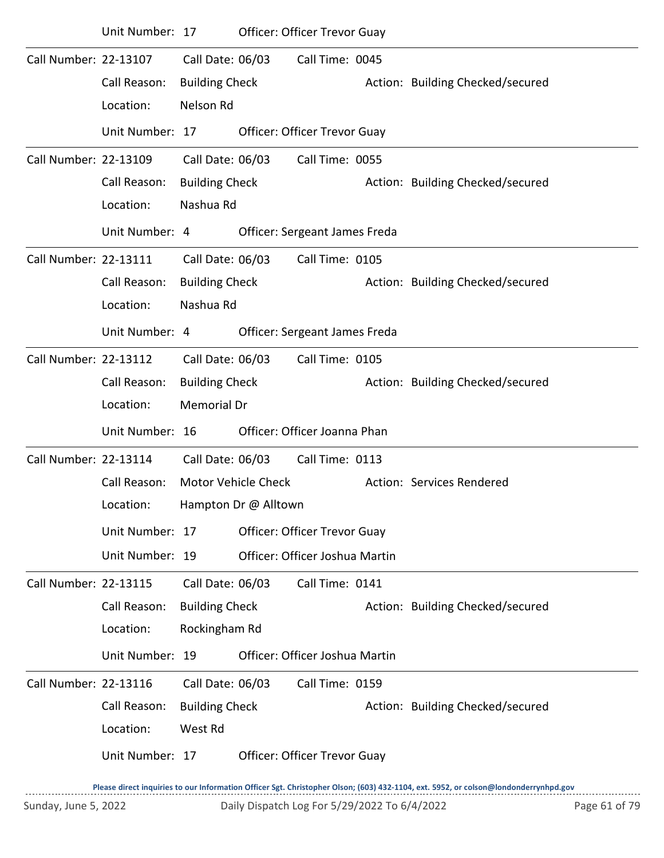|                       | Unit Number: 17 |                       |                      | <b>Officer: Officer Trevor Guay</b> |                                  |
|-----------------------|-----------------|-----------------------|----------------------|-------------------------------------|----------------------------------|
| Call Number: 22-13107 |                 | Call Date: 06/03      |                      | Call Time: 0045                     |                                  |
|                       | Call Reason:    | <b>Building Check</b> |                      |                                     | Action: Building Checked/secured |
|                       | Location:       | Nelson Rd             |                      |                                     |                                  |
|                       | Unit Number: 17 |                       |                      | Officer: Officer Trevor Guay        |                                  |
| Call Number: 22-13109 |                 | Call Date: 06/03      |                      | Call Time: 0055                     |                                  |
|                       | Call Reason:    | <b>Building Check</b> |                      |                                     | Action: Building Checked/secured |
|                       | Location:       | Nashua Rd             |                      |                                     |                                  |
|                       | Unit Number: 4  |                       |                      | Officer: Sergeant James Freda       |                                  |
| Call Number: 22-13111 |                 | Call Date: 06/03      |                      | Call Time: 0105                     |                                  |
|                       | Call Reason:    | <b>Building Check</b> |                      |                                     | Action: Building Checked/secured |
|                       | Location:       | Nashua Rd             |                      |                                     |                                  |
|                       | Unit Number: 4  |                       |                      | Officer: Sergeant James Freda       |                                  |
| Call Number: 22-13112 |                 | Call Date: 06/03      |                      | Call Time: 0105                     |                                  |
|                       | Call Reason:    | <b>Building Check</b> |                      |                                     | Action: Building Checked/secured |
|                       | Location:       | Memorial Dr           |                      |                                     |                                  |
|                       | Unit Number: 16 |                       |                      | Officer: Officer Joanna Phan        |                                  |
| Call Number: 22-13114 |                 | Call Date: 06/03      |                      | Call Time: 0113                     |                                  |
|                       | Call Reason:    |                       | Motor Vehicle Check  |                                     | Action: Services Rendered        |
|                       | Location:       |                       | Hampton Dr @ Alltown |                                     |                                  |
|                       | Unit Number: 17 |                       |                      | Officer: Officer Trevor Guay        |                                  |
|                       | Unit Number: 19 |                       |                      | Officer: Officer Joshua Martin      |                                  |
| Call Number: 22-13115 |                 | Call Date: 06/03      |                      | Call Time: 0141                     |                                  |
|                       | Call Reason:    | <b>Building Check</b> |                      |                                     | Action: Building Checked/secured |
|                       | Location:       | Rockingham Rd         |                      |                                     |                                  |
|                       | Unit Number: 19 |                       |                      | Officer: Officer Joshua Martin      |                                  |
| Call Number: 22-13116 |                 | Call Date: 06/03      |                      | Call Time: 0159                     |                                  |
|                       | Call Reason:    | <b>Building Check</b> |                      |                                     | Action: Building Checked/secured |
|                       | Location:       | West Rd               |                      |                                     |                                  |
|                       | Unit Number: 17 |                       |                      | Officer: Officer Trevor Guay        |                                  |
|                       |                 |                       |                      |                                     |                                  |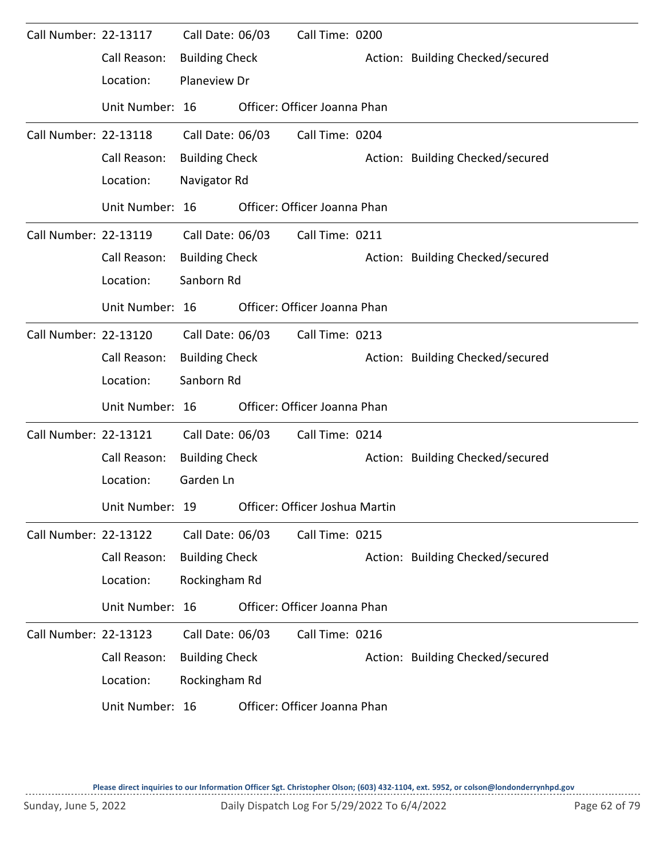| Call Number: 22-13117        |                 | Call Date: 06/03      | Call Time: 0200                |                                  |
|------------------------------|-----------------|-----------------------|--------------------------------|----------------------------------|
|                              | Call Reason:    | <b>Building Check</b> |                                | Action: Building Checked/secured |
|                              | Location:       | <b>Planeview Dr</b>   |                                |                                  |
|                              | Unit Number: 16 |                       | Officer: Officer Joanna Phan   |                                  |
| Call Number: 22-13118        |                 | Call Date: 06/03      | Call Time: 0204                |                                  |
|                              | Call Reason:    | <b>Building Check</b> |                                | Action: Building Checked/secured |
|                              | Location:       | Navigator Rd          |                                |                                  |
|                              | Unit Number: 16 |                       | Officer: Officer Joanna Phan   |                                  |
| Call Number: 22-13119        |                 | Call Date: 06/03      | Call Time: 0211                |                                  |
|                              | Call Reason:    | <b>Building Check</b> |                                | Action: Building Checked/secured |
|                              | Location:       | Sanborn Rd            |                                |                                  |
|                              | Unit Number: 16 |                       | Officer: Officer Joanna Phan   |                                  |
| Call Number: 22-13120        |                 | Call Date: 06/03      | Call Time: 0213                |                                  |
|                              | Call Reason:    | <b>Building Check</b> |                                | Action: Building Checked/secured |
|                              | Location:       | Sanborn Rd            |                                |                                  |
|                              | Unit Number: 16 |                       | Officer: Officer Joanna Phan   |                                  |
| Call Number: 22-13121        |                 | Call Date: 06/03      | Call Time: 0214                |                                  |
|                              | Call Reason:    | <b>Building Check</b> |                                | Action: Building Checked/secured |
|                              | Location:       | Garden Ln             |                                |                                  |
|                              | Unit Number: 19 |                       | Officer: Officer Joshua Martin |                                  |
| <b>Call Number: 22-13122</b> |                 | Call Date: 06/03      | Call Time: 0215                |                                  |
|                              | Call Reason:    | <b>Building Check</b> |                                | Action: Building Checked/secured |
|                              | Location:       | Rockingham Rd         |                                |                                  |
|                              | Unit Number: 16 |                       | Officer: Officer Joanna Phan   |                                  |
| Call Number: 22-13123        |                 | Call Date: 06/03      | Call Time: 0216                |                                  |
|                              | Call Reason:    | <b>Building Check</b> |                                | Action: Building Checked/secured |
|                              | Location:       | Rockingham Rd         |                                |                                  |
|                              | Unit Number: 16 |                       | Officer: Officer Joanna Phan   |                                  |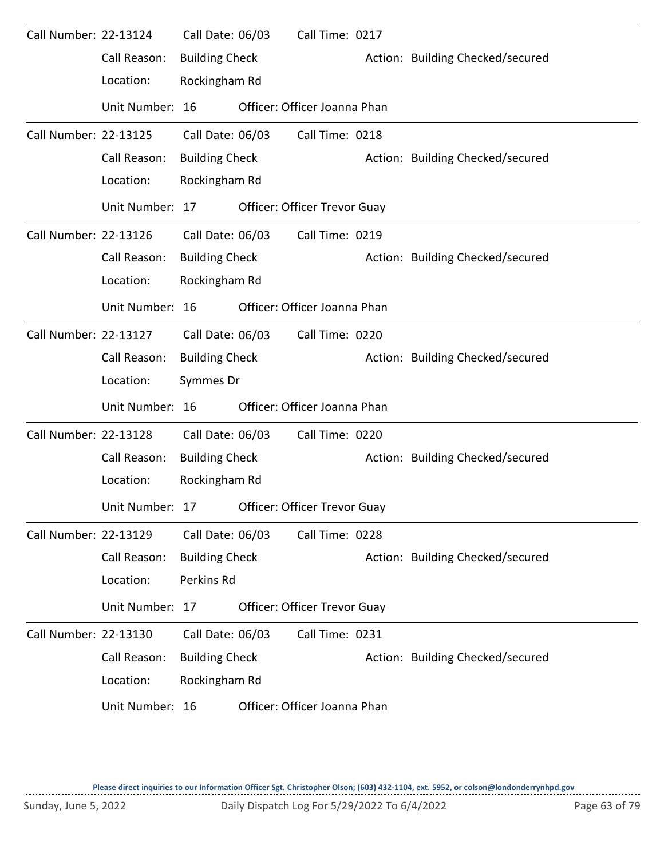| Call Number: 22-13124        |                 | Call Date: 06/03      | Call Time: 0217                     |                                  |
|------------------------------|-----------------|-----------------------|-------------------------------------|----------------------------------|
|                              | Call Reason:    | <b>Building Check</b> |                                     | Action: Building Checked/secured |
|                              | Location:       | Rockingham Rd         |                                     |                                  |
|                              | Unit Number: 16 |                       | Officer: Officer Joanna Phan        |                                  |
| <b>Call Number: 22-13125</b> |                 | Call Date: 06/03      | Call Time: 0218                     |                                  |
|                              | Call Reason:    | <b>Building Check</b> |                                     | Action: Building Checked/secured |
|                              | Location:       | Rockingham Rd         |                                     |                                  |
|                              | Unit Number: 17 |                       | Officer: Officer Trevor Guay        |                                  |
| Call Number: 22-13126        |                 | Call Date: 06/03      | Call Time: 0219                     |                                  |
|                              | Call Reason:    | <b>Building Check</b> |                                     | Action: Building Checked/secured |
|                              | Location:       | Rockingham Rd         |                                     |                                  |
|                              | Unit Number: 16 |                       | Officer: Officer Joanna Phan        |                                  |
| Call Number: 22-13127        |                 | Call Date: 06/03      | Call Time: 0220                     |                                  |
|                              | Call Reason:    | <b>Building Check</b> |                                     | Action: Building Checked/secured |
|                              | Location:       | Symmes Dr             |                                     |                                  |
|                              | Unit Number: 16 |                       | Officer: Officer Joanna Phan        |                                  |
| Call Number: 22-13128        |                 | Call Date: 06/03      | Call Time: 0220                     |                                  |
|                              | Call Reason:    | <b>Building Check</b> |                                     | Action: Building Checked/secured |
|                              | Location:       | Rockingham Rd         |                                     |                                  |
|                              | Unit Number: 17 |                       | <b>Officer: Officer Trevor Guay</b> |                                  |
| Call Number: 22-13129        |                 | Call Date: 06/03      | Call Time: 0228                     |                                  |
|                              | Call Reason:    | <b>Building Check</b> |                                     | Action: Building Checked/secured |
|                              | Location:       | Perkins Rd            |                                     |                                  |
|                              | Unit Number: 17 |                       | Officer: Officer Trevor Guay        |                                  |
| Call Number: 22-13130        |                 | Call Date: 06/03      | Call Time: 0231                     |                                  |
|                              | Call Reason:    | <b>Building Check</b> |                                     | Action: Building Checked/secured |
|                              | Location:       | Rockingham Rd         |                                     |                                  |
|                              | Unit Number: 16 |                       | Officer: Officer Joanna Phan        |                                  |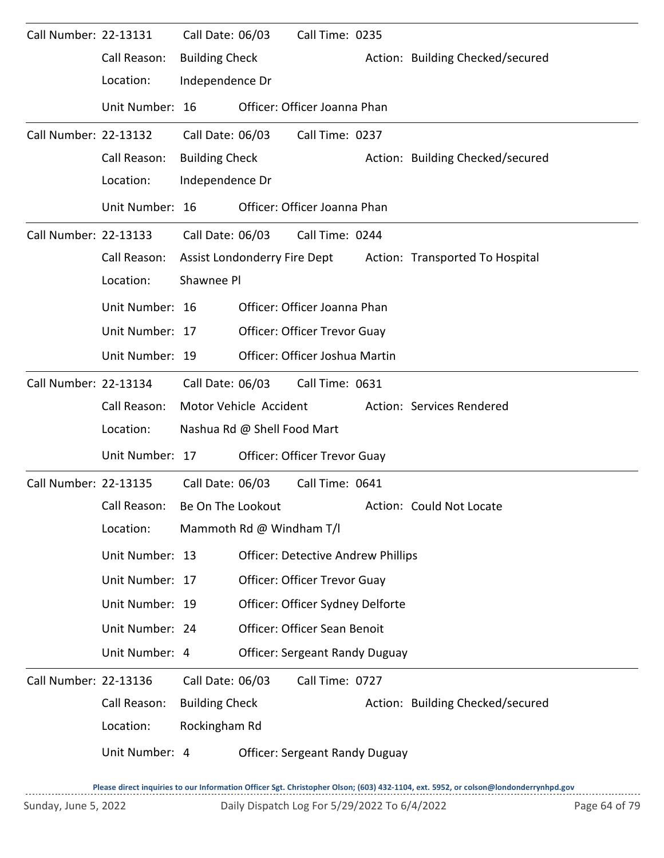| Call Number: 22-13131        |                 | Call Date: 06/03      |                             | Call Time: 0235                           |                                                              |
|------------------------------|-----------------|-----------------------|-----------------------------|-------------------------------------------|--------------------------------------------------------------|
|                              | Call Reason:    | <b>Building Check</b> |                             |                                           | Action: Building Checked/secured                             |
|                              | Location:       | Independence Dr       |                             |                                           |                                                              |
|                              | Unit Number: 16 |                       |                             | Officer: Officer Joanna Phan              |                                                              |
| <b>Call Number: 22-13132</b> |                 | Call Date: 06/03      |                             | Call Time: 0237                           |                                                              |
|                              | Call Reason:    | <b>Building Check</b> |                             |                                           | Action: Building Checked/secured                             |
|                              | Location:       | Independence Dr       |                             |                                           |                                                              |
|                              | Unit Number: 16 |                       |                             | Officer: Officer Joanna Phan              |                                                              |
| Call Number: 22-13133        |                 |                       | Call Date: 06/03            | Call Time: 0244                           |                                                              |
|                              | Call Reason:    |                       |                             |                                           | Assist Londonderry Fire Dept Action: Transported To Hospital |
|                              | Location:       | Shawnee Pl            |                             |                                           |                                                              |
|                              | Unit Number: 16 |                       |                             | Officer: Officer Joanna Phan              |                                                              |
|                              | Unit Number: 17 |                       |                             | Officer: Officer Trevor Guay              |                                                              |
|                              | Unit Number: 19 |                       |                             | Officer: Officer Joshua Martin            |                                                              |
| Call Number: 22-13134        |                 | Call Date: 06/03      |                             | Call Time: 0631                           |                                                              |
|                              |                 |                       |                             |                                           |                                                              |
|                              | Call Reason:    |                       | Motor Vehicle Accident      |                                           | Action: Services Rendered                                    |
|                              | Location:       |                       | Nashua Rd @ Shell Food Mart |                                           |                                                              |
|                              | Unit Number: 17 |                       |                             | Officer: Officer Trevor Guay              |                                                              |
| Call Number: 22-13135        |                 | Call Date: 06/03      |                             | Call Time: 0641                           |                                                              |
|                              | Call Reason:    | Be On The Lookout     |                             |                                           | Action: Could Not Locate                                     |
|                              | Location:       |                       | Mammoth Rd @ Windham T/I    |                                           |                                                              |
|                              | Unit Number: 13 |                       |                             | <b>Officer: Detective Andrew Phillips</b> |                                                              |
|                              | Unit Number: 17 |                       |                             | Officer: Officer Trevor Guay              |                                                              |
|                              | Unit Number: 19 |                       |                             | Officer: Officer Sydney Delforte          |                                                              |
|                              | Unit Number: 24 |                       |                             | Officer: Officer Sean Benoit              |                                                              |
|                              | Unit Number: 4  |                       |                             | <b>Officer: Sergeant Randy Duguay</b>     |                                                              |
| Call Number: 22-13136        |                 | Call Date: 06/03      |                             | Call Time: 0727                           |                                                              |
|                              | Call Reason:    | <b>Building Check</b> |                             |                                           | Action: Building Checked/secured                             |
|                              | Location:       | Rockingham Rd         |                             |                                           |                                                              |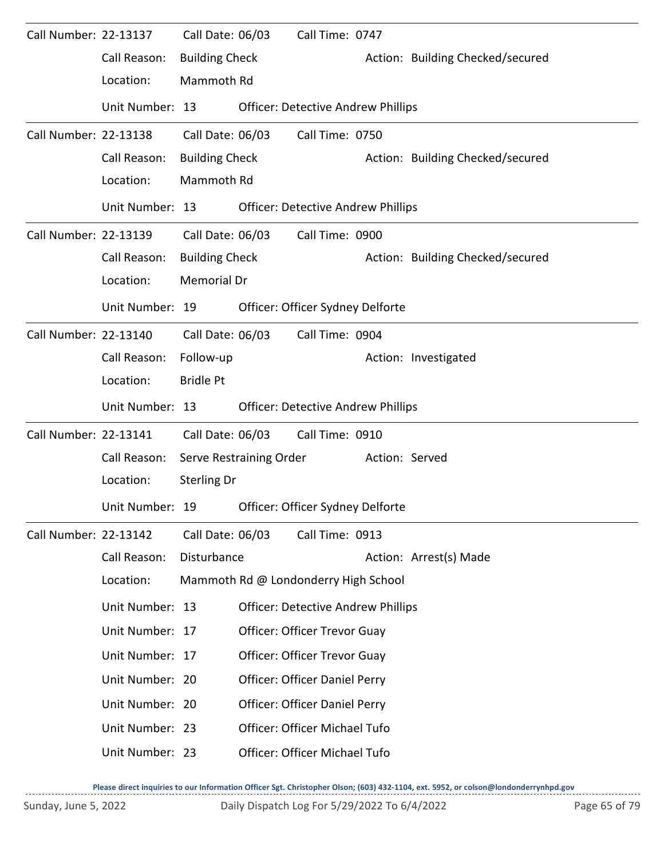| Call Number: 22-13137 |                 | Call Date: 06/03      |                         | Call Time: 0747                           |                |                                  |
|-----------------------|-----------------|-----------------------|-------------------------|-------------------------------------------|----------------|----------------------------------|
|                       | Call Reason:    | <b>Building Check</b> |                         |                                           |                | Action: Building Checked/secured |
|                       | Location:       | Mammoth Rd            |                         |                                           |                |                                  |
|                       | Unit Number: 13 |                       |                         | <b>Officer: Detective Andrew Phillips</b> |                |                                  |
| Call Number: 22-13138 |                 | Call Date: 06/03      |                         | Call Time: 0750                           |                |                                  |
|                       | Call Reason:    | <b>Building Check</b> |                         |                                           |                | Action: Building Checked/secured |
|                       | Location:       | Mammoth Rd            |                         |                                           |                |                                  |
|                       | Unit Number: 13 |                       |                         | <b>Officer: Detective Andrew Phillips</b> |                |                                  |
| Call Number: 22-13139 |                 | Call Date: 06/03      |                         | Call Time: 0900                           |                |                                  |
|                       | Call Reason:    | <b>Building Check</b> |                         |                                           |                | Action: Building Checked/secured |
|                       | Location:       | <b>Memorial Dr</b>    |                         |                                           |                |                                  |
|                       | Unit Number: 19 |                       |                         | Officer: Officer Sydney Delforte          |                |                                  |
| Call Number: 22-13140 |                 | Call Date: 06/03      |                         | Call Time: 0904                           |                |                                  |
|                       | Call Reason:    | Follow-up             |                         |                                           |                | Action: Investigated             |
|                       | Location:       | <b>Bridle Pt</b>      |                         |                                           |                |                                  |
|                       | Unit Number: 13 |                       |                         | <b>Officer: Detective Andrew Phillips</b> |                |                                  |
| Call Number: 22-13141 |                 | Call Date: 06/03      |                         | Call Time: 0910                           |                |                                  |
|                       | Call Reason:    |                       | Serve Restraining Order |                                           | Action: Served |                                  |
|                       | Location:       | <b>Sterling Dr</b>    |                         |                                           |                |                                  |
|                       | Unit Number: 19 |                       |                         | Officer: Officer Sydney Delforte          |                |                                  |
| Call Number: 22-13142 |                 | Call Date: 06/03      |                         | Call Time: 0913                           |                |                                  |
|                       | Call Reason:    | Disturbance           |                         |                                           |                | Action: Arrest(s) Made           |
|                       | Location:       |                       |                         | Mammoth Rd @ Londonderry High School      |                |                                  |
|                       | Unit Number: 13 |                       |                         | <b>Officer: Detective Andrew Phillips</b> |                |                                  |
|                       | Unit Number: 17 |                       |                         | Officer: Officer Trevor Guay              |                |                                  |
|                       | Unit Number: 17 |                       |                         | Officer: Officer Trevor Guay              |                |                                  |
|                       | Unit Number: 20 |                       |                         | Officer: Officer Daniel Perry             |                |                                  |
|                       | Unit Number: 20 |                       |                         | Officer: Officer Daniel Perry             |                |                                  |
|                       | Unit Number: 23 |                       |                         | Officer: Officer Michael Tufo             |                |                                  |
|                       |                 |                       |                         |                                           |                |                                  |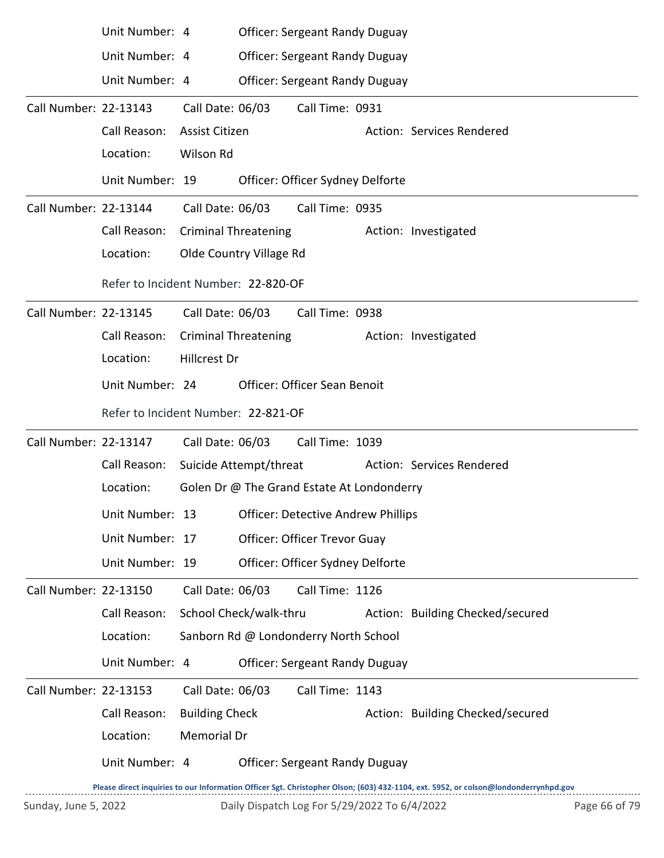|                       | Unit Number: 4                      |                             |                         | <b>Officer: Sergeant Randy Duguay</b>      |                                                                                                                                     |
|-----------------------|-------------------------------------|-----------------------------|-------------------------|--------------------------------------------|-------------------------------------------------------------------------------------------------------------------------------------|
|                       | Unit Number: 4                      |                             |                         | <b>Officer: Sergeant Randy Duguay</b>      |                                                                                                                                     |
|                       | Unit Number: 4                      |                             |                         | <b>Officer: Sergeant Randy Duguay</b>      |                                                                                                                                     |
| Call Number: 22-13143 |                                     | Call Date: 06/03            |                         | Call Time: 0931                            |                                                                                                                                     |
|                       | Call Reason:                        | Assist Citizen              |                         |                                            | Action: Services Rendered                                                                                                           |
|                       | Location:                           | Wilson Rd                   |                         |                                            |                                                                                                                                     |
|                       | Unit Number: 19                     |                             |                         | Officer: Officer Sydney Delforte           |                                                                                                                                     |
| Call Number: 22-13144 |                                     | Call Date: 06/03            |                         | Call Time: 0935                            |                                                                                                                                     |
|                       | Call Reason:                        | <b>Criminal Threatening</b> |                         |                                            | Action: Investigated                                                                                                                |
|                       | Location:                           |                             | Olde Country Village Rd |                                            |                                                                                                                                     |
|                       | Refer to Incident Number: 22-820-OF |                             |                         |                                            |                                                                                                                                     |
| Call Number: 22-13145 |                                     | Call Date: 06/03            |                         | Call Time: 0938                            |                                                                                                                                     |
|                       | Call Reason:                        | <b>Criminal Threatening</b> |                         |                                            | Action: Investigated                                                                                                                |
|                       | Location:                           | Hillcrest Dr                |                         |                                            |                                                                                                                                     |
|                       | Unit Number: 24                     |                             |                         | <b>Officer: Officer Sean Benoit</b>        |                                                                                                                                     |
|                       | Refer to Incident Number: 22-821-OF |                             |                         |                                            |                                                                                                                                     |
| Call Number: 22-13147 |                                     | Call Date: 06/03            |                         | Call Time: 1039                            |                                                                                                                                     |
|                       | Call Reason:                        | Suicide Attempt/threat      |                         |                                            | Action: Services Rendered                                                                                                           |
|                       | Location:                           |                             |                         | Golen Dr @ The Grand Estate At Londonderry |                                                                                                                                     |
|                       | Unit Number: 13                     |                             |                         | <b>Officer: Detective Andrew Phillips</b>  |                                                                                                                                     |
|                       | Unit Number: 17                     |                             |                         | Officer: Officer Trevor Guay               |                                                                                                                                     |
|                       | Unit Number: 19                     |                             |                         | Officer: Officer Sydney Delforte           |                                                                                                                                     |
| Call Number: 22-13150 |                                     | Call Date: 06/03            |                         | Call Time: 1126                            |                                                                                                                                     |
|                       | Call Reason:                        | School Check/walk-thru      |                         |                                            | Action: Building Checked/secured                                                                                                    |
|                       | Location:                           |                             |                         | Sanborn Rd @ Londonderry North School      |                                                                                                                                     |
|                       | Unit Number: 4                      |                             |                         | <b>Officer: Sergeant Randy Duguay</b>      |                                                                                                                                     |
| Call Number: 22-13153 |                                     | Call Date: 06/03            |                         | Call Time: 1143                            |                                                                                                                                     |
|                       | Call Reason:                        | <b>Building Check</b>       |                         |                                            | Action: Building Checked/secured                                                                                                    |
|                       | Location:                           | Memorial Dr                 |                         |                                            |                                                                                                                                     |
|                       | Unit Number: 4                      |                             |                         | <b>Officer: Sergeant Randy Duguay</b>      |                                                                                                                                     |
|                       |                                     |                             |                         |                                            | Dlasse direct inquiries to our Information Officer Sat, Christopher Olson: (603) 432-1104, ext, 5952, or colson@londonderrynhad.gov |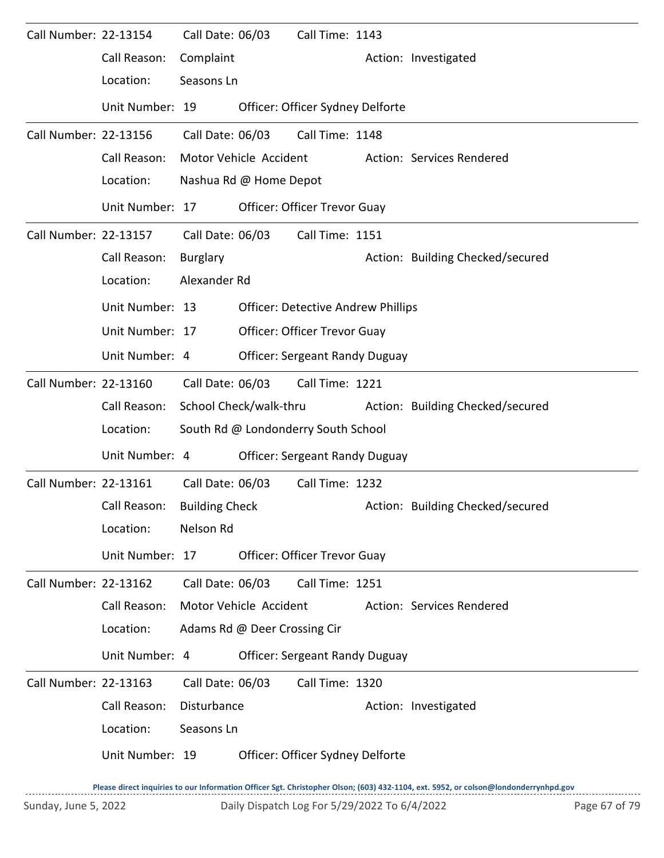| Call Number: 22-13154 |                 | Call Date: 06/03       |                              | Call Time: 1143                           |                                  |
|-----------------------|-----------------|------------------------|------------------------------|-------------------------------------------|----------------------------------|
|                       | Call Reason:    | Complaint              |                              |                                           | Action: Investigated             |
|                       | Location:       | Seasons Ln             |                              |                                           |                                  |
|                       | Unit Number: 19 |                        |                              | Officer: Officer Sydney Delforte          |                                  |
| Call Number: 22-13156 |                 | Call Date: 06/03       |                              | Call Time: 1148                           |                                  |
|                       | Call Reason:    |                        | Motor Vehicle Accident       |                                           | Action: Services Rendered        |
|                       | Location:       |                        | Nashua Rd @ Home Depot       |                                           |                                  |
|                       | Unit Number: 17 |                        |                              | Officer: Officer Trevor Guay              |                                  |
| Call Number: 22-13157 |                 | Call Date: 06/03       |                              | Call Time: 1151                           |                                  |
|                       | Call Reason:    | <b>Burglary</b>        |                              |                                           | Action: Building Checked/secured |
|                       | Location:       | Alexander Rd           |                              |                                           |                                  |
|                       | Unit Number: 13 |                        |                              | <b>Officer: Detective Andrew Phillips</b> |                                  |
|                       | Unit Number: 17 |                        |                              | Officer: Officer Trevor Guay              |                                  |
|                       | Unit Number: 4  |                        |                              | <b>Officer: Sergeant Randy Duguay</b>     |                                  |
| Call Number: 22-13160 |                 | Call Date: 06/03       |                              | Call Time: 1221                           |                                  |
|                       | Call Reason:    | School Check/walk-thru |                              |                                           | Action: Building Checked/secured |
|                       | Location:       |                        |                              | South Rd @ Londonderry South School       |                                  |
|                       | Unit Number: 4  |                        |                              | <b>Officer: Sergeant Randy Duguay</b>     |                                  |
| Call Number: 22-13161 |                 | Call Date: 06/03       |                              | Call Time: 1232                           |                                  |
|                       | Call Reason:    | <b>Building Check</b>  |                              |                                           | Action: Building Checked/secured |
|                       | Location:       | Nelson Rd              |                              |                                           |                                  |
|                       | Unit Number: 17 |                        |                              | <b>Officer: Officer Trevor Guay</b>       |                                  |
| Call Number: 22-13162 |                 | Call Date: 06/03       |                              | Call Time: 1251                           |                                  |
|                       | Call Reason:    |                        | Motor Vehicle Accident       |                                           | Action: Services Rendered        |
|                       | Location:       |                        | Adams Rd @ Deer Crossing Cir |                                           |                                  |
|                       | Unit Number: 4  |                        |                              | <b>Officer: Sergeant Randy Duguay</b>     |                                  |
| Call Number: 22-13163 |                 | Call Date: 06/03       |                              | Call Time: 1320                           |                                  |
|                       | Call Reason:    | Disturbance            |                              |                                           | Action: Investigated             |
|                       | Location:       | Seasons Ln             |                              |                                           |                                  |
|                       | Unit Number: 19 |                        |                              | Officer: Officer Sydney Delforte          |                                  |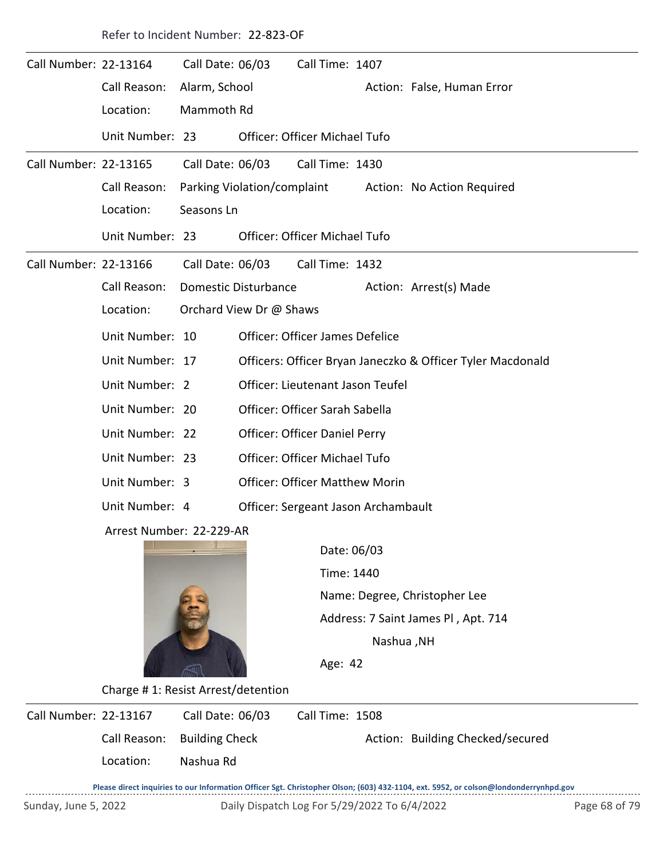|                       | Refer to Incident Number: 22-823-OF |                             |  |                                        |  |                                                            |  |  |  |
|-----------------------|-------------------------------------|-----------------------------|--|----------------------------------------|--|------------------------------------------------------------|--|--|--|
| Call Number: 22-13164 |                                     | Call Date: 06/03            |  | Call Time: 1407                        |  |                                                            |  |  |  |
|                       | Call Reason:                        | Alarm, School               |  |                                        |  | Action: False, Human Error                                 |  |  |  |
|                       | Location:                           | Mammoth Rd                  |  |                                        |  |                                                            |  |  |  |
|                       | Unit Number: 23                     |                             |  | <b>Officer: Officer Michael Tufo</b>   |  |                                                            |  |  |  |
| Call Number: 22-13165 |                                     | Call Date: 06/03            |  | Call Time: 1430                        |  |                                                            |  |  |  |
|                       | Call Reason:                        | Parking Violation/complaint |  |                                        |  | Action: No Action Required                                 |  |  |  |
|                       | Location:                           | Seasons Ln                  |  |                                        |  |                                                            |  |  |  |
|                       | Unit Number: 23                     |                             |  | Officer: Officer Michael Tufo          |  |                                                            |  |  |  |
| Call Number: 22-13166 |                                     | Call Date: 06/03            |  | Call Time: 1432                        |  |                                                            |  |  |  |
|                       | Call Reason:                        | <b>Domestic Disturbance</b> |  |                                        |  | Action: Arrest(s) Made                                     |  |  |  |
|                       | Location:                           | Orchard View Dr @ Shaws     |  |                                        |  |                                                            |  |  |  |
|                       | Unit Number: 10                     |                             |  | <b>Officer: Officer James Defelice</b> |  |                                                            |  |  |  |
|                       | Unit Number: 17                     |                             |  |                                        |  | Officers: Officer Bryan Janeczko & Officer Tyler Macdonald |  |  |  |
|                       | Unit Number: 2                      |                             |  | Officer: Lieutenant Jason Teufel       |  |                                                            |  |  |  |
|                       | Unit Number: 20                     |                             |  | Officer: Officer Sarah Sabella         |  |                                                            |  |  |  |
|                       | Unit Number: 22                     |                             |  | Officer: Officer Daniel Perry          |  |                                                            |  |  |  |
|                       | Unit Number: 23                     |                             |  | <b>Officer: Officer Michael Tufo</b>   |  |                                                            |  |  |  |
|                       | Unit Number: 3                      |                             |  | <b>Officer: Officer Matthew Morin</b>  |  |                                                            |  |  |  |
|                       | Unit Number: 4                      |                             |  | Officer: Sergeant Jason Archambault    |  |                                                            |  |  |  |
|                       | Arrest Number: 22-229-AR            |                             |  |                                        |  |                                                            |  |  |  |



Time: 1440 Name: Degree, Christopher Lee Age: 42 Date: 06/03 Nashua ,NH Address: 7 Saint James Pl , Apt. 714

Charge # 1: Resist Arrest/detention

| Call Number: 22-13167 | Call Date: 06/03            | Call Time: 1508                  |
|-----------------------|-----------------------------|----------------------------------|
|                       | Call Reason: Building Check | Action: Building Checked/secured |
| Location:             | Nashua Rd                   |                                  |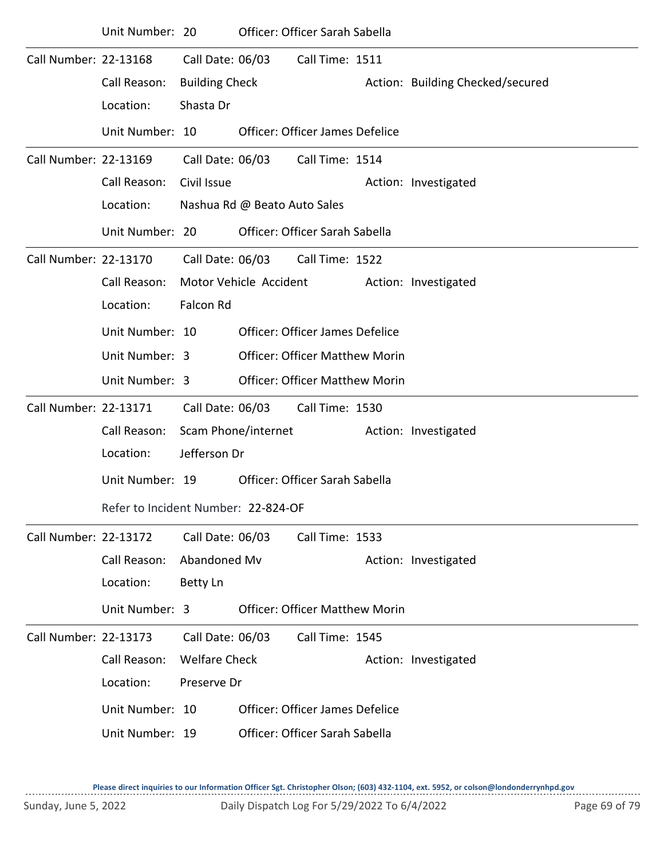|                       | Unit Number: 20                     |                       | Officer: Officer Sarah Sabella         |                 |                                  |
|-----------------------|-------------------------------------|-----------------------|----------------------------------------|-----------------|----------------------------------|
| Call Number: 22-13168 |                                     | Call Date: 06/03      |                                        | Call Time: 1511 |                                  |
|                       | Call Reason:                        | <b>Building Check</b> |                                        |                 | Action: Building Checked/secured |
|                       | Location:                           | Shasta Dr             |                                        |                 |                                  |
|                       | Unit Number: 10                     |                       | <b>Officer: Officer James Defelice</b> |                 |                                  |
| Call Number: 22-13169 |                                     | Call Date: 06/03      |                                        | Call Time: 1514 |                                  |
|                       | Call Reason:                        | Civil Issue           |                                        |                 | Action: Investigated             |
|                       | Location:                           |                       | Nashua Rd @ Beato Auto Sales           |                 |                                  |
|                       | Unit Number: 20                     |                       | Officer: Officer Sarah Sabella         |                 |                                  |
| Call Number: 22-13170 |                                     |                       | Call Date: 06/03 Call Time: 1522       |                 |                                  |
|                       | Call Reason:                        |                       | Motor Vehicle Accident                 |                 | Action: Investigated             |
|                       | Location:                           | Falcon Rd             |                                        |                 |                                  |
|                       | Unit Number: 10                     |                       | <b>Officer: Officer James Defelice</b> |                 |                                  |
|                       | Unit Number: 3                      |                       | <b>Officer: Officer Matthew Morin</b>  |                 |                                  |
|                       | Unit Number: 3                      |                       | <b>Officer: Officer Matthew Morin</b>  |                 |                                  |
| Call Number: 22-13171 |                                     | Call Date: 06/03      |                                        | Call Time: 1530 |                                  |
|                       | Call Reason:                        | Scam Phone/internet   |                                        |                 | Action: Investigated             |
|                       | Location:                           | Jefferson Dr          |                                        |                 |                                  |
|                       | Unit Number: 19                     |                       | Officer: Officer Sarah Sabella         |                 |                                  |
|                       | Refer to Incident Number: 22-824-OF |                       |                                        |                 |                                  |
| Call Number: 22-13172 |                                     | Call Date: 06/03      |                                        | Call Time: 1533 |                                  |
|                       | Call Reason:                        | Abandoned Mv          |                                        |                 | Action: Investigated             |
|                       | Location:                           | Betty Ln              |                                        |                 |                                  |
|                       | Unit Number: 3                      |                       | <b>Officer: Officer Matthew Morin</b>  |                 |                                  |
| Call Number: 22-13173 |                                     | Call Date: 06/03      |                                        | Call Time: 1545 |                                  |
|                       | Call Reason:                        | <b>Welfare Check</b>  |                                        |                 | Action: Investigated             |
|                       | Location:                           | Preserve Dr           |                                        |                 |                                  |
|                       | Unit Number: 10                     |                       | Officer: Officer James Defelice        |                 |                                  |
|                       | Unit Number: 19                     |                       | Officer: Officer Sarah Sabella         |                 |                                  |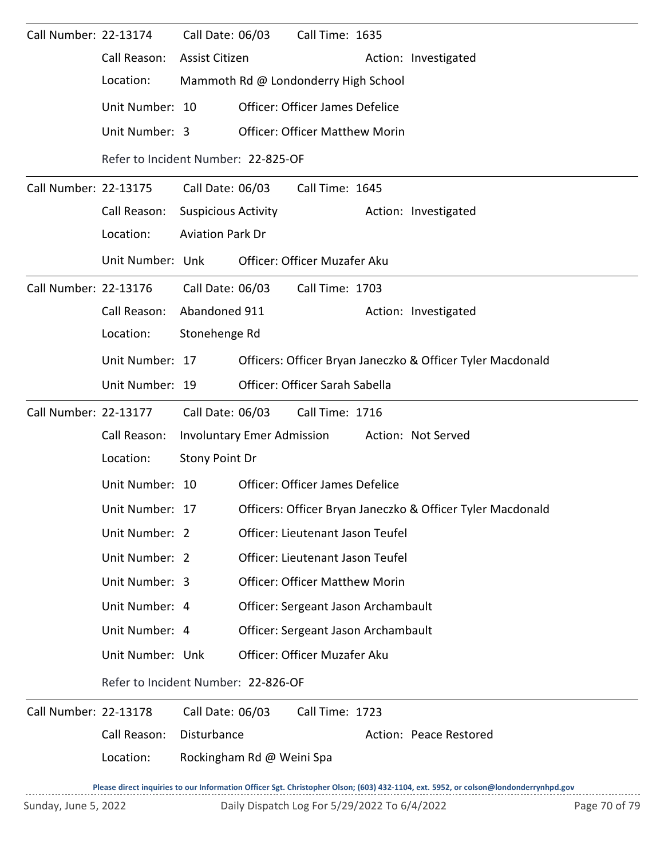| Call Number: 22-13174 |                                     | Call Date: 06/03           |                           | Call Time: 1635                        |                                                                                                                                     |
|-----------------------|-------------------------------------|----------------------------|---------------------------|----------------------------------------|-------------------------------------------------------------------------------------------------------------------------------------|
|                       | Call Reason:                        | Assist Citizen             |                           |                                        | Action: Investigated                                                                                                                |
|                       | Location:                           |                            |                           | Mammoth Rd @ Londonderry High School   |                                                                                                                                     |
|                       | Unit Number: 10                     |                            |                           | Officer: Officer James Defelice        |                                                                                                                                     |
|                       | Unit Number: 3                      |                            |                           | <b>Officer: Officer Matthew Morin</b>  |                                                                                                                                     |
|                       | Refer to Incident Number: 22-825-OF |                            |                           |                                        |                                                                                                                                     |
| Call Number: 22-13175 |                                     | Call Date: 06/03           |                           | Call Time: 1645                        |                                                                                                                                     |
|                       | Call Reason:                        | <b>Suspicious Activity</b> |                           |                                        | Action: Investigated                                                                                                                |
|                       | Location:                           | <b>Aviation Park Dr</b>    |                           |                                        |                                                                                                                                     |
|                       | Unit Number: Unk                    |                            |                           | Officer: Officer Muzafer Aku           |                                                                                                                                     |
| Call Number: 22-13176 |                                     |                            | Call Date: 06/03          | Call Time: 1703                        |                                                                                                                                     |
|                       | Call Reason:                        | Abandoned 911              |                           |                                        | Action: Investigated                                                                                                                |
|                       | Location:                           | Stonehenge Rd              |                           |                                        |                                                                                                                                     |
|                       | Unit Number: 17                     |                            |                           |                                        | Officers: Officer Bryan Janeczko & Officer Tyler Macdonald                                                                          |
|                       | Unit Number: 19                     |                            |                           | Officer: Officer Sarah Sabella         |                                                                                                                                     |
| Call Number: 22-13177 |                                     | Call Date: 06/03           |                           | Call Time: 1716                        |                                                                                                                                     |
|                       | Call Reason:                        |                            |                           | Involuntary Emer Admission             | Action: Not Served                                                                                                                  |
|                       | Location:                           | Stony Point Dr             |                           |                                        |                                                                                                                                     |
|                       | Unit Number: 10                     |                            |                           | <b>Officer: Officer James Defelice</b> |                                                                                                                                     |
|                       | Unit Number: 17                     |                            |                           |                                        | Officers: Officer Bryan Janeczko & Officer Tyler Macdonald                                                                          |
|                       | Unit Number: 2                      |                            |                           | Officer: Lieutenant Jason Teufel       |                                                                                                                                     |
|                       | Unit Number: 2                      |                            |                           | Officer: Lieutenant Jason Teufel       |                                                                                                                                     |
|                       | Unit Number: 3                      |                            |                           | <b>Officer: Officer Matthew Morin</b>  |                                                                                                                                     |
|                       | Unit Number: 4                      |                            |                           | Officer: Sergeant Jason Archambault    |                                                                                                                                     |
|                       | Unit Number: 4                      |                            |                           | Officer: Sergeant Jason Archambault    |                                                                                                                                     |
|                       | Unit Number: Unk                    |                            |                           | Officer: Officer Muzafer Aku           |                                                                                                                                     |
|                       | Refer to Incident Number: 22-826-OF |                            |                           |                                        |                                                                                                                                     |
| Call Number: 22-13178 |                                     | Call Date: 06/03           |                           | Call Time: 1723                        |                                                                                                                                     |
|                       | Call Reason:                        | Disturbance                |                           |                                        | Action: Peace Restored                                                                                                              |
|                       | Location:                           |                            | Rockingham Rd @ Weini Spa |                                        |                                                                                                                                     |
|                       |                                     |                            |                           |                                        | Please direct inquiries to our Information Officer Sgt. Christopher Olson; (603) 432-1104, ext. 5952, or colson@londonderrynhpd.gov |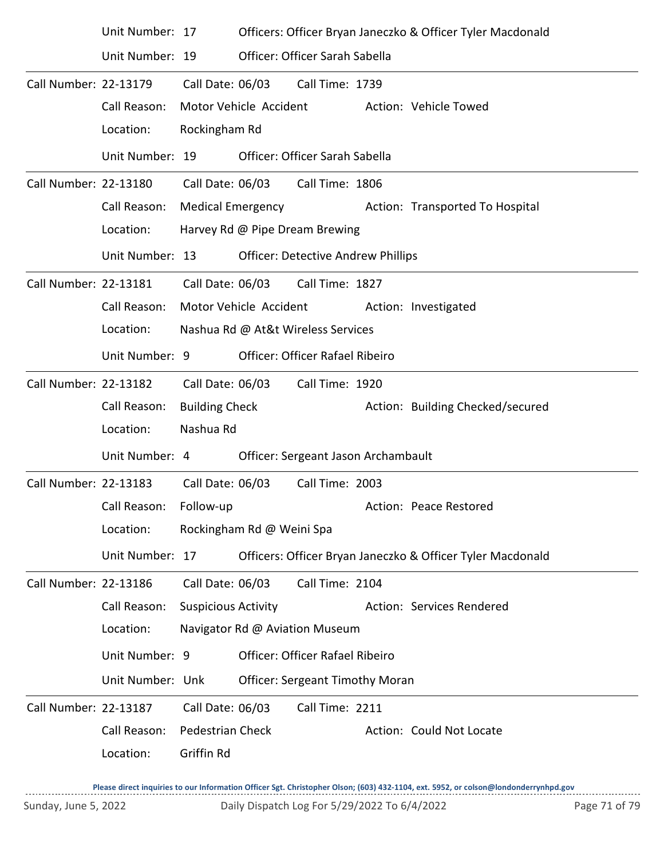|                       | Unit Number: 17  |                            |                           |                                           | Officers: Officer Bryan Janeczko & Officer Tyler Macdonald |
|-----------------------|------------------|----------------------------|---------------------------|-------------------------------------------|------------------------------------------------------------|
|                       | Unit Number: 19  |                            |                           | Officer: Officer Sarah Sabella            |                                                            |
| Call Number: 22-13179 |                  | Call Date: 06/03           |                           | Call Time: 1739                           |                                                            |
|                       | Call Reason:     | Motor Vehicle Accident     |                           |                                           | Action: Vehicle Towed                                      |
|                       | Location:        | Rockingham Rd              |                           |                                           |                                                            |
|                       | Unit Number: 19  |                            |                           | Officer: Officer Sarah Sabella            |                                                            |
| Call Number: 22-13180 |                  |                            |                           | Call Date: 06/03 Call Time: 1806          |                                                            |
|                       | Call Reason:     |                            |                           | Medical Emergency                         | Action: Transported To Hospital                            |
|                       | Location:        |                            |                           | Harvey Rd @ Pipe Dream Brewing            |                                                            |
|                       | Unit Number: 13  |                            |                           | <b>Officer: Detective Andrew Phillips</b> |                                                            |
| Call Number: 22-13181 |                  |                            |                           | Call Date: 06/03 Call Time: 1827          |                                                            |
|                       | Call Reason:     |                            |                           |                                           | Motor Vehicle Accident Action: Investigated                |
|                       | Location:        |                            |                           | Nashua Rd @ At&t Wireless Services        |                                                            |
|                       | Unit Number: 9   |                            |                           | Officer: Officer Rafael Ribeiro           |                                                            |
| Call Number: 22-13182 |                  | Call Date: 06/03           |                           | Call Time: 1920                           |                                                            |
|                       | Call Reason:     | <b>Building Check</b>      |                           |                                           | Action: Building Checked/secured                           |
|                       | Location:        | Nashua Rd                  |                           |                                           |                                                            |
|                       | Unit Number: 4   |                            |                           | Officer: Sergeant Jason Archambault       |                                                            |
| Call Number: 22-13183 |                  | Call Date: 06/03           |                           | Call Time: 2003                           |                                                            |
|                       | Call Reason:     | Follow-up                  |                           |                                           | Action: Peace Restored                                     |
|                       | Location:        |                            | Rockingham Rd @ Weini Spa |                                           |                                                            |
|                       | Unit Number: 17  |                            |                           |                                           | Officers: Officer Bryan Janeczko & Officer Tyler Macdonald |
| Call Number: 22-13186 |                  | Call Date: 06/03           |                           | Call Time: 2104                           |                                                            |
|                       | Call Reason:     | <b>Suspicious Activity</b> |                           |                                           | Action: Services Rendered                                  |
|                       | Location:        |                            |                           | Navigator Rd @ Aviation Museum            |                                                            |
|                       | Unit Number: 9   |                            |                           | Officer: Officer Rafael Ribeiro           |                                                            |
|                       | Unit Number: Unk |                            |                           | <b>Officer: Sergeant Timothy Moran</b>    |                                                            |
| Call Number: 22-13187 |                  | Call Date: 06/03           |                           | Call Time: 2211                           |                                                            |
|                       | Call Reason:     | <b>Pedestrian Check</b>    |                           |                                           | Action: Could Not Locate                                   |
|                       | Location:        | Griffin Rd                 |                           |                                           |                                                            |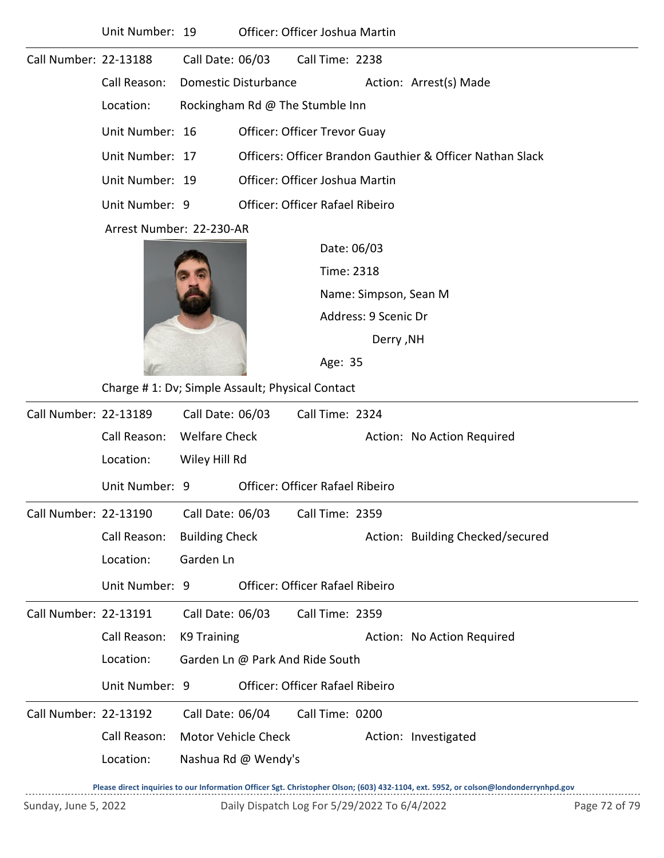|                       | Unit Number: 19                                  |                                                       | Officer: Officer Joshua Martin                            |                 |                       |                                  |  |
|-----------------------|--------------------------------------------------|-------------------------------------------------------|-----------------------------------------------------------|-----------------|-----------------------|----------------------------------|--|
| Call Number: 22-13188 |                                                  | Call Date: 06/03                                      |                                                           | Call Time: 2238 |                       |                                  |  |
|                       | Call Reason:                                     | <b>Domestic Disturbance</b><br>Action: Arrest(s) Made |                                                           |                 |                       |                                  |  |
|                       | Location:                                        | Rockingham Rd @ The Stumble Inn                       |                                                           |                 |                       |                                  |  |
|                       | Unit Number: 16                                  | Officer: Officer Trevor Guay                          |                                                           |                 |                       |                                  |  |
|                       | Unit Number: 17                                  |                                                       | Officers: Officer Brandon Gauthier & Officer Nathan Slack |                 |                       |                                  |  |
|                       | Unit Number: 19                                  |                                                       | Officer: Officer Joshua Martin                            |                 |                       |                                  |  |
|                       | Unit Number: 9                                   |                                                       | <b>Officer: Officer Rafael Ribeiro</b>                    |                 |                       |                                  |  |
|                       | Arrest Number: 22-230-AR                         |                                                       |                                                           |                 |                       |                                  |  |
|                       |                                                  |                                                       |                                                           |                 | Date: 06/03           |                                  |  |
|                       |                                                  |                                                       |                                                           | Time: 2318      |                       |                                  |  |
|                       |                                                  |                                                       |                                                           |                 | Name: Simpson, Sean M |                                  |  |
|                       |                                                  |                                                       |                                                           |                 | Address: 9 Scenic Dr  |                                  |  |
|                       |                                                  |                                                       |                                                           |                 | <b>Derry, NH</b>      |                                  |  |
|                       |                                                  |                                                       |                                                           |                 |                       |                                  |  |
|                       | Charge # 1: Dv; Simple Assault; Physical Contact |                                                       |                                                           |                 |                       |                                  |  |
| Call Number: 22-13189 |                                                  | Call Date: 06/03                                      |                                                           | Call Time: 2324 |                       |                                  |  |
|                       | Call Reason:                                     | <b>Welfare Check</b>                                  |                                                           |                 |                       | Action: No Action Required       |  |
|                       | Location:                                        | Wiley Hill Rd                                         |                                                           |                 |                       |                                  |  |
|                       | Unit Number: 9                                   |                                                       | <b>Officer: Officer Rafael Ribeiro</b>                    |                 |                       |                                  |  |
| Call Number: 22-13190 |                                                  | Call Date: 06/03                                      |                                                           | Call Time: 2359 |                       |                                  |  |
|                       | Call Reason:                                     | <b>Building Check</b>                                 |                                                           |                 |                       | Action: Building Checked/secured |  |
|                       | Location:                                        | Garden Ln                                             |                                                           |                 |                       |                                  |  |
|                       | Unit Number: 9                                   |                                                       | <b>Officer: Officer Rafael Ribeiro</b>                    |                 |                       |                                  |  |
| Call Number: 22-13191 |                                                  | Call Date: 06/03                                      |                                                           | Call Time: 2359 |                       |                                  |  |
|                       | Call Reason:                                     | <b>K9 Training</b>                                    |                                                           |                 |                       | Action: No Action Required       |  |
|                       | Location:                                        | Garden Ln @ Park And Ride South                       |                                                           |                 |                       |                                  |  |
|                       | Unit Number: 9                                   |                                                       | Officer: Officer Rafael Ribeiro                           |                 |                       |                                  |  |
| Call Number: 22-13192 |                                                  | Call Date: 06/04                                      |                                                           | Call Time: 0200 |                       |                                  |  |
|                       | Call Reason:                                     |                                                       | Motor Vehicle Check                                       |                 |                       | Action: Investigated             |  |
|                       | Location:                                        |                                                       | Nashua Rd @ Wendy's                                       |                 |                       |                                  |  |
|                       |                                                  |                                                       |                                                           |                 |                       |                                  |  |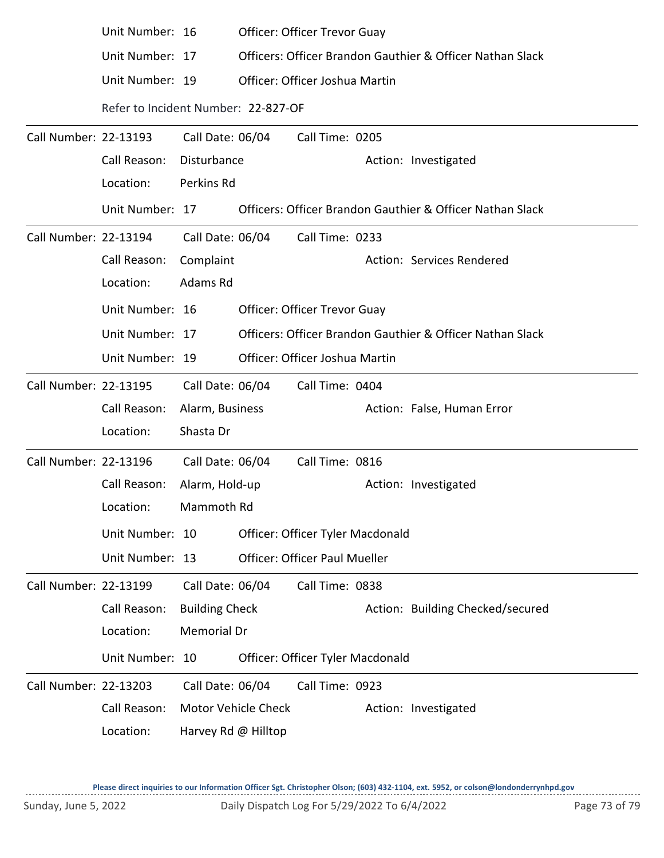|                       | Unit Number: 16                     |                       |                                | <b>Officer: Officer Trevor Guay</b> |  |                                                           |
|-----------------------|-------------------------------------|-----------------------|--------------------------------|-------------------------------------|--|-----------------------------------------------------------|
|                       | Unit Number: 17                     |                       |                                |                                     |  | Officers: Officer Brandon Gauthier & Officer Nathan Slack |
|                       | Unit Number: 19                     |                       | Officer: Officer Joshua Martin |                                     |  |                                                           |
|                       | Refer to Incident Number: 22-827-OF |                       |                                |                                     |  |                                                           |
| Call Number: 22-13193 |                                     | Call Date: 06/04      |                                | Call Time: 0205                     |  |                                                           |
|                       | Call Reason:                        | Disturbance           |                                |                                     |  | Action: Investigated                                      |
|                       | Location:                           | Perkins Rd            |                                |                                     |  |                                                           |
|                       | Unit Number: 17                     |                       |                                |                                     |  | Officers: Officer Brandon Gauthier & Officer Nathan Slack |
| Call Number: 22-13194 |                                     | Call Date: 06/04      |                                | Call Time: 0233                     |  |                                                           |
|                       | Call Reason:                        | Complaint             |                                |                                     |  | Action: Services Rendered                                 |
|                       | Location:                           | Adams Rd              |                                |                                     |  |                                                           |
|                       | Unit Number: 16                     |                       |                                | <b>Officer: Officer Trevor Guay</b> |  |                                                           |
|                       | Unit Number: 17                     |                       |                                |                                     |  | Officers: Officer Brandon Gauthier & Officer Nathan Slack |
|                       | Unit Number: 19                     |                       |                                | Officer: Officer Joshua Martin      |  |                                                           |
| Call Number: 22-13195 |                                     | Call Date: 06/04      |                                | Call Time: 0404                     |  |                                                           |
|                       | Call Reason:                        | Alarm, Business       |                                |                                     |  | Action: False, Human Error                                |
|                       | Location:                           | Shasta Dr             |                                |                                     |  |                                                           |
| Call Number: 22-13196 |                                     | Call Date: 06/04      |                                | Call Time: 0816                     |  |                                                           |
|                       | Call Reason:                        | Alarm, Hold-up        |                                |                                     |  | Action: Investigated                                      |
|                       | Location:                           | Mammoth Rd            |                                |                                     |  |                                                           |
|                       | Unit Number: 10                     |                       |                                | Officer: Officer Tyler Macdonald    |  |                                                           |
|                       | Unit Number: 13                     |                       |                                | Officer: Officer Paul Mueller       |  |                                                           |
| Call Number: 22-13199 |                                     | Call Date: 06/04      |                                | Call Time: 0838                     |  |                                                           |
|                       | Call Reason:                        | <b>Building Check</b> |                                |                                     |  | Action: Building Checked/secured                          |
|                       | Location:                           | <b>Memorial Dr</b>    |                                |                                     |  |                                                           |
|                       | Unit Number: 10                     |                       |                                | Officer: Officer Tyler Macdonald    |  |                                                           |
| Call Number: 22-13203 |                                     | Call Date: 06/04      |                                | Call Time: 0923                     |  |                                                           |
|                       | Call Reason:                        |                       | Motor Vehicle Check            |                                     |  | Action: Investigated                                      |
|                       | Location:                           | Harvey Rd @ Hilltop   |                                |                                     |  |                                                           |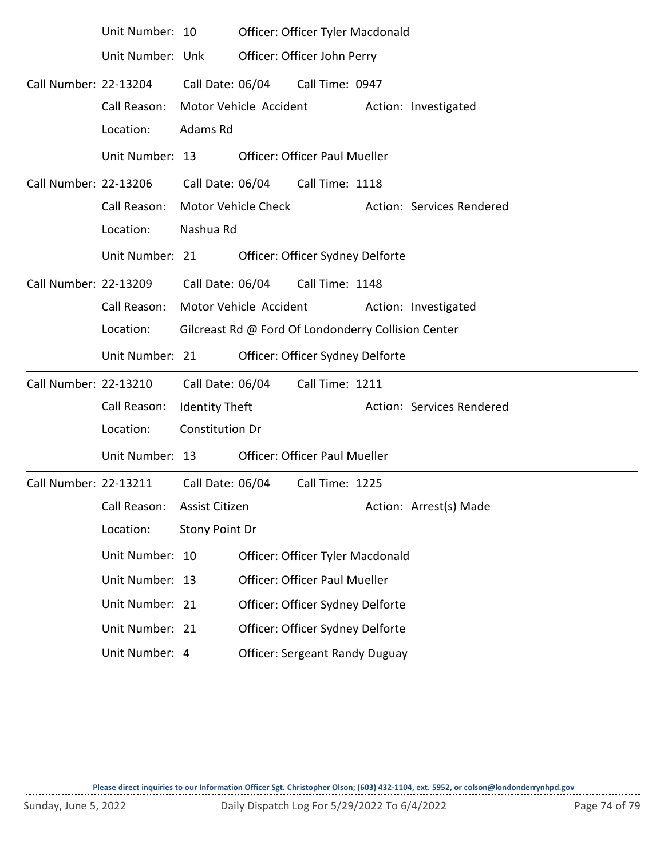|                       | Unit Number: 10  |                        | Officer: Officer Tyler Macdonald                    |                 |  |                           |  |  |  |
|-----------------------|------------------|------------------------|-----------------------------------------------------|-----------------|--|---------------------------|--|--|--|
|                       | Unit Number: Unk |                        | Officer: Officer John Perry                         |                 |  |                           |  |  |  |
| Call Number: 22-13204 |                  | Call Date: 06/04       |                                                     | Call Time: 0947 |  |                           |  |  |  |
|                       | Call Reason:     |                        | Motor Vehicle Accident                              |                 |  | Action: Investigated      |  |  |  |
|                       | Location:        | Adams Rd               |                                                     |                 |  |                           |  |  |  |
|                       | Unit Number: 13  |                        | <b>Officer: Officer Paul Mueller</b>                |                 |  |                           |  |  |  |
| Call Number: 22-13206 |                  |                        | Call Date: 06/04 Call Time: 1118                    |                 |  |                           |  |  |  |
|                       | Call Reason:     |                        | Motor Vehicle Check                                 |                 |  | Action: Services Rendered |  |  |  |
|                       | Location:        | Nashua Rd              |                                                     |                 |  |                           |  |  |  |
|                       | Unit Number: 21  |                        | Officer: Officer Sydney Delforte                    |                 |  |                           |  |  |  |
| Call Number: 22-13209 |                  | Call Date: 06/04       |                                                     | Call Time: 1148 |  |                           |  |  |  |
|                       | Call Reason:     |                        | Motor Vehicle Accident                              |                 |  | Action: Investigated      |  |  |  |
|                       | Location:        |                        | Gilcreast Rd @ Ford Of Londonderry Collision Center |                 |  |                           |  |  |  |
|                       | Unit Number: 21  |                        | Officer: Officer Sydney Delforte                    |                 |  |                           |  |  |  |
| Call Number: 22-13210 |                  | Call Date: 06/04       |                                                     | Call Time: 1211 |  |                           |  |  |  |
|                       | Call Reason:     | <b>Identity Theft</b>  |                                                     |                 |  | Action: Services Rendered |  |  |  |
|                       | Location:        | <b>Constitution Dr</b> |                                                     |                 |  |                           |  |  |  |
|                       | Unit Number: 13  |                        | <b>Officer: Officer Paul Mueller</b>                |                 |  |                           |  |  |  |
| Call Number: 22-13211 |                  | Call Date: 06/04       |                                                     | Call Time: 1225 |  |                           |  |  |  |
|                       | Call Reason:     | <b>Assist Citizen</b>  |                                                     |                 |  | Action: Arrest(s) Made    |  |  |  |
|                       | Location:        | Stony Point Dr         |                                                     |                 |  |                           |  |  |  |
|                       | Unit Number: 10  |                        | Officer: Officer Tyler Macdonald                    |                 |  |                           |  |  |  |
|                       | Unit Number: 13  |                        | Officer: Officer Paul Mueller                       |                 |  |                           |  |  |  |
|                       | Unit Number: 21  |                        | Officer: Officer Sydney Delforte                    |                 |  |                           |  |  |  |
|                       | Unit Number: 21  |                        | Officer: Officer Sydney Delforte                    |                 |  |                           |  |  |  |
|                       | Unit Number: 4   |                        | <b>Officer: Sergeant Randy Duguay</b>               |                 |  |                           |  |  |  |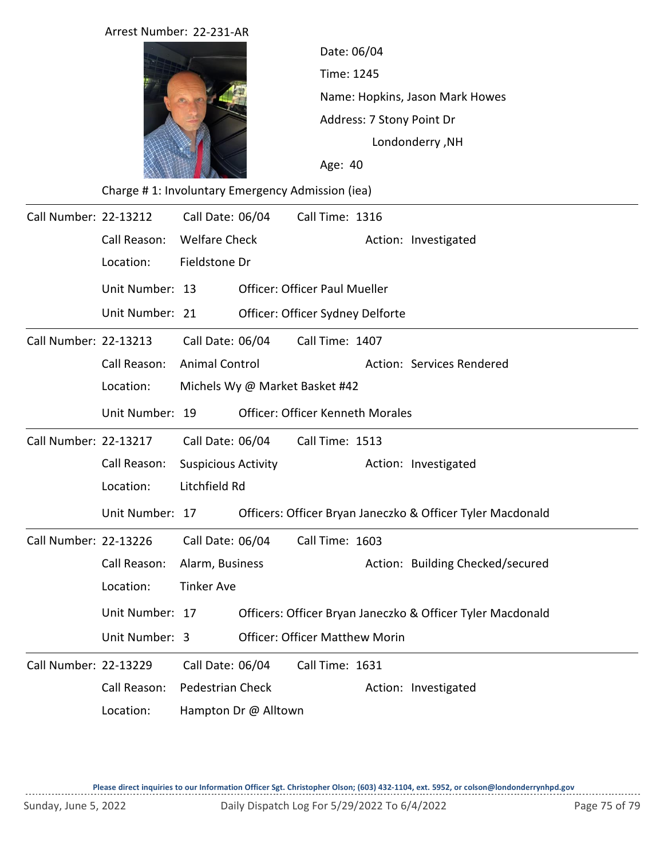|                              | Arrest Number: 22-231-AR                         |                                |                                      |                                 |                 |                                         |                                                            |  |  |  |
|------------------------------|--------------------------------------------------|--------------------------------|--------------------------------------|---------------------------------|-----------------|-----------------------------------------|------------------------------------------------------------|--|--|--|
|                              |                                                  |                                |                                      | Date: 06/04<br>Time: 1245       |                 |                                         |                                                            |  |  |  |
|                              |                                                  |                                |                                      |                                 |                 |                                         |                                                            |  |  |  |
|                              |                                                  |                                |                                      | Name: Hopkins, Jason Mark Howes |                 |                                         |                                                            |  |  |  |
|                              |                                                  |                                |                                      | Address: 7 Stony Point Dr       |                 |                                         |                                                            |  |  |  |
|                              |                                                  |                                | Londonderry, NH<br>Age: 40           |                                 |                 |                                         |                                                            |  |  |  |
|                              |                                                  |                                |                                      |                                 |                 |                                         |                                                            |  |  |  |
|                              | Charge #1: Involuntary Emergency Admission (iea) |                                |                                      |                                 |                 |                                         |                                                            |  |  |  |
| Call Number: 22-13212        |                                                  | Call Date: 06/04               |                                      |                                 | Call Time: 1316 |                                         |                                                            |  |  |  |
|                              | Call Reason:                                     | <b>Welfare Check</b>           |                                      |                                 |                 |                                         | Action: Investigated                                       |  |  |  |
|                              | Location:                                        | Fieldstone Dr                  |                                      |                                 |                 |                                         |                                                            |  |  |  |
|                              | Unit Number: 13                                  |                                | <b>Officer: Officer Paul Mueller</b> |                                 |                 |                                         |                                                            |  |  |  |
|                              | Unit Number: 21                                  |                                |                                      |                                 |                 | Officer: Officer Sydney Delforte        |                                                            |  |  |  |
| Call Number: 22-13213        |                                                  | Call Date: 06/04               |                                      |                                 | Call Time: 1407 |                                         |                                                            |  |  |  |
|                              | Call Reason:                                     | <b>Animal Control</b>          |                                      |                                 |                 |                                         | Action: Services Rendered                                  |  |  |  |
|                              | Location:                                        | Michels Wy @ Market Basket #42 |                                      |                                 |                 |                                         |                                                            |  |  |  |
|                              | Unit Number: 19                                  |                                |                                      |                                 |                 | <b>Officer: Officer Kenneth Morales</b> |                                                            |  |  |  |
| <b>Call Number: 22-13217</b> |                                                  | Call Date: 06/04               |                                      |                                 | Call Time: 1513 |                                         |                                                            |  |  |  |
|                              | Call Reason:                                     | <b>Suspicious Activity</b>     |                                      |                                 |                 |                                         | Action: Investigated                                       |  |  |  |
|                              | Location:                                        | Litchfield Rd                  |                                      |                                 |                 |                                         |                                                            |  |  |  |
|                              | Unit Number: 17                                  |                                |                                      |                                 |                 |                                         | Officers: Officer Bryan Janeczko & Officer Tyler Macdonald |  |  |  |
| Call Number: 22-13226        |                                                  | Call Date: 06/04               |                                      |                                 | Call Time: 1603 |                                         |                                                            |  |  |  |
|                              | Call Reason:                                     | Alarm, Business                |                                      |                                 |                 |                                         | Action: Building Checked/secured                           |  |  |  |
|                              | Location:                                        | <b>Tinker Ave</b>              |                                      |                                 |                 |                                         |                                                            |  |  |  |
|                              | Unit Number: 17                                  |                                |                                      |                                 |                 |                                         | Officers: Officer Bryan Janeczko & Officer Tyler Macdonald |  |  |  |
|                              | Unit Number: 3                                   |                                |                                      |                                 |                 | <b>Officer: Officer Matthew Morin</b>   |                                                            |  |  |  |
| Call Number: 22-13229        |                                                  | Call Date: 06/04               |                                      |                                 | Call Time: 1631 |                                         |                                                            |  |  |  |
|                              | Call Reason:                                     | Pedestrian Check               |                                      |                                 |                 |                                         | Action: Investigated                                       |  |  |  |
|                              | Location:                                        | Hampton Dr @ Alltown           |                                      |                                 |                 |                                         |                                                            |  |  |  |

**Please direct inquiries to our Information Officer Sgt. Christopher Olson; (603) 432-1104, ext. 5952, or colson@londonderrynhpd.gov**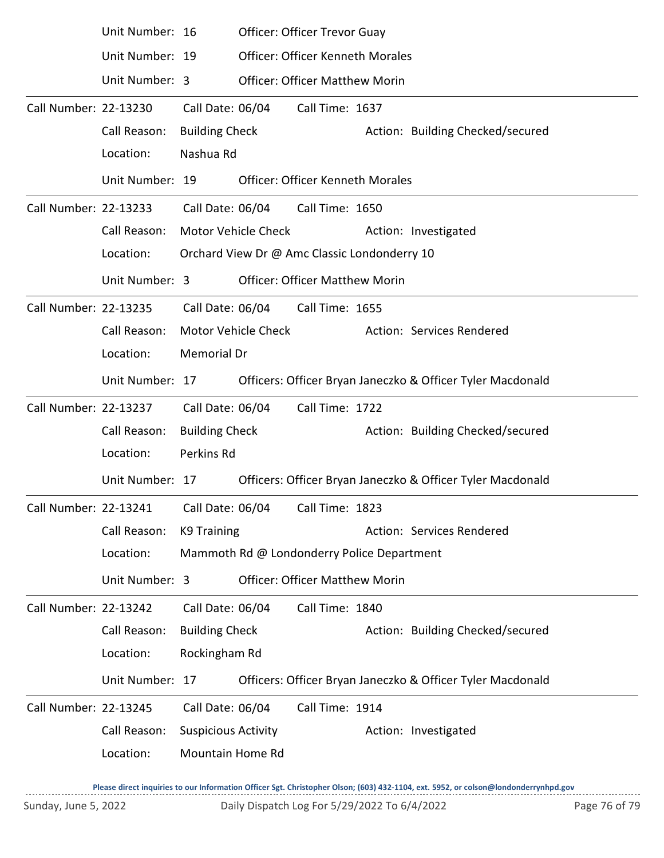|                       | Unit Number: 16                                        |                            |                     | <b>Officer: Officer Trevor Guay</b>          |  |                                                            |
|-----------------------|--------------------------------------------------------|----------------------------|---------------------|----------------------------------------------|--|------------------------------------------------------------|
|                       | Unit Number: 19                                        |                            |                     | <b>Officer: Officer Kenneth Morales</b>      |  |                                                            |
|                       | Unit Number: 3                                         |                            |                     | <b>Officer: Officer Matthew Morin</b>        |  |                                                            |
| Call Number: 22-13230 |                                                        | Call Date: 06/04           |                     | Call Time: 1637                              |  |                                                            |
|                       | Call Reason:                                           | <b>Building Check</b>      |                     |                                              |  | Action: Building Checked/secured                           |
|                       | Location:                                              | Nashua Rd                  |                     |                                              |  |                                                            |
|                       | Unit Number: 19                                        |                            |                     | <b>Officer: Officer Kenneth Morales</b>      |  |                                                            |
| Call Number: 22-13233 |                                                        |                            |                     | Call Date: 06/04 Call Time: 1650             |  |                                                            |
|                       | Call Reason:                                           |                            | Motor Vehicle Check |                                              |  | Action: Investigated                                       |
|                       | Location:                                              |                            |                     | Orchard View Dr @ Amc Classic Londonderry 10 |  |                                                            |
|                       | Unit Number: 3                                         |                            |                     | <b>Officer: Officer Matthew Morin</b>        |  |                                                            |
| Call Number: 22-13235 |                                                        |                            | Call Date: 06/04    | Call Time: 1655                              |  |                                                            |
|                       | Call Reason:                                           |                            | Motor Vehicle Check |                                              |  | Action: Services Rendered                                  |
|                       | Location:                                              | Memorial Dr                |                     |                                              |  |                                                            |
|                       | Unit Number: 17                                        |                            |                     |                                              |  | Officers: Officer Bryan Janeczko & Officer Tyler Macdonald |
| Call Number: 22-13237 |                                                        | Call Date: 06/04           |                     | Call Time: 1722                              |  |                                                            |
|                       | Call Reason:                                           | <b>Building Check</b>      |                     |                                              |  | Action: Building Checked/secured                           |
|                       | Location:                                              | Perkins Rd                 |                     |                                              |  |                                                            |
|                       | Unit Number: 17                                        |                            |                     |                                              |  | Officers: Officer Bryan Janeczko & Officer Tyler Macdonald |
|                       | Call Number: 22-13241 Call Date: 06/04 Call Time: 1823 |                            |                     |                                              |  |                                                            |
|                       | Call Reason:                                           | K9 Training                |                     |                                              |  | Action: Services Rendered                                  |
|                       | Location:                                              |                            |                     | Mammoth Rd @ Londonderry Police Department   |  |                                                            |
|                       | Unit Number: 3                                         |                            |                     | <b>Officer: Officer Matthew Morin</b>        |  |                                                            |
| Call Number: 22-13242 |                                                        | Call Date: 06/04           |                     | Call Time: 1840                              |  |                                                            |
|                       | Call Reason:                                           | <b>Building Check</b>      |                     |                                              |  | Action: Building Checked/secured                           |
|                       | Location:                                              | Rockingham Rd              |                     |                                              |  |                                                            |
|                       | Unit Number: 17                                        |                            |                     |                                              |  | Officers: Officer Bryan Janeczko & Officer Tyler Macdonald |
| Call Number: 22-13245 |                                                        | Call Date: 06/04           |                     | Call Time: 1914                              |  |                                                            |
|                       | Call Reason:                                           | <b>Suspicious Activity</b> |                     |                                              |  | Action: Investigated                                       |
|                       | Location:                                              | <b>Mountain Home Rd</b>    |                     |                                              |  |                                                            |

**Please direct inquiries to our Information Officer Sgt. Christopher Olson; (603) 432-1104, ext. 5952, or colson@londonderrynhpd.gov**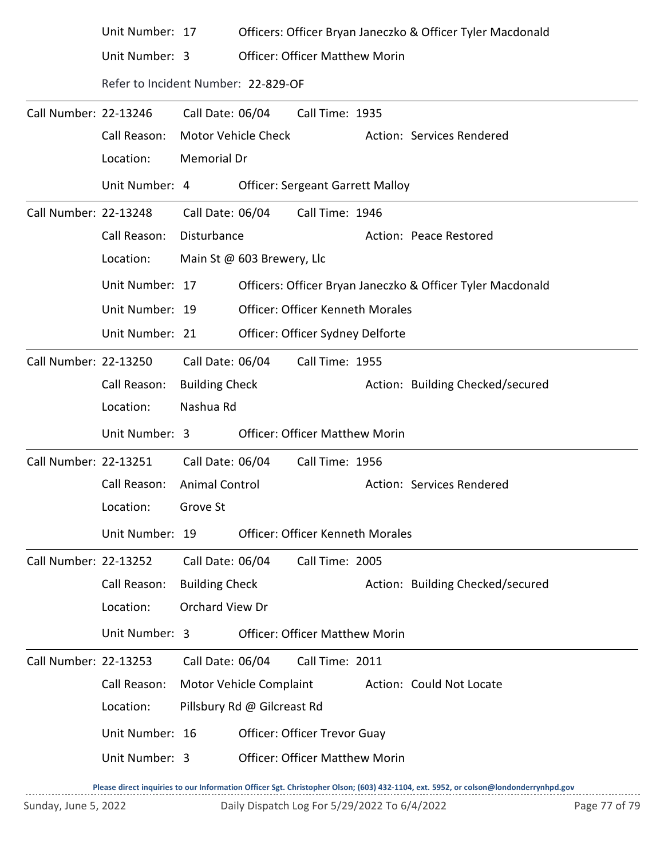|                              | Unit Number: 17                     |                       | Officers: Officer Bryan Janeczko & Officer Tyler Macdonald |
|------------------------------|-------------------------------------|-----------------------|------------------------------------------------------------|
|                              | Unit Number: 3                      |                       | <b>Officer: Officer Matthew Morin</b>                      |
|                              | Refer to Incident Number: 22-829-OF |                       |                                                            |
| Call Number: 22-13246        |                                     | Call Date: 06/04      | Call Time: 1935                                            |
|                              | Call Reason:                        |                       | Motor Vehicle Check<br>Action: Services Rendered           |
|                              | Location:                           | Memorial Dr           |                                                            |
|                              | Unit Number: 4                      |                       | <b>Officer: Sergeant Garrett Malloy</b>                    |
| Call Number: 22-13248        |                                     | Call Date: 06/04      | Call Time: 1946                                            |
|                              | Call Reason:                        | Disturbance           | Action: Peace Restored                                     |
|                              | Location:                           |                       | Main St @ 603 Brewery, Llc                                 |
|                              | Unit Number: 17                     |                       | Officers: Officer Bryan Janeczko & Officer Tyler Macdonald |
|                              | Unit Number: 19                     |                       | <b>Officer: Officer Kenneth Morales</b>                    |
|                              | Unit Number: 21                     |                       | Officer: Officer Sydney Delforte                           |
| Call Number: 22-13250        |                                     | Call Date: 06/04      | Call Time: 1955                                            |
|                              | Call Reason:                        | <b>Building Check</b> | Action: Building Checked/secured                           |
|                              | Location:                           | Nashua Rd             |                                                            |
|                              | Unit Number: 3                      |                       | <b>Officer: Officer Matthew Morin</b>                      |
| Call Number: 22-13251        |                                     | Call Date: 06/04      | Call Time: 1956                                            |
|                              | Call Reason: Animal Control         |                       | Action: Services Rendered                                  |
|                              | Location: Grove St                  |                       |                                                            |
|                              | Unit Number: 19                     |                       | <b>Officer: Officer Kenneth Morales</b>                    |
| <b>Call Number: 22-13252</b> |                                     | Call Date: 06/04      | Call Time: 2005                                            |
|                              | Call Reason:                        | <b>Building Check</b> | Action: Building Checked/secured                           |
|                              | Location:                           | Orchard View Dr       |                                                            |
|                              | Unit Number: 3                      |                       | <b>Officer: Officer Matthew Morin</b>                      |
| Call Number: 22-13253        |                                     | Call Date: 06/04      | Call Time: 2011                                            |
|                              | Call Reason:                        |                       | Motor Vehicle Complaint<br>Action: Could Not Locate        |
|                              | Location:                           |                       | Pillsbury Rd @ Gilcreast Rd                                |
|                              | Unit Number: 16                     |                       | Officer: Officer Trevor Guay                               |
|                              | Unit Number: 3                      |                       | <b>Officer: Officer Matthew Morin</b>                      |
|                              |                                     |                       |                                                            |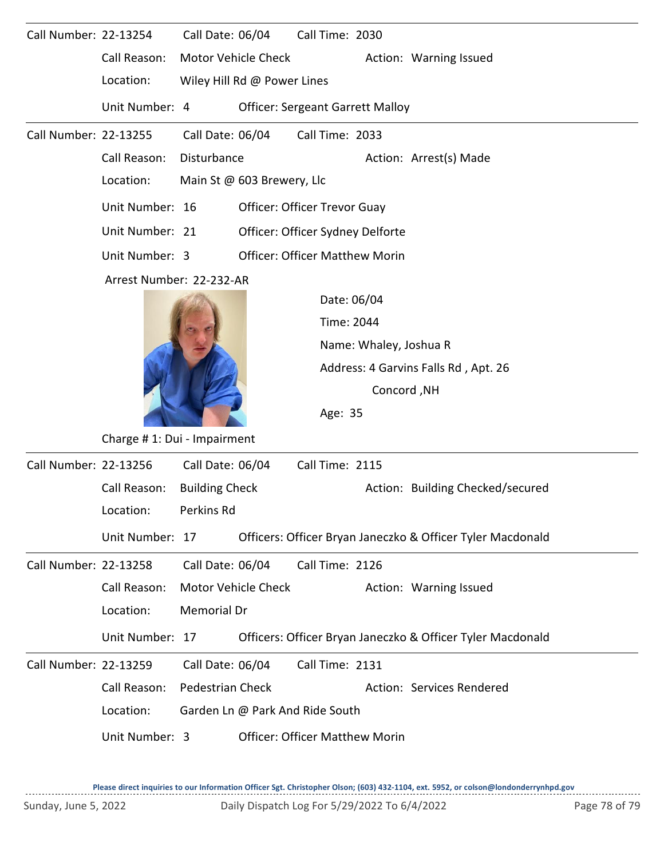| Call Number: 22-13254        |                          | Call Date: 06/04                                     |                             | Call Time: 2030                         |                                      |                                                            |  |  |  |  |  |
|------------------------------|--------------------------|------------------------------------------------------|-----------------------------|-----------------------------------------|--------------------------------------|------------------------------------------------------------|--|--|--|--|--|
|                              | Call Reason:             |                                                      | Motor Vehicle Check         |                                         |                                      | Action: Warning Issued                                     |  |  |  |  |  |
|                              | Location:                |                                                      | Wiley Hill Rd @ Power Lines |                                         |                                      |                                                            |  |  |  |  |  |
|                              | Unit Number: 4           |                                                      |                             | <b>Officer: Sergeant Garrett Malloy</b> |                                      |                                                            |  |  |  |  |  |
| <b>Call Number: 22-13255</b> |                          | Call Date: 06/04                                     |                             | Call Time: 2033                         |                                      |                                                            |  |  |  |  |  |
|                              | Call Reason:             | Disturbance                                          |                             |                                         | Action: Arrest(s) Made               |                                                            |  |  |  |  |  |
|                              | Location:                |                                                      | Main St @ 603 Brewery, Llc  |                                         |                                      |                                                            |  |  |  |  |  |
|                              | Unit Number: 16          |                                                      |                             | Officer: Officer Trevor Guay            |                                      |                                                            |  |  |  |  |  |
|                              | Unit Number: 21          |                                                      |                             | Officer: Officer Sydney Delforte        |                                      |                                                            |  |  |  |  |  |
|                              | Unit Number: 3           |                                                      |                             | <b>Officer: Officer Matthew Morin</b>   |                                      |                                                            |  |  |  |  |  |
|                              | Arrest Number: 22-232-AR |                                                      |                             |                                         |                                      |                                                            |  |  |  |  |  |
|                              |                          |                                                      |                             | Date: 06/04                             |                                      |                                                            |  |  |  |  |  |
|                              |                          |                                                      |                             | Time: 2044                              |                                      |                                                            |  |  |  |  |  |
|                              |                          |                                                      |                             |                                         | Name: Whaley, Joshua R               |                                                            |  |  |  |  |  |
|                              |                          |                                                      |                             |                                         | Address: 4 Garvins Falls Rd, Apt. 26 |                                                            |  |  |  |  |  |
|                              |                          |                                                      |                             |                                         | Concord, NH                          |                                                            |  |  |  |  |  |
|                              |                          | Age: 35                                              |                             |                                         |                                      |                                                            |  |  |  |  |  |
|                              |                          | Charge #1: Dui - Impairment                          |                             |                                         |                                      |                                                            |  |  |  |  |  |
| Call Number: 22-13256        |                          | Call Date: 06/04                                     |                             | Call Time: 2115                         |                                      |                                                            |  |  |  |  |  |
|                              | Call Reason:             | <b>Building Check</b>                                |                             |                                         |                                      | Action: Building Checked/secured                           |  |  |  |  |  |
|                              | Location:                | Perkins Rd                                           |                             |                                         |                                      |                                                            |  |  |  |  |  |
|                              | Unit Number: 17          |                                                      |                             |                                         |                                      | Officers: Officer Bryan Janeczko & Officer Tyler Macdonald |  |  |  |  |  |
| Call Number: 22-13258        |                          | Call Date: 06/04                                     |                             | Call Time: 2126                         |                                      |                                                            |  |  |  |  |  |
|                              | Call Reason:             | <b>Motor Vehicle Check</b><br>Action: Warning Issued |                             |                                         |                                      |                                                            |  |  |  |  |  |
|                              | Location:                | Memorial Dr                                          |                             |                                         |                                      |                                                            |  |  |  |  |  |
|                              | Unit Number: 17          |                                                      |                             |                                         |                                      | Officers: Officer Bryan Janeczko & Officer Tyler Macdonald |  |  |  |  |  |
| Call Number: 22-13259        |                          | Call Date: 06/04                                     |                             | Call Time: 2131                         |                                      |                                                            |  |  |  |  |  |
|                              | Call Reason:             | <b>Pedestrian Check</b>                              |                             |                                         |                                      | Action: Services Rendered                                  |  |  |  |  |  |
|                              | Location:                |                                                      |                             | Garden Ln @ Park And Ride South         |                                      |                                                            |  |  |  |  |  |
|                              | Unit Number: 3           |                                                      |                             | <b>Officer: Officer Matthew Morin</b>   |                                      |                                                            |  |  |  |  |  |